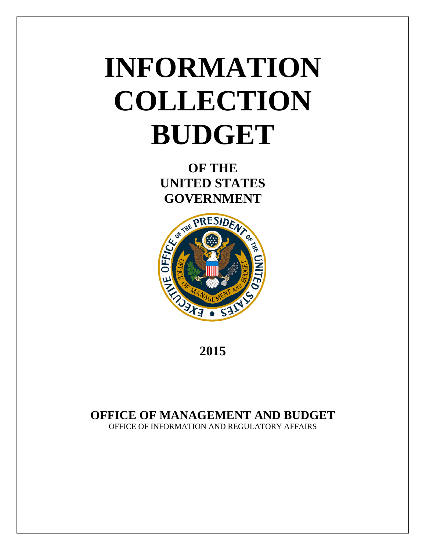# **INFORMATION COLLECTION BUDGET**

**OF THE UNITED STATES GOVERNMENT**



**2015**

# **OFFICE OF MANAGEMENT AND BUDGET**

OFFICE OF INFORMATION AND REGULATORY AFFAIRS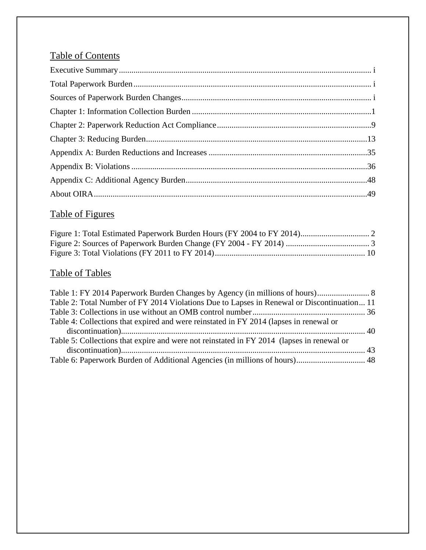# Table of Contents

# Table of Figures

# Table of Tables

| Table 2: Total Number of FY 2014 Violations Due to Lapses in Renewal or Discontinuation 11 |  |
|--------------------------------------------------------------------------------------------|--|
|                                                                                            |  |
| Table 4: Collections that expired and were reinstated in FY 2014 (lapses in renewal or     |  |
|                                                                                            |  |
| Table 5: Collections that expire and were not reinstated in FY 2014 (lapses in renewal or  |  |
|                                                                                            |  |
| Table 6: Paperwork Burden of Additional Agencies (in millions of hours) 48                 |  |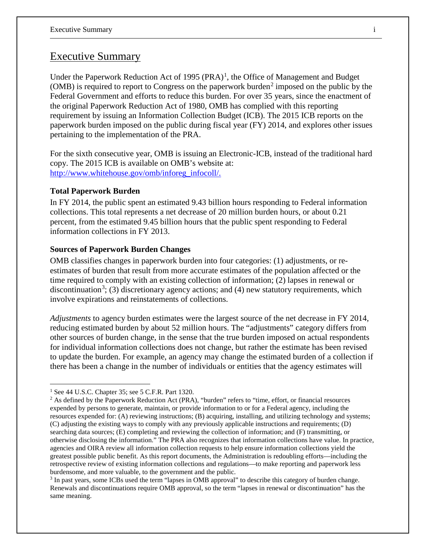## Executive Summary

Under the Paperwork Reduction Act of [1](#page-2-0)995  $(PRA)^1$ , the Office of Management and Budget (OMB) is required to report to Congress on the paperwork burden<sup>[2](#page-2-1)</sup> imposed on the public by the Federal Government and efforts to reduce this burden. For over 35 years, since the enactment of the original Paperwork Reduction Act of 1980, OMB has complied with this reporting requirement by issuing an Information Collection Budget (ICB). The 2015 ICB reports on the paperwork burden imposed on the public during fiscal year (FY) 2014, and explores other issues pertaining to the implementation of the PRA.

For the sixth consecutive year, OMB is issuing an Electronic-ICB, instead of the traditional hard copy. The 2015 ICB is available on OMB's website at: [http://www.whitehouse.gov/omb/inforeg\\_infocoll/.](http://www.whitehouse.gov/omb/inforeg_infocoll/)

#### **Total Paperwork Burden**

In FY 2014, the public spent an estimated 9.43 billion hours responding to Federal information collections. This total represents a net decrease of 20 million burden hours, or about 0.21 percent, from the estimated 9.45 billion hours that the public spent responding to Federal information collections in FY 2013.

#### **Sources of Paperwork Burden Changes**

OMB classifies changes in paperwork burden into four categories: (1) adjustments, or reestimates of burden that result from more accurate estimates of the population affected or the time required to comply with an existing collection of information; (2) lapses in renewal or discontinuation<sup>[3](#page-2-2)</sup>; (3) discretionary agency actions; and (4) new statutory requirements, which involve expirations and reinstatements of collections.

*Adjustments* to agency burden estimates were the largest source of the net decrease in FY 2014, reducing estimated burden by about 52 million hours. The "adjustments" category differs from other sources of burden change, in the sense that the true burden imposed on actual respondents for individual information collections does not change, but rather the estimate has been revised to update the burden. For example, an agency may change the estimated burden of a collection if there has been a change in the number of individuals or entities that the agency estimates will

 $\overline{a}$ 

<span id="page-2-0"></span><sup>&</sup>lt;sup>1</sup> See 44 U.S.C. Chapter 35; see 5 C.F.R. Part 1320.

<span id="page-2-1"></span><sup>&</sup>lt;sup>2</sup> As defined by the Paperwork Reduction Act (PRA), "burden" refers to "time, effort, or financial resources expended by persons to generate, maintain, or provide information to or for a Federal agency, including the resources expended for: (A) reviewing instructions; (B) acquiring, installing, and utilizing technology and systems; (C) adjusting the existing ways to comply with any previously applicable instructions and requirements; (D) searching data sources; (E) completing and reviewing the collection of information; and (F) transmitting, or otherwise disclosing the information." The PRA also recognizes that information collections have value. In practice, agencies and OIRA review all information collection requests to help ensure information collections yield the greatest possible public benefit. As this report documents, the Administration is redoubling efforts—including the retrospective review of existing information collections and regulations—to make reporting and paperwork less burdensome, and more valuable, to the government and the public.

<span id="page-2-2"></span><sup>3</sup> In past years, some ICBs used the term "lapses in OMB approval" to describe this category of burden change. Renewals and discontinuations require OMB approval, so the term "lapses in renewal or discontinuation" has the same meaning.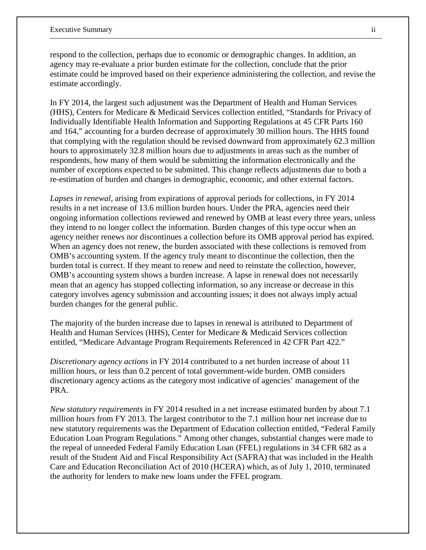respond to the collection, perhaps due to economic or demographic changes. In addition, an agency may re-evaluate a prior burden estimate for the collection, conclude that the prior estimate could be improved based on their experience administering the collection, and revise the estimate accordingly.

In FY 2014, the largest such adjustment was the Department of Health and Human Services (HHS), Centers for Medicare & Medicaid Services collection entitled, "Standards for Privacy of Individually Identifiable Health Information and Supporting Regulations at 45 CFR Parts 160 and 164," accounting for a burden decrease of approximately 30 million hours. The HHS found that complying with the regulation should be revised downward from approximately 62.3 million hours to approximately 32.8 million hours due to adjustments in areas such as the number of respondents, how many of them would be submitting the information electronically and the number of exceptions expected to be submitted. This change reflects adjustments due to both a re-estimation of burden and changes in demographic, economic, and other external factors.

*Lapses in renewal,* arising from expirations of approval periods for collections, in FY 2014 results in a net increase of 13.6 million burden hours. Under the PRA, agencies need their ongoing information collections reviewed and renewed by OMB at least every three years, unless they intend to no longer collect the information. Burden changes of this type occur when an agency neither renews nor discontinues a collection before its OMB approval period has expired. When an agency does not renew, the burden associated with these collections is removed from OMB's accounting system. If the agency truly meant to discontinue the collection, then the burden total is correct. If they meant to renew and need to reinstate the collection, however, OMB's accounting system shows a burden increase. A lapse in renewal does not necessarily mean that an agency has stopped collecting information, so any increase or decrease in this category involves agency submission and accounting issues; it does not always imply actual burden changes for the general public.

The majority of the burden increase due to lapses in renewal is attributed to Department of Health and Human Services (HHS), Center for Medicare & Medicaid Services collection entitled, "Medicare Advantage Program Requirements Referenced in 42 CFR Part 422."

*Discretionary agency actions* in FY 2014 contributed to a net burden increase of about 11 million hours, or less than 0.2 percent of total government-wide burden. OMB considers discretionary agency actions as the category most indicative of agencies' management of the PRA.

*New statutory requirements* in FY 2014 resulted in a net increase estimated burden by about 7.1 million hours from FY 2013. The largest contributor to the 7.1 million hour net increase due to new statutory requirements was the Department of Education collection entitled, "Federal Family Education Loan Program Regulations." Among other changes, substantial changes were made to the repeal of unneeded Federal Family Education Loan (FFEL) regulations in 34 CFR 682 as a result of the Student Aid and Fiscal Responsibility Act (SAFRA) that was included in the Health Care and Education Reconciliation Act of 2010 (HCERA) which, as of July 1, 2010, terminated the authority for lenders to make new loans under the FFEL program.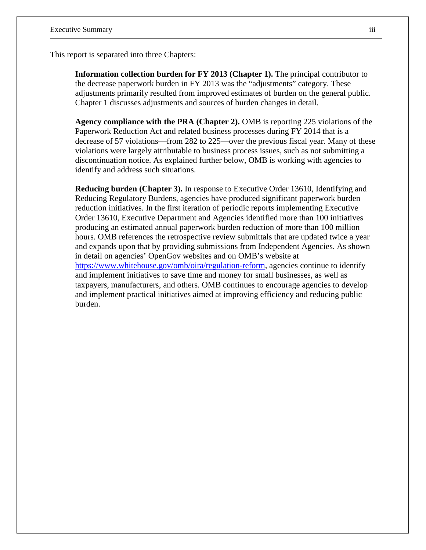This report is separated into three Chapters:

**Information collection burden for FY 2013 (Chapter 1).** The principal contributor to the decrease paperwork burden in FY 2013 was the "adjustments" category. These adjustments primarily resulted from improved estimates of burden on the general public. Chapter 1 discusses adjustments and sources of burden changes in detail.

**Agency compliance with the PRA (Chapter 2).** OMB is reporting 225 violations of the Paperwork Reduction Act and related business processes during FY 2014 that is a decrease of 57 violations—from 282 to 225—over the previous fiscal year. Many of these violations were largely attributable to business process issues, such as not submitting a discontinuation notice. As explained further below, OMB is working with agencies to identify and address such situations.

**Reducing burden (Chapter 3).** In response to Executive Order 13610, Identifying and Reducing Regulatory Burdens, agencies have produced significant paperwork burden reduction initiatives. In the first iteration of periodic reports implementing Executive Order 13610, Executive Department and Agencies identified more than 100 initiatives producing an estimated annual paperwork burden reduction of more than 100 million hours. OMB references the retrospective review submittals that are updated twice a year and expands upon that by providing submissions from Independent Agencies. As shown in detail on agencies' OpenGov websites and on OMB's website at [https://www.whitehouse.gov/omb/oira/regulation-reform,](https://www.whitehouse.gov/omb/oira/regulation-reform) agencies continue to identify and implement initiatives to save time and money for small businesses, as well as taxpayers, manufacturers, and others. OMB continues to encourage agencies to develop and implement practical initiatives aimed at improving efficiency and reducing public burden.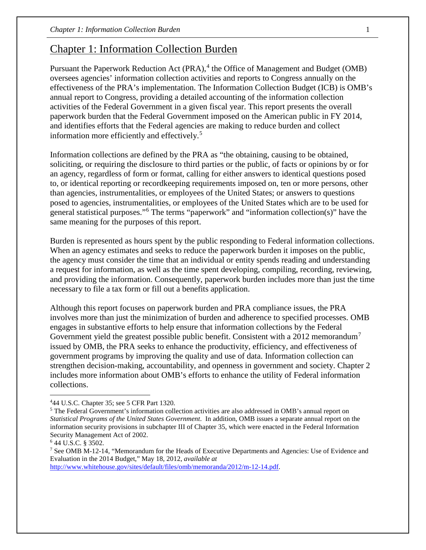# Chapter 1: Information Collection Burden

Pursuant the Paperwork Reduction Act (PRA),<sup>[4](#page-5-0)</sup> the Office of Management and Budget (OMB) oversees agencies' information collection activities and reports to Congress annually on the effectiveness of the PRA's implementation. The Information Collection Budget (ICB) is OMB's annual report to Congress, providing a detailed accounting of the information collection activities of the Federal Government in a given fiscal year. This report presents the overall paperwork burden that the Federal Government imposed on the American public in FY 2014, and identifies efforts that the Federal agencies are making to reduce burden and collect information more efficiently and effectively.<sup>[5](#page-5-1)</sup>

Information collections are defined by the PRA as "the obtaining, causing to be obtained, soliciting, or requiring the disclosure to third parties or the public, of facts or opinions by or for an agency, regardless of form or format, calling for either answers to identical questions posed to, or identical reporting or recordkeeping requirements imposed on, ten or more persons, other than agencies, instrumentalities, or employees of the United States; or answers to questions posed to agencies, instrumentalities, or employees of the United States which are to be used for general statistical purposes."[6](#page-5-2) The terms "paperwork" and "information collection(s)" have the same meaning for the purposes of this report.

Burden is represented as hours spent by the public responding to Federal information collections. When an agency estimates and seeks to reduce the paperwork burden it imposes on the public, the agency must consider the time that an individual or entity spends reading and understanding a request for information, as well as the time spent developing, compiling, recording, reviewing, and providing the information. Consequently, paperwork burden includes more than just the time necessary to file a tax form or fill out a benefits application.

Although this report focuses on paperwork burden and PRA compliance issues, the PRA involves more than just the minimization of burden and adherence to specified processes. OMB engages in substantive efforts to help ensure that information collections by the Federal Government yield the greatest possible public benefit. Consistent with a 2012 memorandum<sup>[7](#page-5-3)</sup> issued by OMB, the PRA seeks to enhance the productivity, efficiency, and effectiveness of government programs by improving the quality and use of data. Information collection can strengthen decision-making, accountability, and openness in government and society. Chapter 2 includes more information about OMB's efforts to enhance the utility of Federal information collections.

 $\overline{a}$ 

[http://www.whitehouse.gov/sites/default/files/omb/memoranda/2012/m-12-14.pdf.](http://www.whitehouse.gov/sites/default/files/omb/memoranda/2012/m-12-14.pdf)

<span id="page-5-0"></span><sup>4</sup> 44 U.S.C. Chapter 35; see 5 CFR Part 1320.

<span id="page-5-1"></span><sup>&</sup>lt;sup>5</sup> The Federal Government's information collection activities are also addressed in OMB's annual report on *Statistical Programs of the United States Government*. In addition, OMB issues a separate annual report on the information security provisions in subchapter III of Chapter 35, which were enacted in the Federal Information Security Management Act of 2002.

<span id="page-5-2"></span><sup>6</sup> 44 U.S.C. § 3502.

<span id="page-5-3"></span><sup>7</sup> See OMB M-12-14, "Memorandum for the Heads of Executive Departments and Agencies: Use of Evidence and Evaluation in the 2014 Budget," May 18, 2012, *available at*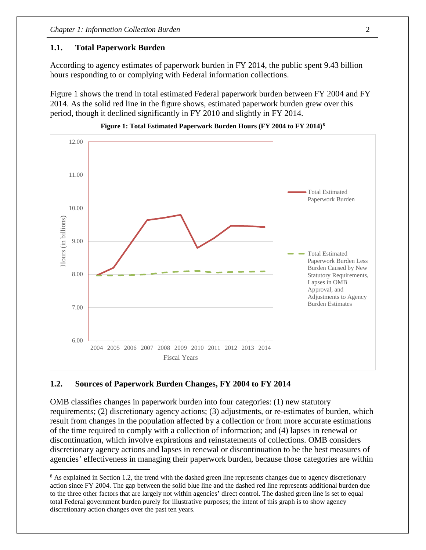#### **1.1. Total Paperwork Burden**

According to agency estimates of paperwork burden in FY 2014, the public spent 9.43 billion hours responding to or complying with Federal information collections.

Figure 1 shows the trend in total estimated Federal paperwork burden between FY 2004 and FY 2014. As the solid red line in the figure shows, estimated paperwork burden grew over this period, though it declined significantly in FY 2010 and slightly in FY 2014.





#### **1.2. Sources of Paperwork Burden Changes, FY 2004 to FY 2014**

 $\overline{a}$ 

OMB classifies changes in paperwork burden into four categories: (1) new statutory requirements; (2) discretionary agency actions; (3) adjustments, or re-estimates of burden, which result from changes in the population affected by a collection or from more accurate estimations of the time required to comply with a collection of information; and (4) lapses in renewal or discontinuation, which involve expirations and reinstatements of collections. OMB considers discretionary agency actions and lapses in renewal or discontinuation to be the best measures of agencies' effectiveness in managing their paperwork burden, because those categories are within

<span id="page-6-0"></span><sup>&</sup>lt;sup>8</sup> As explained in Section 1.2, the trend with the dashed green line represents changes due to agency discretionary action since FY 2004. The gap between the solid blue line and the dashed red line represents additional burden due to the three other factors that are largely not within agencies' direct control. The dashed green line is set to equal total Federal government burden purely for illustrative purposes; the intent of this graph is to show agency discretionary action changes over the past ten years.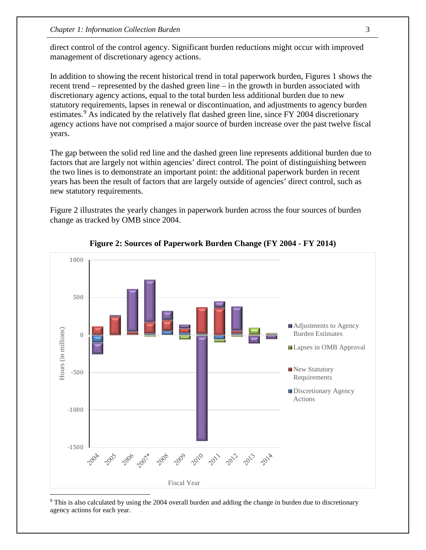direct control of the control agency. Significant burden reductions might occur with improved management of discretionary agency actions.

In addition to showing the recent historical trend in total paperwork burden, Figures 1 shows the recent trend – represented by the dashed green line – in the growth in burden associated with discretionary agency actions, equal to the total burden less additional burden due to new statutory requirements, lapses in renewal or discontinuation, and adjustments to agency burden estimates.<sup>[9](#page-7-0)</sup> As indicated by the relatively flat dashed green line, since FY 2004 discretionary agency actions have not comprised a major source of burden increase over the past twelve fiscal years.

The gap between the solid red line and the dashed green line represents additional burden due to factors that are largely not within agencies' direct control. The point of distinguishing between the two lines is to demonstrate an important point: the additional paperwork burden in recent years has been the result of factors that are largely outside of agencies' direct control, such as new statutory requirements.

Figure 2 illustrates the yearly changes in paperwork burden across the four sources of burden change as tracked by OMB since 2004.



**Figure 2: Sources of Paperwork Burden Change (FY 2004 - FY 2014)** 

<span id="page-7-0"></span><sup>9</sup> This is also calculated by using the 2004 overall burden and adding the change in burden due to discretionary agency actions for each year.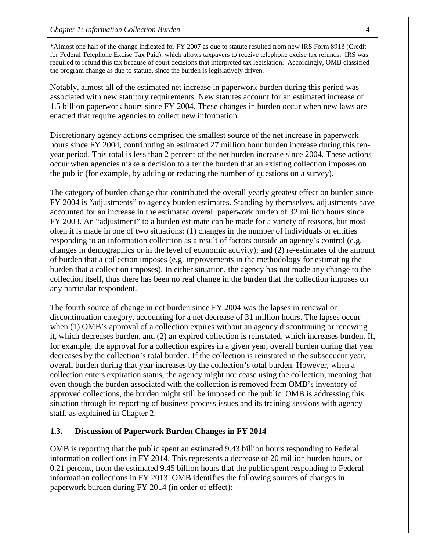\*Almost one half of the change indicated for FY 2007 as due to statute resulted from new IRS Form 8913 (Credit for Federal Telephone Excise Tax Paid), which allows taxpayers to receive telephone excise tax refunds. IRS was required to refund this tax because of court decisions that interpreted tax legislation. Accordingly, OMB classified the program change as due to statute, since the burden is legislatively driven.

Notably, almost all of the estimated net increase in paperwork burden during this period was associated with new statutory requirements. New statutes account for an estimated increase of 1.5 billion paperwork hours since FY 2004. These changes in burden occur when new laws are enacted that require agencies to collect new information.

Discretionary agency actions comprised the smallest source of the net increase in paperwork hours since FY 2004, contributing an estimated 27 million hour burden increase during this tenyear period. This total is less than 2 percent of the net burden increase since 2004. These actions occur when agencies make a decision to alter the burden that an existing collection imposes on the public (for example, by adding or reducing the number of questions on a survey).

The category of burden change that contributed the overall yearly greatest effect on burden since FY 2004 is "adjustments" to agency burden estimates. Standing by themselves, adjustments have accounted for an increase in the estimated overall paperwork burden of 32 million hours since FY 2003. An "adjustment" to a burden estimate can be made for a variety of reasons, but most often it is made in one of two situations: (1) changes in the number of individuals or entities responding to an information collection as a result of factors outside an agency's control (e.g. changes in demographics or in the level of economic activity); and (2) re-estimates of the amount of burden that a collection imposes (e.g. improvements in the methodology for estimating the burden that a collection imposes). In either situation, the agency has not made any change to the collection itself, thus there has been no real change in the burden that the collection imposes on any particular respondent.

The fourth source of change in net burden since FY 2004 was the lapses in renewal or discontinuation category, accounting for a net decrease of 31 million hours. The lapses occur when (1) OMB's approval of a collection expires without an agency discontinuing or renewing it, which decreases burden, and (2) an expired collection is reinstated, which increases burden. If, for example, the approval for a collection expires in a given year, overall burden during that year decreases by the collection's total burden. If the collection is reinstated in the subsequent year, overall burden during that year increases by the collection's total burden. However, when a collection enters expiration status, the agency might not cease using the collection, meaning that even though the burden associated with the collection is removed from OMB's inventory of approved collections, the burden might still be imposed on the public. OMB is addressing this situation through its reporting of business process issues and its training sessions with agency staff, as explained in Chapter 2.

#### **1.3. Discussion of Paperwork Burden Changes in FY 2014**

OMB is reporting that the public spent an estimated 9.43 billion hours responding to Federal information collections in FY 2014. This represents a decrease of 20 million burden hours, or 0.21 percent, from the estimated 9.45 billion hours that the public spent responding to Federal information collections in FY 2013. OMB identifies the following sources of changes in paperwork burden during FY 2014 (in order of effect):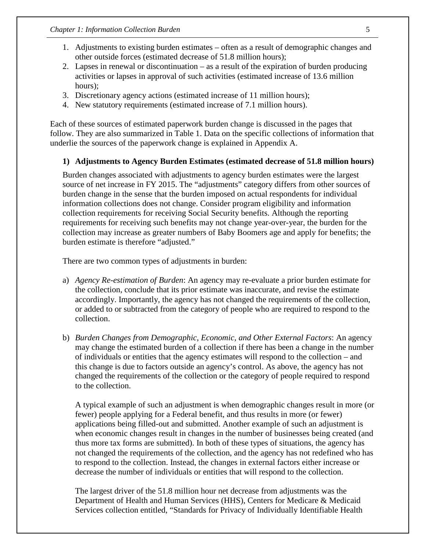- 1. Adjustments to existing burden estimates often as a result of demographic changes and other outside forces (estimated decrease of 51.8 million hours);
- 2. Lapses in renewal or discontinuation as a result of the expiration of burden producing activities or lapses in approval of such activities (estimated increase of 13.6 million hours);
- 3. Discretionary agency actions (estimated increase of 11 million hours);
- 4. New statutory requirements (estimated increase of 7.1 million hours).

Each of these sources of estimated paperwork burden change is discussed in the pages that follow. They are also summarized in Table 1. Data on the specific collections of information that underlie the sources of the paperwork change is explained in Appendix A.

### **1) Adjustments to Agency Burden Estimates (estimated decrease of 51.8 million hours)**

Burden changes associated with adjustments to agency burden estimates were the largest source of net increase in FY 2015. The "adjustments" category differs from other sources of burden change in the sense that the burden imposed on actual respondents for individual information collections does not change. Consider program eligibility and information collection requirements for receiving Social Security benefits. Although the reporting requirements for receiving such benefits may not change year-over-year, the burden for the collection may increase as greater numbers of Baby Boomers age and apply for benefits; the burden estimate is therefore "adjusted."

There are two common types of adjustments in burden:

- a) *Agency Re-estimation of Burden*: An agency may re-evaluate a prior burden estimate for the collection, conclude that its prior estimate was inaccurate, and revise the estimate accordingly. Importantly, the agency has not changed the requirements of the collection, or added to or subtracted from the category of people who are required to respond to the collection.
- b) *Burden Changes from Demographic, Economic, and Other External Factors*: An agency may change the estimated burden of a collection if there has been a change in the number of individuals or entities that the agency estimates will respond to the collection – and this change is due to factors outside an agency's control. As above, the agency has not changed the requirements of the collection or the category of people required to respond to the collection.

A typical example of such an adjustment is when demographic changes result in more (or fewer) people applying for a Federal benefit, and thus results in more (or fewer) applications being filled-out and submitted. Another example of such an adjustment is when economic changes result in changes in the number of businesses being created (and thus more tax forms are submitted). In both of these types of situations, the agency has not changed the requirements of the collection, and the agency has not redefined who has to respond to the collection. Instead, the changes in external factors either increase or decrease the number of individuals or entities that will respond to the collection.

The largest driver of the 51.8 million hour net decrease from adjustments was the Department of Health and Human Services (HHS), Centers for Medicare & Medicaid Services collection entitled, "Standards for Privacy of Individually Identifiable Health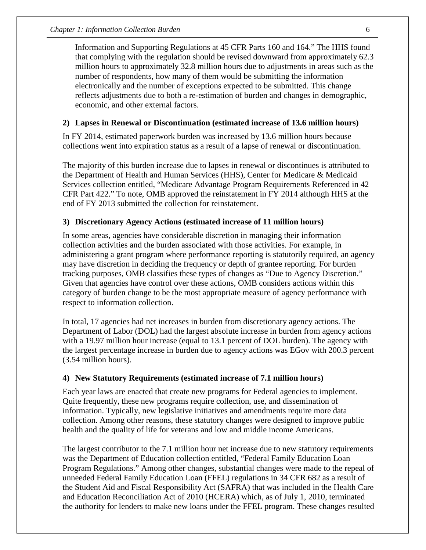Information and Supporting Regulations at 45 CFR Parts 160 and 164." The HHS found that complying with the regulation should be revised downward from approximately 62.3 million hours to approximately 32.8 million hours due to adjustments in areas such as the number of respondents, how many of them would be submitting the information electronically and the number of exceptions expected to be submitted. This change reflects adjustments due to both a re-estimation of burden and changes in demographic, economic, and other external factors.

#### **2) Lapses in Renewal or Discontinuation (estimated increase of 13.6 million hours)**

In FY 2014, estimated paperwork burden was increased by 13.6 million hours because collections went into expiration status as a result of a lapse of renewal or discontinuation.

The majority of this burden increase due to lapses in renewal or discontinues is attributed to the Department of Health and Human Services (HHS), Center for Medicare & Medicaid Services collection entitled, "Medicare Advantage Program Requirements Referenced in 42 CFR Part 422." To note, OMB approved the reinstatement in FY 2014 although HHS at the end of FY 2013 submitted the collection for reinstatement.

### **3) Discretionary Agency Actions (estimated increase of 11 million hours)**

In some areas, agencies have considerable discretion in managing their information collection activities and the burden associated with those activities. For example, in administering a grant program where performance reporting is statutorily required, an agency may have discretion in deciding the frequency or depth of grantee reporting. For burden tracking purposes, OMB classifies these types of changes as "Due to Agency Discretion." Given that agencies have control over these actions, OMB considers actions within this category of burden change to be the most appropriate measure of agency performance with respect to information collection.

In total, 17 agencies had net increases in burden from discretionary agency actions. The Department of Labor (DOL) had the largest absolute increase in burden from agency actions with a 19.97 million hour increase (equal to 13.1 percent of DOL burden). The agency with the largest percentage increase in burden due to agency actions was EGov with 200.3 percent (3.54 million hours).

#### **4) New Statutory Requirements (estimated increase of 7.1 million hours)**

Each year laws are enacted that create new programs for Federal agencies to implement. Quite frequently, these new programs require collection, use, and dissemination of information. Typically, new legislative initiatives and amendments require more data collection. Among other reasons, these statutory changes were designed to improve public health and the quality of life for veterans and low and middle income Americans.

The largest contributor to the 7.1 million hour net increase due to new statutory requirements was the Department of Education collection entitled, "Federal Family Education Loan Program Regulations." Among other changes, substantial changes were made to the repeal of unneeded Federal Family Education Loan (FFEL) regulations in 34 CFR 682 as a result of the Student Aid and Fiscal Responsibility Act (SAFRA) that was included in the Health Care and Education Reconciliation Act of 2010 (HCERA) which, as of July 1, 2010, terminated the authority for lenders to make new loans under the FFEL program. These changes resulted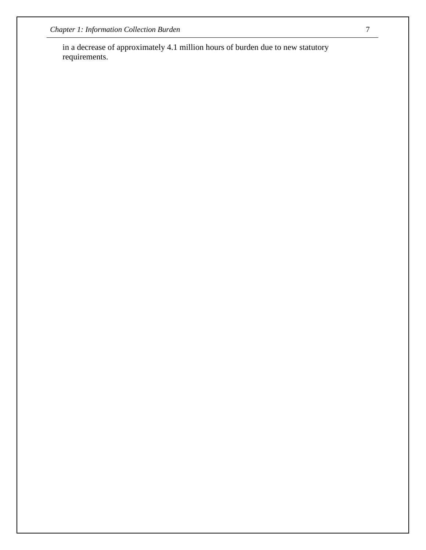in a decrease of approximately 4.1 million hours of burden due to new statutory requirements.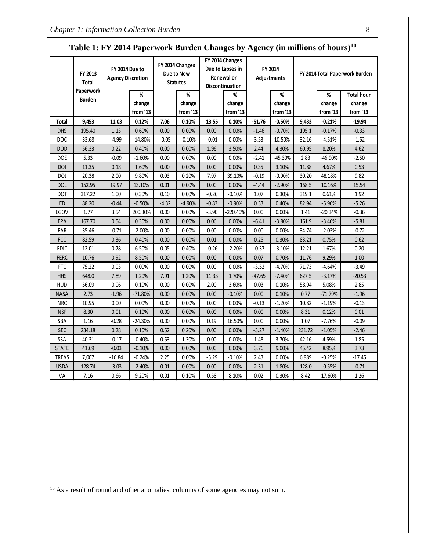|              | FY 2014 Due to<br>FY 2013<br><b>Agency Discretion</b><br><b>Total</b> |          | FY 2014 Changes<br>Due to New<br><b>Statutes</b> |         |                         | FY 2014 Changes<br>Due to Lapses in<br>Renewal or<br>Discontinuation | FY 2014<br>Adjustments  |          | FY 2014 Total Paperwork Burden |        |                         |                                         |
|--------------|-----------------------------------------------------------------------|----------|--------------------------------------------------|---------|-------------------------|----------------------------------------------------------------------|-------------------------|----------|--------------------------------|--------|-------------------------|-----------------------------------------|
|              | Paperwork<br><b>Burden</b>                                            |          | %<br>change<br>from '13                          |         | %<br>change<br>from '13 |                                                                      | %<br>change<br>from '13 |          | %<br>change<br>from '13        |        | %<br>change<br>from '13 | <b>Total hour</b><br>change<br>from '13 |
| <b>Total</b> | 9,453                                                                 | 11.03    | 0.12%                                            | 7.06    | 0.10%                   | 13.55                                                                | 0.10%                   | $-51.76$ | $-0.50%$                       | 9,433  | $-0.21%$                | $-19.94$                                |
| <b>DHS</b>   | 195.40                                                                | 1.13     | 0.60%                                            | 0.00    | 0.00%                   | 0.00                                                                 | 0.00%                   | $-1.46$  | $-0.70%$                       | 195.1  | $-0.17%$                | $-0.33$                                 |
| DOC          | 33.68                                                                 | $-4.99$  | $-14.80%$                                        | $-0.05$ | $-0.10%$                | $-0.01$                                                              | 0.00%                   | 3.53     | 10.50%                         | 32.16  | $-4.51%$                | $-1.52$                                 |
| <b>DOD</b>   | 56.33                                                                 | 0.22     | 0.40%                                            | 0.00    | 0.00%                   | 1.96                                                                 | 3.50%                   | 2.44     | 4.30%                          | 60.95  | 8.20%                   | 4.62                                    |
| DOE          | 5.33                                                                  | $-0.09$  | $-1.60%$                                         | 0.00    | 0.00%                   | 0.00                                                                 | 0.00%                   | $-2.41$  | $-45.30%$                      | 2.83   | $-46.90%$               | $-2.50$                                 |
| DOI          | 11.35                                                                 | 0.18     | 1.60%                                            | 0.00    | 0.00%                   | 0.00                                                                 | 0.00%                   | 0.35     | 3.10%                          | 11.88  | 4.67%                   | 0.53                                    |
| DOJ          | 20.38                                                                 | 2.00     | 9.80%                                            | 0.03    | 0.20%                   | 7.97                                                                 | 39.10%                  | -0.19    | $-0.90\%$                      | 30.20  | 48.18%                  | 9.82                                    |
| <b>DOL</b>   | 152.95                                                                | 19.97    | 13.10%                                           | 0.01    | 0.00%                   | 0.00                                                                 | 0.00%                   | $-4.44$  | $-2.90%$                       | 168.5  | 10.16%                  | 15.54                                   |
| <b>DOT</b>   | 317.22                                                                | 1.00     | 0.30%                                            | 0.10    | 0.00%                   | $-0.26$                                                              | $-0.10%$                | 1.07     | 0.30%                          | 319.1  | 0.61%                   | 1.92                                    |
| ED           | 88.20                                                                 | $-0.44$  | $-0.50%$                                         | $-4.32$ | $-4.90%$                | $-0.83$                                                              | $-0.90%$                | 0.33     | 0.40%                          | 82.94  | $-5.96%$                | $-5.26$                                 |
| EGOV         | 1.77                                                                  | 3.54     | 200.30%                                          | 0.00    | 0.00%                   | $-3.90$                                                              | $-220.40%$              | 0.00     | 0.00%                          | 1.41   | $-20.34%$               | $-0.36$                                 |
| EPA          | 167.70                                                                | 0.54     | 0.30%                                            | 0.00    | 0.00%                   | 0.06                                                                 | 0.00%                   | $-6.41$  | $-3.80%$                       | 161.9  | $-3.46%$                | $-5.81$                                 |
| FAR          | 35.46                                                                 | $-0.71$  | $-2.00%$                                         | 0.00    | 0.00%                   | 0.00                                                                 | 0.00%                   | 0.00     | 0.00%                          | 34.74  | $-2.03%$                | $-0.72$                                 |
| <b>FCC</b>   | 82.59                                                                 | 0.36     | 0.40%                                            | 0.00    | 0.00%                   | 0.01                                                                 | 0.00%                   | 0.25     | 0.30%                          | 83.21  | 0.75%                   | 0.62                                    |
| <b>FDIC</b>  | 12.01                                                                 | 0.78     | 6.50%                                            | 0.05    | 0.40%                   | $-0.26$                                                              | $-2.20%$                | $-0.37$  | $-3.10%$                       | 12.21  | 1.67%                   | 0.20                                    |
| <b>FERC</b>  | 10.76                                                                 | 0.92     | 8.50%                                            | 0.00    | 0.00%                   | 0.00                                                                 | 0.00%                   | 0.07     | 0.70%                          | 11.76  | 9.29%                   | 1.00                                    |
| <b>FTC</b>   | 75.22                                                                 | 0.03     | 0.00%                                            | 0.00    | 0.00%                   | 0.00                                                                 | 0.00%                   | $-3.52$  | $-4.70%$                       | 71.73  | $-4.64%$                | $-3.49$                                 |
| <b>HHS</b>   | 648.0                                                                 | 7.89     | 1.20%                                            | 7.91    | 1.20%                   | 11.33                                                                | 1.70%                   | $-47.65$ | $-7.40%$                       | 627.5  | $-3.17%$                | $-20.53$                                |
| <b>HUD</b>   | 56.09                                                                 | 0.06     | 0.10%                                            | 0.00    | 0.00%                   | 2.00                                                                 | 3.60%                   | 0.03     | 0.10%                          | 58.94  | 5.08%                   | 2.85                                    |
| <b>NASA</b>  | 2.73                                                                  | $-1.96$  | $-71.80%$                                        | 0.00    | 0.00%                   | 0.00                                                                 | $-0.10%$                | 0.00     | 0.10%                          | 0.77   | $-71.79%$               | $-1.96$                                 |
| <b>NRC</b>   | 10.95                                                                 | 0.00     | 0.00%                                            | 0.00    | 0.00%                   | 0.00                                                                 | 0.00%                   | $-0.13$  | $-1.20%$                       | 10.82  | $-1.19%$                | $-0.13$                                 |
| <b>NSF</b>   | 8.30                                                                  | 0.01     | 0.10%                                            | 0.00    | 0.00%                   | 0.00                                                                 | 0.00%                   | 0.00     | 0.00%                          | 8.31   | 0.12%                   | 0.01                                    |
| SBA          | 1.16                                                                  | $-0.28$  | $-24.30%$                                        | 0.00    | 0.00%                   | 0.19                                                                 | 16.50%                  | 0.00     | 0.00%                          | 1.07   | $-7.76%$                | $-0.09$                                 |
| <b>SEC</b>   | 234.18                                                                | 0.28     | 0.10%                                            | 0.52    | 0.20%                   | 0.00                                                                 | 0.00%                   | $-3.27$  | $-1.40%$                       | 231.72 | $-1.05%$                | $-2.46$                                 |
| SSA          | 40.31                                                                 | $-0.17$  | $-0.40%$                                         | 0.53    | 1.30%                   | 0.00                                                                 | 0.00%                   | 1.48     | 3.70%                          | 42.16  | 4.59%                   | 1.85                                    |
| <b>STATE</b> | 41.69                                                                 | $-0.03$  | $-0.10%$                                         | 0.00    | 0.00%                   | 0.00                                                                 | 0.00%                   | 3.76     | 9.00%                          | 45.42  | 8.95%                   | 3.73                                    |
| <b>TREAS</b> | 7,007                                                                 | $-16.84$ | $-0.24%$                                         | 2.25    | 0.00%                   | $-5.29$                                                              | $-0.10%$                | 2.43     | 0.00%                          | 6,989  | $-0.25%$                | $-17.45$                                |
| <b>USDA</b>  | 128.74                                                                | $-3.03$  | $-2.40%$                                         | 0.01    | 0.00%                   | 0.00                                                                 | 0.00%                   | 2.31     | 1.80%                          | 128.0  | $-0.55%$                | $-0.71$                                 |
| VA           | 7.16                                                                  | 0.66     | 9.20%                                            | 0.01    | 0.10%                   | 0.58                                                                 | 8.10%                   | 0.02     | 0.30%                          | 8.42   | 17.60%                  | 1.26                                    |

# **Table 1: FY 2014 Paperwork Burden Changes by Agency (in millions of hours)[10](#page-12-0)**

 $\overline{a}$ 

<span id="page-12-0"></span><sup>&</sup>lt;sup>10</sup> As a result of round and other anomalies, columns of some agencies may not sum.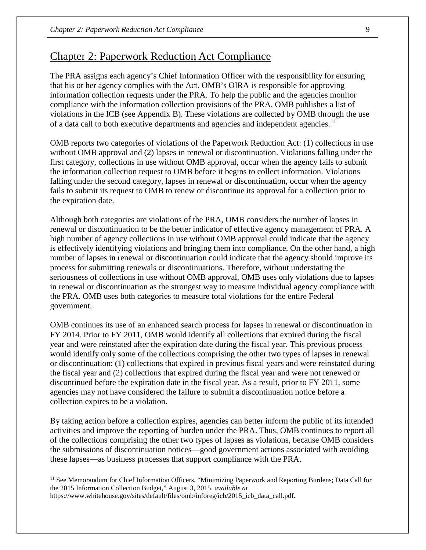## Chapter 2: Paperwork Reduction Act Compliance

The PRA assigns each agency's Chief Information Officer with the responsibility for ensuring that his or her agency complies with the Act. OMB's OIRA is responsible for approving information collection requests under the PRA. To help the public and the agencies monitor compliance with the information collection provisions of the PRA, OMB publishes a list of violations in the ICB (see Appendix B). These violations are collected by OMB through the use of a data call to both executive departments and agencies and independent agencies.<sup>[11](#page-13-0)</sup>

OMB reports two categories of violations of the Paperwork Reduction Act: (1) collections in use without OMB approval and (2) lapses in renewal or discontinuation. Violations falling under the first category, collections in use without OMB approval, occur when the agency fails to submit the information collection request to OMB before it begins to collect information. Violations falling under the second category, lapses in renewal or discontinuation, occur when the agency fails to submit its request to OMB to renew or discontinue its approval for a collection prior to the expiration date.

Although both categories are violations of the PRA, OMB considers the number of lapses in renewal or discontinuation to be the better indicator of effective agency management of PRA. A high number of agency collections in use without OMB approval could indicate that the agency is effectively identifying violations and bringing them into compliance. On the other hand, a high number of lapses in renewal or discontinuation could indicate that the agency should improve its process for submitting renewals or discontinuations. Therefore, without understating the seriousness of collections in use without OMB approval, OMB uses only violations due to lapses in renewal or discontinuation as the strongest way to measure individual agency compliance with the PRA. OMB uses both categories to measure total violations for the entire Federal government.

OMB continues its use of an enhanced search process for lapses in renewal or discontinuation in FY 2014. Prior to FY 2011, OMB would identify all collections that expired during the fiscal year and were reinstated after the expiration date during the fiscal year. This previous process would identify only some of the collections comprising the other two types of lapses in renewal or discontinuation: (1) collections that expired in previous fiscal years and were reinstated during the fiscal year and (2) collections that expired during the fiscal year and were not renewed or discontinued before the expiration date in the fiscal year. As a result, prior to FY 2011, some agencies may not have considered the failure to submit a discontinuation notice before a collection expires to be a violation.

By taking action before a collection expires, agencies can better inform the public of its intended activities and improve the reporting of burden under the PRA. Thus, OMB continues to report all of the collections comprising the other two types of lapses as violations, because OMB considers the submissions of discontinuation notices—good government actions associated with avoiding these lapses—as business processes that support compliance with the PRA.

 $\overline{a}$ 

<span id="page-13-0"></span><sup>11</sup> See Memorandum for Chief Information Officers, "Minimizing Paperwork and Reporting Burdens; Data Call for the 2015 Information Collection Budget," August 3, 2015, *available at*

https://www.whitehouse.gov/sites/default/files/omb/inforeg/icb/2015\_icb\_data\_call.pdf.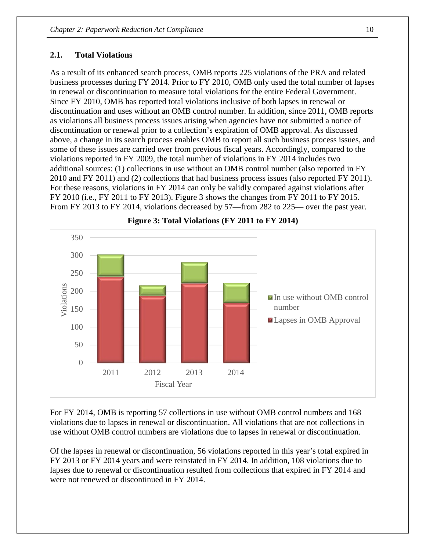#### **2.1. Total Violations**

As a result of its enhanced search process, OMB reports 225 violations of the PRA and related business processes during FY 2014. Prior to FY 2010, OMB only used the total number of lapses in renewal or discontinuation to measure total violations for the entire Federal Government. Since FY 2010, OMB has reported total violations inclusive of both lapses in renewal or discontinuation and uses without an OMB control number. In addition, since 2011, OMB reports as violations all business process issues arising when agencies have not submitted a notice of discontinuation or renewal prior to a collection's expiration of OMB approval. As discussed above, a change in its search process enables OMB to report all such business process issues, and some of these issues are carried over from previous fiscal years. Accordingly, compared to the violations reported in FY 2009, the total number of violations in FY 2014 includes two additional sources: (1) collections in use without an OMB control number (also reported in FY 2010 and FY 2011) and (2) collections that had business process issues (also reported FY 2011). For these reasons, violations in FY 2014 can only be validly compared against violations after FY 2010 (i.e., FY 2011 to FY 2013). Figure 3 shows the changes from FY 2011 to FY 2015. From FY 2013 to FY 2014, violations decreased by 57—from 282 to 225— over the past year.



**Figure 3: Total Violations (FY 2011 to FY 2014)** 

For FY 2014, OMB is reporting 57 collections in use without OMB control numbers and 168 violations due to lapses in renewal or discontinuation. All violations that are not collections in use without OMB control numbers are violations due to lapses in renewal or discontinuation.

Of the lapses in renewal or discontinuation, 56 violations reported in this year's total expired in FY 2013 or FY 2014 years and were reinstated in FY 2014. In addition, 108 violations due to lapses due to renewal or discontinuation resulted from collections that expired in FY 2014 and were not renewed or discontinued in FY 2014.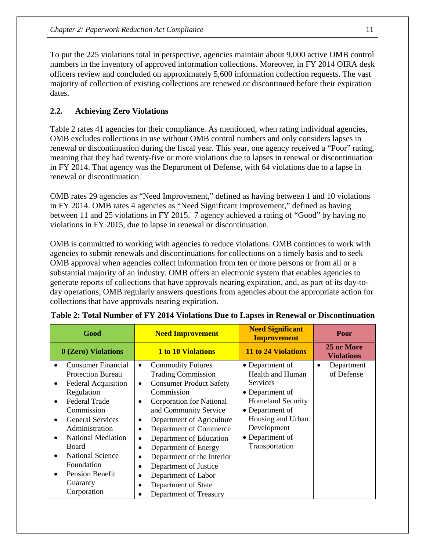To put the 225 violations total in perspective, agencies maintain about 9,000 active OMB control numbers in the inventory of approved information collections. Moreover, in FY 2014 OIRA desk officers review and concluded on approximately 5,600 information collection requests. The vast majority of collection of existing collections are renewed or discontinued before their expiration dates.

## **2.2. Achieving Zero Violations**

Table 2 rates 41 agencies for their compliance. As mentioned, when rating individual agencies, OMB excludes collections in use without OMB control numbers and only considers lapses in renewal or discontinuation during the fiscal year. This year, one agency received a "Poor" rating, meaning that they had twenty-five or more violations due to lapses in renewal or discontinuation in FY 2014. That agency was the Department of Defense, with 64 violations due to a lapse in renewal or discontinuation.

OMB rates 29 agencies as "Need Improvement," defined as having between 1 and 10 violations in FY 2014. OMB rates 4 agencies as "Need Significant Improvement," defined as having between 11 and 25 violations in FY 2015. 7 agency achieved a rating of "Good" by having no violations in FY 2015, due to lapse in renewal or discontinuation.

OMB is committed to working with agencies to reduce violations. OMB continues to work with agencies to submit renewals and discontinuations for collections on a timely basis and to seek OMB approval when agencies collect information from ten or more persons or from all or a substantial majority of an industry. OMB offers an electronic system that enables agencies to generate reports of collections that have approvals nearing expiration, and, as part of its day-today operations, OMB regularly answers questions from agencies about the appropriate action for collections that have approvals nearing expiration.

|                                                       | Good                                                                                                                                                                                                                                                                                                              | <b>Need Improvement</b>                                                                                                                                                                                                                                                                                                                                                                                                                                                                                                                                   | <b>Need Significant</b><br><b>Improvement</b>                                                                                                                                                            | Poor                                  |
|-------------------------------------------------------|-------------------------------------------------------------------------------------------------------------------------------------------------------------------------------------------------------------------------------------------------------------------------------------------------------------------|-----------------------------------------------------------------------------------------------------------------------------------------------------------------------------------------------------------------------------------------------------------------------------------------------------------------------------------------------------------------------------------------------------------------------------------------------------------------------------------------------------------------------------------------------------------|----------------------------------------------------------------------------------------------------------------------------------------------------------------------------------------------------------|---------------------------------------|
|                                                       | 0 (Zero) Violations                                                                                                                                                                                                                                                                                               | <b>1 to 10 Violations</b>                                                                                                                                                                                                                                                                                                                                                                                                                                                                                                                                 | 11 to 24 Violations                                                                                                                                                                                      | 25 or More<br><b>Violations</b>       |
| ٠<br>$\bullet$<br>$\bullet$<br>$\bullet$<br>$\bullet$ | <b>Consumer Financial</b><br><b>Protection Bureau</b><br><b>Federal Acquisition</b><br>Regulation<br><b>Federal Trade</b><br>Commission<br><b>General Services</b><br>Administration<br><b>National Mediation</b><br>Board<br><b>National Science</b><br>Foundation<br>Pension Benefit<br>Guaranty<br>Corporation | <b>Commodity Futures</b><br>$\bullet$<br><b>Trading Commission</b><br><b>Consumer Product Safety</b><br>$\bullet$<br>Commission<br><b>Corporation for National</b><br>$\bullet$<br>and Community Service<br>Department of Agriculture<br>$\bullet$<br>Department of Commerce<br>$\bullet$<br>Department of Education<br>$\bullet$<br>Department of Energy<br>$\bullet$<br>Department of the Interior<br>$\bullet$<br>Department of Justice<br>$\bullet$<br>Department of Labor<br>$\bullet$<br>Department of State<br>$\bullet$<br>Department of Treasury | • Department of<br><b>Health and Human</b><br><b>Services</b><br>• Department of<br><b>Homeland Security</b><br>• Department of<br>Housing and Urban<br>Development<br>• Department of<br>Transportation | Department<br>$\bullet$<br>of Defense |

|  |  |  |  |  |  |  | Table 2: Total Number of FY 2014 Violations Due to Lapses in Renewal or Discontinuation |
|--|--|--|--|--|--|--|-----------------------------------------------------------------------------------------|
|--|--|--|--|--|--|--|-----------------------------------------------------------------------------------------|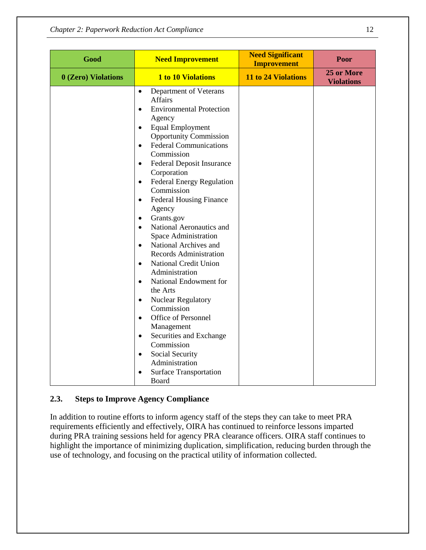| Good                | <b>Need Improvement</b>                                                                                                                                                                                                                                                                                                                                                                                                                                                                                                                                                                                                                                                                                                                                                                                                                                                                                                                                                               | <b>Need Significant</b><br><b>Improvement</b> | Poor                            |
|---------------------|---------------------------------------------------------------------------------------------------------------------------------------------------------------------------------------------------------------------------------------------------------------------------------------------------------------------------------------------------------------------------------------------------------------------------------------------------------------------------------------------------------------------------------------------------------------------------------------------------------------------------------------------------------------------------------------------------------------------------------------------------------------------------------------------------------------------------------------------------------------------------------------------------------------------------------------------------------------------------------------|-----------------------------------------------|---------------------------------|
| 0 (Zero) Violations | <b>1 to 10 Violations</b>                                                                                                                                                                                                                                                                                                                                                                                                                                                                                                                                                                                                                                                                                                                                                                                                                                                                                                                                                             | 11 to 24 Violations                           | 25 or More<br><b>Violations</b> |
|                     | Department of Veterans<br>$\bullet$<br><b>Affairs</b><br><b>Environmental Protection</b><br>$\bullet$<br>Agency<br><b>Equal Employment</b><br>$\bullet$<br><b>Opportunity Commission</b><br><b>Federal Communications</b><br>$\bullet$<br>Commission<br>Federal Deposit Insurance<br>$\bullet$<br>Corporation<br><b>Federal Energy Regulation</b><br>$\bullet$<br>Commission<br><b>Federal Housing Finance</b><br>$\bullet$<br>Agency<br>Grants.gov<br>$\bullet$<br>National Aeronautics and<br>$\bullet$<br>Space Administration<br>National Archives and<br>$\bullet$<br>Records Administration<br>National Credit Union<br>$\bullet$<br>Administration<br>National Endowment for<br>$\bullet$<br>the Arts<br><b>Nuclear Regulatory</b><br>$\bullet$<br>Commission<br>Office of Personnel<br>$\bullet$<br>Management<br>Securities and Exchange<br>$\bullet$<br>Commission<br>Social Security<br>$\bullet$<br>Administration<br><b>Surface Transportation</b><br>$\bullet$<br>Board |                                               |                                 |

## **2.3. Steps to Improve Agency Compliance**

In addition to routine efforts to inform agency staff of the steps they can take to meet PRA requirements efficiently and effectively, OIRA has continued to reinforce lessons imparted during PRA training sessions held for agency PRA clearance officers. OIRA staff continues to highlight the importance of minimizing duplication, simplification, reducing burden through the use of technology, and focusing on the practical utility of information collected.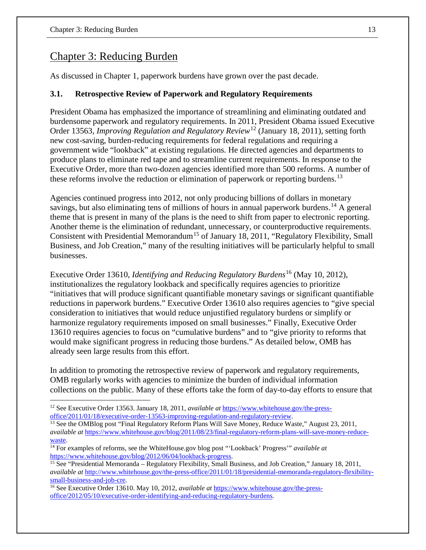## Chapter 3: Reducing Burden

As discussed in Chapter 1, paperwork burdens have grown over the past decade.

## **3.1. Retrospective Review of Paperwork and Regulatory Requirements**

President Obama has emphasized the importance of streamlining and eliminating outdated and burdensome paperwork and regulatory requirements. In 2011, President Obama issued Executive Order 13563, *Improving Regulation and Regulatory Review*[12](#page-17-0) (January 18, 2011), setting forth new cost-saving, burden-reducing requirements for federal regulations and requiring a government wide "lookback" at existing regulations. He directed agencies and departments to produce plans to eliminate red tape and to streamline current requirements. In response to the Executive Order, more than two-dozen agencies identified more than 500 reforms. A number of these reforms involve the reduction or elimination of paperwork or reporting burdens.<sup>[13](#page-17-1)</sup>

Agencies continued progress into 2012, not only producing billions of dollars in monetary savings, but also eliminating tens of millions of hours in annual paperwork burdens.<sup>[14](#page-17-2)</sup> A general theme that is present in many of the plans is the need to shift from paper to electronic reporting. Another theme is the elimination of redundant, unnecessary, or counterproductive requirements. Consistent with Presidential Memorandum<sup>[15](#page-17-3)</sup> of January 18, 2011, "Regulatory Flexibility, Small Business, and Job Creation," many of the resulting initiatives will be particularly helpful to small businesses.

Executive Order 13610, *Identifying and Reducing Regulatory Burdens*[16](#page-17-4) (May 10, 2012), institutionalizes the regulatory lookback and specifically requires agencies to prioritize "initiatives that will produce significant quantifiable monetary savings or significant quantifiable reductions in paperwork burdens." Executive Order 13610 also requires agencies to "give special consideration to initiatives that would reduce unjustified regulatory burdens or simplify or harmonize regulatory requirements imposed on small businesses." Finally, Executive Order 13610 requires agencies to focus on "cumulative burdens" and to "give priority to reforms that would make significant progress in reducing those burdens." As detailed below, OMB has already seen large results from this effort.

In addition to promoting the retrospective review of paperwork and regulatory requirements, OMB regularly works with agencies to minimize the burden of individual information collections on the public. Many of these efforts take the form of day-to-day efforts to ensure that

<span id="page-17-1"></span><sup>13</sup> See the OMBlog post "Final Regulatory Reform Plans Will Save Money, Reduce Waste," August 23, 2011, *available at* [https://www.whitehouse.gov/blog/2011/08/23/final-regulatory-reform-plans-will-save-money-reduce-](https://www.whitehouse.gov/blog/2011/08/23/final-regulatory-reform-plans-will-save-money-reduce-waste)

<span id="page-17-0"></span><sup>&</sup>lt;sup>12</sup> See Executive Order 13563. January 18, 2011, *available at* https://www.whitehouse.gov/the-press-<br>office/2011/01/18/executive-order-13563-improving-regulation-and-regulatory-review.

<span id="page-17-2"></span>[waste.](https://www.whitehouse.gov/blog/2011/08/23/final-regulatory-reform-plans-will-save-money-reduce-waste)<br><sup>[14](https://www.whitehouse.gov/blog/2011/08/23/final-regulatory-reform-plans-will-save-money-reduce-waste)</sup> For examples of reforms, see the WhiteHouse.gov blog post "'Lookback' Progress'" *available at* https://www.whitehouse.gov/blog/2012/06/04/lookback-progress.

<span id="page-17-3"></span><sup>&</sup>lt;sup>15</sup> See "Presidential Memoranda – Regulatory Flexibility, Small Business, and Job Creation," January 18, 2011, *available at* [http://www.whitehouse.gov/the-press-office/2011/01/18/presidential-memoranda-regulatory-flexibility](http://www.whitehouse.gov/the-press-office/2011/01/18/presidential-memoranda-regulatory-flexibility-small-business-and-job-cre)[small-business-and-job-cre.](http://www.whitehouse.gov/the-press-office/2011/01/18/presidential-memoranda-regulatory-flexibility-small-business-and-job-cre) 16 See Executive Order 13610. May 10, 2012, *available at* [https://www.whitehouse.gov/the-press-](https://www.whitehouse.gov/the-press-office/2012/05/10/executive-order-identifying-and-reducing-regulatory-burdens)

<span id="page-17-4"></span>[office/2012/05/10/executive-order-identifying-and-reducing-regulatory-burdens.](https://www.whitehouse.gov/the-press-office/2012/05/10/executive-order-identifying-and-reducing-regulatory-burdens)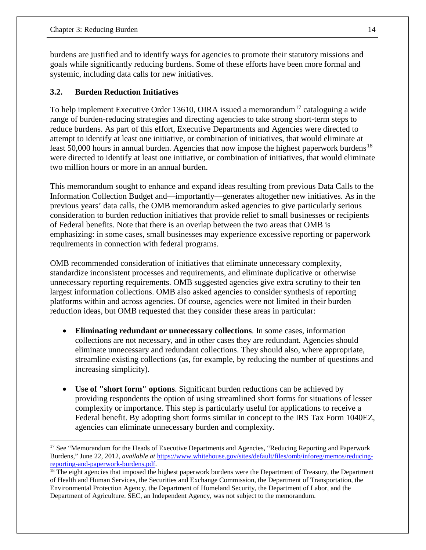burdens are justified and to identify ways for agencies to promote their statutory missions and goals while significantly reducing burdens. Some of these efforts have been more formal and systemic, including data calls for new initiatives.

## **3.2. Burden Reduction Initiatives**

To help implement Executive Order 13610, OIRA issued a memorandum<sup>[17](#page-18-0)</sup> cataloguing a wide range of burden-reducing strategies and directing agencies to take strong short-term steps to reduce burdens. As part of this effort, Executive Departments and Agencies were directed to attempt to identify at least one initiative, or combination of initiatives, that would eliminate at least 50,000 hours in annual burden. Agencies that now impose the highest paperwork burdens<sup>[18](#page-18-1)</sup> were directed to identify at least one initiative, or combination of initiatives, that would eliminate two million hours or more in an annual burden.

This memorandum sought to enhance and expand ideas resulting from previous Data Calls to the Information Collection Budget and—importantly—generates altogether new initiatives. As in the previous years' data calls, the OMB memorandum asked agencies to give particularly serious consideration to burden reduction initiatives that provide relief to small businesses or recipients of Federal benefits. Note that there is an overlap between the two areas that OMB is emphasizing: in some cases, small businesses may experience excessive reporting or paperwork requirements in connection with federal programs.

OMB recommended consideration of initiatives that eliminate unnecessary complexity, standardize inconsistent processes and requirements, and eliminate duplicative or otherwise unnecessary reporting requirements. OMB suggested agencies give extra scrutiny to their ten largest information collections. OMB also asked agencies to consider synthesis of reporting platforms within and across agencies. Of course, agencies were not limited in their burden reduction ideas, but OMB requested that they consider these areas in particular:

- **Eliminating redundant or unnecessary collections**. In some cases, information collections are not necessary, and in other cases they are redundant. Agencies should eliminate unnecessary and redundant collections. They should also, where appropriate, streamline existing collections (as, for example, by reducing the number of questions and increasing simplicity).
- **Use of "short form" options**. Significant burden reductions can be achieved by providing respondents the option of using streamlined short forms for situations of lesser complexity or importance. This step is particularly useful for applications to receive a Federal benefit. By adopting short forms similar in concept to the IRS Tax Form 1040EZ, agencies can eliminate unnecessary burden and complexity.

<span id="page-18-0"></span><sup>&</sup>lt;sup>17</sup> See "Memorandum for the Heads of Executive Departments and Agencies, "Reducing Reporting and Paperwork Burdens," June 22, 2012, *available at* [https://www.whitehouse.gov/sites/default/files/omb/inforeg/memos/reducing](https://www.whitehouse.gov/sites/default/files/omb/inforeg/memos/reducing-reporting-and-paperwork-burdens.pdf)reporting-and-paperwork-burdens.pdf.<br><sup>18</sup> The eight agencies that imposed the highest paperwork burdens were the Department of Treasury, the Department

<span id="page-18-1"></span>of Health and Human Services, the Securities and Exchange Commission, the Department of Transportation, the Environmental Protection Agency, the Department of Homeland Security, the Department of Labor, and the Department of Agriculture. SEC, an Independent Agency, was not subject to the memorandum.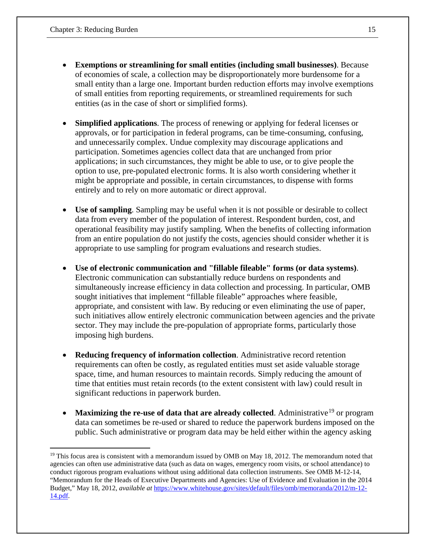- **Exemptions or streamlining for small entities (including small businesses)**. Because of economies of scale, a collection may be disproportionately more burdensome for a small entity than a large one. Important burden reduction efforts may involve exemptions of small entities from reporting requirements, or streamlined requirements for such entities (as in the case of short or simplified forms).
- **Simplified applications**. The process of renewing or applying for federal licenses or approvals, or for participation in federal programs, can be time-consuming, confusing, and unnecessarily complex. Undue complexity may discourage applications and participation. Sometimes agencies collect data that are unchanged from prior applications; in such circumstances, they might be able to use, or to give people the option to use, pre-populated electronic forms. It is also worth considering whether it might be appropriate and possible, in certain circumstances, to dispense with forms entirely and to rely on more automatic or direct approval.
- **Use of sampling**. Sampling may be useful when it is not possible or desirable to collect data from every member of the population of interest. Respondent burden, cost, and operational feasibility may justify sampling. When the benefits of collecting information from an entire population do not justify the costs, agencies should consider whether it is appropriate to use sampling for program evaluations and research studies.
- **Use of electronic communication and "fillable fileable" forms (or data systems)**. Electronic communication can substantially reduce burdens on respondents and simultaneously increase efficiency in data collection and processing. In particular, OMB sought initiatives that implement "fillable fileable" approaches where feasible, appropriate, and consistent with law. By reducing or even eliminating the use of paper, such initiatives allow entirely electronic communication between agencies and the private sector. They may include the pre-population of appropriate forms, particularly those imposing high burdens.
- **Reducing frequency of information collection**. Administrative record retention requirements can often be costly, as regulated entities must set aside valuable storage space, time, and human resources to maintain records. Simply reducing the amount of time that entities must retain records (to the extent consistent with law) could result in significant reductions in paperwork burden.
- **Maximizing the re-use of data that are already collected.** Administrative<sup>19</sup> or program data can sometimes be re-used or shared to reduce the paperwork burdens imposed on the public. Such administrative or program data may be held either within the agency asking

<span id="page-19-0"></span> $19$  This focus area is consistent with a memorandum issued by OMB on May 18, 2012. The memorandum noted that agencies can often use administrative data (such as data on wages, emergency room visits, or school attendance) to conduct rigorous program evaluations without using additional data collection instruments. See OMB M-12-14, "Memorandum for the Heads of Executive Departments and Agencies: Use of Evidence and Evaluation in the 2014 Budget," May 18, 2012, *available at* [https://www.whitehouse.gov/sites/default/files/omb/memoranda/2012/m-12-](https://www.whitehouse.gov/sites/default/files/omb/memoranda/2012/m-12-14.pdf) [14.pdf.](https://www.whitehouse.gov/sites/default/files/omb/memoranda/2012/m-12-14.pdf)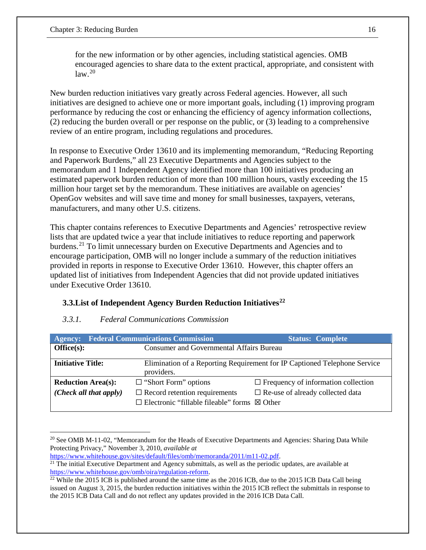for the new information or by other agencies, including statistical agencies. OMB encouraged agencies to share data to the extent practical, appropriate, and consistent with  $law<sup>20</sup>$  $law<sup>20</sup>$  $law<sup>20</sup>$ 

New burden reduction initiatives vary greatly across Federal agencies. However, all such initiatives are designed to achieve one or more important goals, including (1) improving program performance by reducing the cost or enhancing the efficiency of agency information collections, (2) reducing the burden overall or per response on the public, or (3) leading to a comprehensive review of an entire program, including regulations and procedures.

In response to Executive Order 13610 and its implementing memorandum, "Reducing Reporting and Paperwork Burdens," all 23 Executive Departments and Agencies subject to the memorandum and 1 Independent Agency identified more than 100 initiatives producing an estimated paperwork burden reduction of more than 100 million hours, vastly exceeding the 15 million hour target set by the memorandum. These initiatives are available on agencies' OpenGov websites and will save time and money for small businesses, taxpayers, veterans, manufacturers, and many other U.S. citizens.

This chapter contains references to Executive Departments and Agencies' retrospective review lists that are updated twice a year that include initiatives to reduce reporting and paperwork burdens.<sup>21</sup> To limit unnecessary burden on Executive Departments and Agencies and to encourage participation, OMB will no longer include a summary of the reduction initiatives provided in reports in response to Executive Order 13610. However, this chapter offers an updated list of initiatives from Independent Agencies that did not provide updated initiatives under Executive Order 13610.

## **3.3.List of Independent Agency Burden Reduction Initiatives[22](#page-20-2)**

#### *3.3.1. Federal Communications Commission*

| <b>Agency:</b>            | <b>Federal Communications Commission</b>                                                              | <b>Status: Complete</b>                                                   |
|---------------------------|-------------------------------------------------------------------------------------------------------|---------------------------------------------------------------------------|
| Office(s):                | <b>Consumer and Governmental Affairs Bureau</b>                                                       |                                                                           |
| <b>Initiative Title:</b>  | providers.                                                                                            | Elimination of a Reporting Requirement for IP Captioned Telephone Service |
| <b>Reduction Area(s):</b> | $\Box$ "Short Form" options                                                                           | $\Box$ Frequency of information collection                                |
| (Check all that apply)    | $\Box$ Record retention requirements<br>$\Box$ Electronic "fillable fileable" forms $\boxtimes$ Other | $\Box$ Re-use of already collected data                                   |
|                           |                                                                                                       |                                                                           |

<span id="page-20-0"></span> $\overline{a}$ <sup>20</sup> See OMB M-11-02, "Memorandum for the Heads of Executive Departments and Agencies: Sharing Data While Protecting Privacy," November 3, 2010, *available at*

[https://www.whitehouse.gov/sites/default/files/omb/memoranda/2011/m11-02.pdf.](https://www.whitehouse.gov/sites/default/files/omb/memoranda/2011/m11-02.pdf)  $\frac{21}{21}$  The initial Executive Department and Agency submittals, as well as the periodic updates, are available at

<span id="page-20-1"></span>[https://www.whitehouse.gov/omb/oira/regulation-reform.](https://www.whitehouse.gov/omb/oira/regulation-reform)<br><sup>22</sup> While the 2015 ICB is published around the same time as the 2016 ICB, due to the 2015 ICB Data Call being

<span id="page-20-2"></span>issued on August 3, 2015, the burden reduction initiatives within the 2015 ICB reflect the submittals in response to the 2015 ICB Data Call and do not reflect any updates provided in the 2016 ICB Data Call.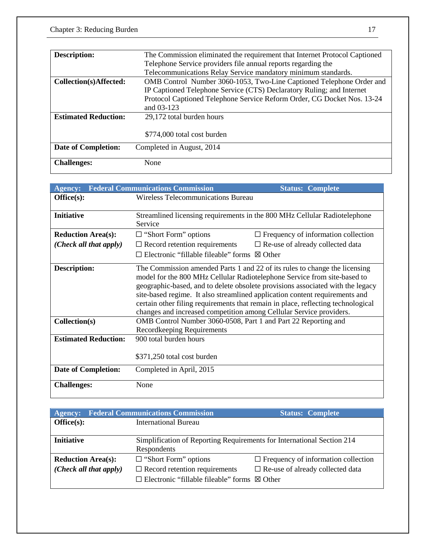| <b>Description:</b>         | The Commission eliminated the requirement that Internet Protocol Captioned |
|-----------------------------|----------------------------------------------------------------------------|
|                             | Telephone Service providers file annual reports regarding the              |
|                             | Telecommunications Relay Service mandatory minimum standards.              |
| Collection(s)Affected:      | OMB Control Number 3060-1053, Two-Line Captioned Telephone Order and       |
|                             | IP Captioned Telephone Service (CTS) Declaratory Ruling; and Internet      |
|                             | Protocol Captioned Telephone Service Reform Order, CG Docket Nos. 13-24    |
|                             | and 03-123                                                                 |
| <b>Estimated Reduction:</b> | 29,172 total burden hours                                                  |
|                             |                                                                            |
|                             | \$774,000 total cost burden                                                |
| <b>Date of Completion:</b>  | Completed in August, 2014                                                  |
|                             |                                                                            |
| <b>Challenges:</b>          | None                                                                       |

| <b>Agency:</b>                | <b>Federal Communications Commission</b>                                                                                                                                                                                                                                                                                                                                                                                                                                                                                                                                           | <b>Status: Complete</b>                                                   |  |  |  |
|-------------------------------|------------------------------------------------------------------------------------------------------------------------------------------------------------------------------------------------------------------------------------------------------------------------------------------------------------------------------------------------------------------------------------------------------------------------------------------------------------------------------------------------------------------------------------------------------------------------------------|---------------------------------------------------------------------------|--|--|--|
| Office(s):                    | <b>Wireless Telecommunications Bureau</b>                                                                                                                                                                                                                                                                                                                                                                                                                                                                                                                                          |                                                                           |  |  |  |
|                               |                                                                                                                                                                                                                                                                                                                                                                                                                                                                                                                                                                                    |                                                                           |  |  |  |
| <b>Initiative</b>             |                                                                                                                                                                                                                                                                                                                                                                                                                                                                                                                                                                                    | Streamlined licensing requirements in the 800 MHz Cellular Radiotelephone |  |  |  |
|                               | Service                                                                                                                                                                                                                                                                                                                                                                                                                                                                                                                                                                            |                                                                           |  |  |  |
| <b>Reduction Area(s):</b>     | $\Box$ "Short Form" options                                                                                                                                                                                                                                                                                                                                                                                                                                                                                                                                                        | $\Box$ Frequency of information collection                                |  |  |  |
| (Check all that apply)        | $\Box$ Record retention requirements                                                                                                                                                                                                                                                                                                                                                                                                                                                                                                                                               | $\Box$ Re-use of already collected data                                   |  |  |  |
|                               | $\Box$ Electronic "fillable fileable" forms $\boxtimes$ Other                                                                                                                                                                                                                                                                                                                                                                                                                                                                                                                      |                                                                           |  |  |  |
| Description:<br>Collection(s) | The Commission amended Parts 1 and 22 of its rules to change the licensing<br>model for the 800 MHz Cellular Radiotelephone Service from site-based to<br>geographic-based, and to delete obsolete provisions associated with the legacy<br>site-based regime. It also streamlined application content requirements and<br>certain other filing requirements that remain in place, reflecting technological<br>changes and increased competition among Cellular Service providers.<br>OMB Control Number 3060-0508, Part 1 and Part 22 Reporting and<br>Recordkeeping Requirements |                                                                           |  |  |  |
| <b>Estimated Reduction:</b>   | 900 total burden hours                                                                                                                                                                                                                                                                                                                                                                                                                                                                                                                                                             |                                                                           |  |  |  |
|                               | \$371,250 total cost burden                                                                                                                                                                                                                                                                                                                                                                                                                                                                                                                                                        |                                                                           |  |  |  |
| <b>Date of Completion:</b>    | Completed in April, 2015                                                                                                                                                                                                                                                                                                                                                                                                                                                                                                                                                           |                                                                           |  |  |  |
| <b>Challenges:</b>            | None                                                                                                                                                                                                                                                                                                                                                                                                                                                                                                                                                                               |                                                                           |  |  |  |

|                           | <b>Agency:</b> Federal Communications Commission                       | <b>Status: Complete</b>                    |
|---------------------------|------------------------------------------------------------------------|--------------------------------------------|
| Office(s):                | <b>International Bureau</b>                                            |                                            |
|                           |                                                                        |                                            |
| <b>Initiative</b>         | Simplification of Reporting Requirements for International Section 214 |                                            |
|                           | Respondents                                                            |                                            |
| <b>Reduction Area(s):</b> | $\Box$ "Short Form" options                                            | $\Box$ Frequency of information collection |
| (Check all that apply)    | $\Box$ Record retention requirements                                   | $\Box$ Re-use of already collected data    |
|                           | $\Box$ Electronic "fillable fileable" forms $\boxtimes$ Other          |                                            |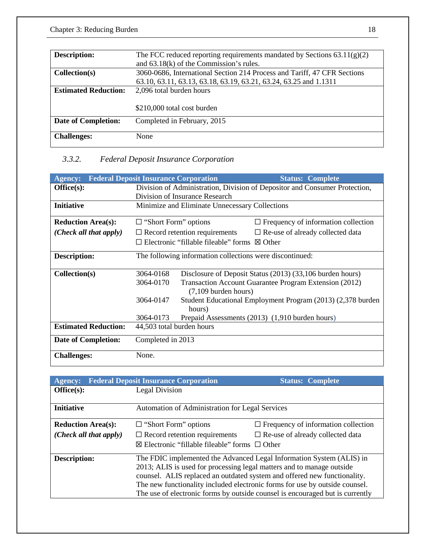| <b>Description:</b>         | The FCC reduced reporting requirements mandated by Sections $63.11(g)(2)$ |
|-----------------------------|---------------------------------------------------------------------------|
|                             | and $63.18(k)$ of the Commission's rules.                                 |
| Collection(s)               | 3060-0686, International Section 214 Process and Tariff, 47 CFR Sections  |
|                             | 63.10, 63.11, 63.13, 63.18, 63.19, 63.21, 63.24, 63.25 and 1.1311         |
| <b>Estimated Reduction:</b> | 2,096 total burden hours                                                  |
|                             |                                                                           |
|                             | \$210,000 total cost burden                                               |
| <b>Date of Completion:</b>  | Completed in February, 2015                                               |
|                             |                                                                           |
| <b>Challenges:</b>          | None                                                                      |
|                             |                                                                           |

## *3.3.2. Federal Deposit Insurance Corporation*

| <b>Agency:</b>              | <b>Federal Deposit Insurance Corporation</b> |                                                               | <b>Status: Complete</b>                                                    |
|-----------------------------|----------------------------------------------|---------------------------------------------------------------|----------------------------------------------------------------------------|
| Office(s):                  |                                              |                                                               | Division of Administration, Division of Depositor and Consumer Protection, |
|                             |                                              | Division of Insurance Research                                |                                                                            |
| <b>Initiative</b>           |                                              | Minimize and Eliminate Unnecessary Collections                |                                                                            |
| <b>Reduction Area(s):</b>   | $\Box$ "Short Form" options                  |                                                               | $\Box$ Frequency of information collection                                 |
| (Check all that apply)      |                                              | $\Box$ Record retention requirements                          | $\square$ Re-use of already collected data                                 |
|                             |                                              | $\Box$ Electronic "fillable fileable" forms $\boxtimes$ Other |                                                                            |
| <b>Description:</b>         |                                              | The following information collections were discontinued:      |                                                                            |
|                             |                                              |                                                               |                                                                            |
| Collection(s)               | 3064-0168                                    |                                                               | Disclosure of Deposit Status (2013) (33,106 burden hours)                  |
|                             | 3064-0170                                    | $(7,109$ burden hours)                                        | Transaction Account Guarantee Program Extension (2012)                     |
|                             | 3064-0147                                    |                                                               | Student Educational Employment Program (2013) (2,378 burden                |
|                             |                                              | hours)                                                        |                                                                            |
|                             | 3064-0173                                    |                                                               | Prepaid Assessments (2013) (1,910 burden hours)                            |
| <b>Estimated Reduction:</b> | 44,503 total burden hours                    |                                                               |                                                                            |
| <b>Date of Completion:</b>  | Completed in 2013                            |                                                               |                                                                            |
| <b>Challenges:</b>          | None.                                        |                                                               |                                                                            |

| <b>Agency:</b>            | <b>Federal Deposit Insurance Corporation</b>                          | <b>Status: Complete</b>                                                       |
|---------------------------|-----------------------------------------------------------------------|-------------------------------------------------------------------------------|
| Office(s):                | Legal Division                                                        |                                                                               |
|                           |                                                                       |                                                                               |
| <b>Initiative</b>         | Automation of Administration for Legal Services                       |                                                                               |
|                           |                                                                       |                                                                               |
| <b>Reduction Area(s):</b> | $\Box$ "Short Form" options                                           | $\Box$ Frequency of information collection                                    |
| (Check all that apply)    | $\Box$ Record retention requirements                                  | $\Box$ Re-use of already collected data                                       |
|                           | ⊠ Electronic "fillable fileable" forms $□$ Other                      |                                                                               |
| <b>Description:</b>       |                                                                       | The FDIC implemented the Advanced Legal Information System (ALIS) in          |
|                           | 2013; ALIS is used for processing legal matters and to manage outside |                                                                               |
|                           |                                                                       | counsel. ALIS replaced an outdated system and offered new functionality.      |
|                           |                                                                       | The new functionality included electronic forms for use by outside counsel.   |
|                           |                                                                       | The use of electronic forms by outside counsel is encouraged but is currently |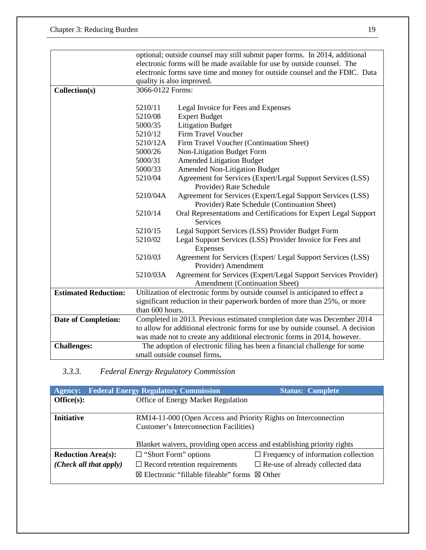|                             |                                              | optional; outside counsel may still submit paper forms. In 2014, additional     |
|-----------------------------|----------------------------------------------|---------------------------------------------------------------------------------|
|                             |                                              | electronic forms will be made available for use by outside counsel. The         |
|                             |                                              | electronic forms save time and money for outside counsel and the FDIC. Data     |
|                             |                                              | quality is also improved.                                                       |
| Collection(s)               | 3066-0122 Forms:                             |                                                                                 |
|                             |                                              |                                                                                 |
|                             | 5210/11                                      | Legal Invoice for Fees and Expenses                                             |
|                             | 5210/08                                      | <b>Expert Budget</b>                                                            |
|                             | 5000/35                                      | <b>Litigation Budget</b>                                                        |
|                             | 5210/12                                      | Firm Travel Voucher                                                             |
|                             | 5210/12A                                     | Firm Travel Voucher (Continuation Sheet)                                        |
|                             | 5000/26                                      | Non-Litigation Budget Form                                                      |
|                             | 5000/31                                      | <b>Amended Litigation Budget</b>                                                |
|                             | 5000/33                                      | <b>Amended Non-Litigation Budget</b>                                            |
|                             | 5210/04                                      | Agreement for Services (Expert/Legal Support Services (LSS)                     |
|                             |                                              | Provider) Rate Schedule                                                         |
|                             | 5210/04A                                     | Agreement for Services (Expert/Legal Support Services (LSS)                     |
|                             | Provider) Rate Schedule (Continuation Sheet) |                                                                                 |
|                             | 5210/14                                      | Oral Representations and Certifications for Expert Legal Support                |
|                             |                                              | <b>Services</b>                                                                 |
|                             | 5210/15                                      | Legal Support Services (LSS) Provider Budget Form                               |
|                             | 5210/02                                      | Legal Support Services (LSS) Provider Invoice for Fees and                      |
|                             |                                              | Expenses                                                                        |
|                             | 5210/03                                      | Agreement for Services (Expert/ Legal Support Services (LSS)                    |
|                             |                                              | Provider) Amendment                                                             |
|                             | 5210/03A                                     | Agreement for Services (Expert/Legal Support Services Provider)                 |
|                             |                                              | Amendment (Continuation Sheet)                                                  |
| <b>Estimated Reduction:</b> |                                              | Utilization of electronic forms by outside counsel is anticipated to effect a   |
|                             |                                              | significant reduction in their paperwork burden of more than 25%, or more       |
|                             | than 600 hours.                              |                                                                                 |
| <b>Date of Completion:</b>  |                                              | Completed in 2013. Previous estimated completion date was December 2014         |
|                             |                                              | to allow for additional electronic forms for use by outside counsel. A decision |
|                             |                                              | was made not to create any additional electronic forms in 2014, however.        |
| <b>Challenges:</b>          |                                              | The adoption of electronic filing has been a financial challenge for some       |
|                             |                                              | small outside counsel firms.                                                    |

## *3.3.3. Federal Energy Regulatory Commission*

| <b>Agency:</b>                 | <b>Federal Energy Regulatory Commission</b>                             | <b>Status: Complete</b>                    |
|--------------------------------|-------------------------------------------------------------------------|--------------------------------------------|
| Office(s):                     | Office of Energy Market Regulation                                      |                                            |
|                                |                                                                         |                                            |
| <b>Initiative</b>              | RM14-11-000 (Open Access and Priority Rights on Interconnection         |                                            |
|                                | <b>Customer's Interconnection Facilities)</b>                           |                                            |
|                                |                                                                         |                                            |
|                                | Blanket waivers, providing open access and establishing priority rights |                                            |
| <b>Reduction Area(s):</b>      | $\Box$ "Short Form" options                                             | $\Box$ Frequency of information collection |
| $(Check \ all \ that \ apply)$ | $\Box$ Record retention requirements                                    | $\Box$ Re-use of already collected data    |
|                                | $\boxtimes$ Electronic "fillable fileable" forms $\boxtimes$ Other      |                                            |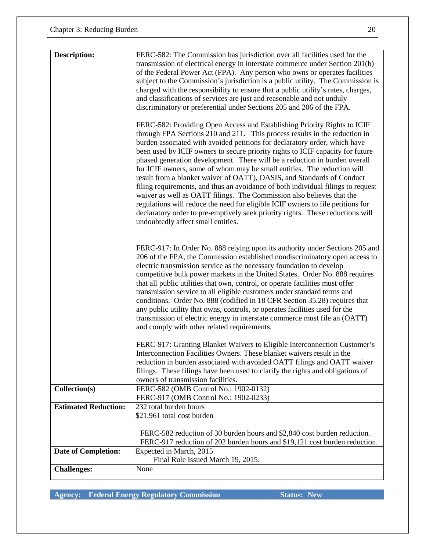| <b>Description:</b>         | FERC-582: The Commission has jurisdiction over all facilities used for the<br>transmission of electrical energy in interstate commerce under Section 201(b)<br>of the Federal Power Act (FPA). Any person who owns or operates facilities<br>subject to the Commission's jurisdiction is a public utility. The Commission is<br>charged with the responsibility to ensure that a public utility's rates, charges,<br>and classifications of services are just and reasonable and not unduly<br>discriminatory or preferential under Sections 205 and 206 of the FPA.<br>FERC-582: Providing Open Access and Establishing Priority Rights to ICIF<br>through FPA Sections 210 and 211. This process results in the reduction in<br>burden associated with avoided petitions for declaratory order, which have<br>been used by ICIF owners to secure priority rights to ICIF capacity for future<br>phased generation development. There will be a reduction in burden overall<br>for ICIF owners, some of whom may be small entities. The reduction will |
|-----------------------------|---------------------------------------------------------------------------------------------------------------------------------------------------------------------------------------------------------------------------------------------------------------------------------------------------------------------------------------------------------------------------------------------------------------------------------------------------------------------------------------------------------------------------------------------------------------------------------------------------------------------------------------------------------------------------------------------------------------------------------------------------------------------------------------------------------------------------------------------------------------------------------------------------------------------------------------------------------------------------------------------------------------------------------------------------------|
|                             | result from a blanket waiver of OATT), OASIS, and Standards of Conduct<br>filing requirements, and thus an avoidance of both individual filings to request<br>waiver as well as OATT filings. The Commission also believes that the<br>regulations will reduce the need for eligible ICIF owners to file petitions for<br>declaratory order to pre-emptively seek priority rights. These reductions will<br>undoubtedly affect small entities.                                                                                                                                                                                                                                                                                                                                                                                                                                                                                                                                                                                                          |
|                             | FERC-917: In Order No. 888 relying upon its authority under Sections 205 and<br>206 of the FPA, the Commission established nondiscriminatory open access to<br>electric transmission service as the necessary foundation to develop<br>competitive bulk power markets in the United States. Order No. 888 requires<br>that all public utilities that own, control, or operate facilities must offer<br>transmission service to all eligible customers under standard terms and<br>conditions. Order No. 888 (codified in 18 CFR Section 35.28) requires that<br>any public utility that owns, controls, or operates facilities used for the<br>transmission of electric energy in interstate commerce must file an (OATT)<br>and comply with other related requirements.                                                                                                                                                                                                                                                                                |
|                             | FERC-917: Granting Blanket Waivers to Eligible Interconnection Customer's<br>Interconnection Facilities Owners. These blanket waivers result in the<br>reduction in burden associated with avoided OATT filings and OATT waiver<br>filings. These filings have been used to clarify the rights and obligations of<br>owners of transmission facilities.                                                                                                                                                                                                                                                                                                                                                                                                                                                                                                                                                                                                                                                                                                 |
| Collection(s)               | FERC-582 (OMB Control No.: 1902-0132)<br>FERC-917 (OMB Control No.: 1902-0233)                                                                                                                                                                                                                                                                                                                                                                                                                                                                                                                                                                                                                                                                                                                                                                                                                                                                                                                                                                          |
| <b>Estimated Reduction:</b> | 232 total burden hours<br>\$21,961 total cost burden                                                                                                                                                                                                                                                                                                                                                                                                                                                                                                                                                                                                                                                                                                                                                                                                                                                                                                                                                                                                    |
|                             | FERC-582 reduction of 30 burden hours and \$2,840 cost burden reduction.<br>FERC-917 reduction of 202 burden hours and \$19,121 cost burden reduction.                                                                                                                                                                                                                                                                                                                                                                                                                                                                                                                                                                                                                                                                                                                                                                                                                                                                                                  |
| <b>Date of Completion:</b>  | Expected in March, 2015<br>Final Rule Issued March 19, 2015.                                                                                                                                                                                                                                                                                                                                                                                                                                                                                                                                                                                                                                                                                                                                                                                                                                                                                                                                                                                            |
| <b>Challenges:</b>          | None                                                                                                                                                                                                                                                                                                                                                                                                                                                                                                                                                                                                                                                                                                                                                                                                                                                                                                                                                                                                                                                    |

**Agency: Federal Energy Regulatory Commission Status: New**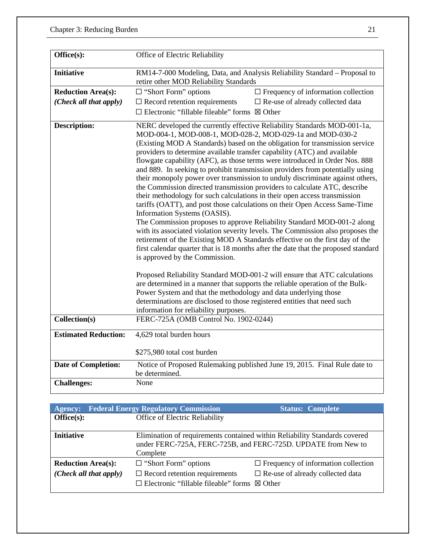| Office(s):                  | Office of Electric Reliability                                                                                                                                                                                                                                                                                                                                                                                                                                                                                                                                                                                                                                                                                                                                                                                                                                                                                                                                                                                                                                                                                                                                                                                                                                               |                                                                              |
|-----------------------------|------------------------------------------------------------------------------------------------------------------------------------------------------------------------------------------------------------------------------------------------------------------------------------------------------------------------------------------------------------------------------------------------------------------------------------------------------------------------------------------------------------------------------------------------------------------------------------------------------------------------------------------------------------------------------------------------------------------------------------------------------------------------------------------------------------------------------------------------------------------------------------------------------------------------------------------------------------------------------------------------------------------------------------------------------------------------------------------------------------------------------------------------------------------------------------------------------------------------------------------------------------------------------|------------------------------------------------------------------------------|
| <b>Initiative</b>           | RM14-7-000 Modeling, Data, and Analysis Reliability Standard - Proposal to<br>retire other MOD Reliability Standards                                                                                                                                                                                                                                                                                                                                                                                                                                                                                                                                                                                                                                                                                                                                                                                                                                                                                                                                                                                                                                                                                                                                                         |                                                                              |
| <b>Reduction Area(s):</b>   | $\Box$ "Short Form" options                                                                                                                                                                                                                                                                                                                                                                                                                                                                                                                                                                                                                                                                                                                                                                                                                                                                                                                                                                                                                                                                                                                                                                                                                                                  | $\Box$ Frequency of information collection                                   |
| (Check all that apply)      | $\Box$ Record retention requirements                                                                                                                                                                                                                                                                                                                                                                                                                                                                                                                                                                                                                                                                                                                                                                                                                                                                                                                                                                                                                                                                                                                                                                                                                                         | $\Box$ Re-use of already collected data                                      |
|                             | $\Box$ Electronic "fillable fileable" forms $\boxtimes$ Other                                                                                                                                                                                                                                                                                                                                                                                                                                                                                                                                                                                                                                                                                                                                                                                                                                                                                                                                                                                                                                                                                                                                                                                                                |                                                                              |
| <b>Description:</b>         | NERC developed the currently effective Reliability Standards MOD-001-1a,<br>MOD-004-1, MOD-008-1, MOD-028-2, MOD-029-1a and MOD-030-2<br>(Existing MOD A Standards) based on the obligation for transmission service<br>providers to determine available transfer capability (ATC) and available<br>flowgate capability (AFC), as those terms were introduced in Order Nos. 888<br>and 889. In seeking to prohibit transmission providers from potentially using<br>their monopoly power over transmission to unduly discriminate against others,<br>the Commission directed transmission providers to calculate ATC, describe<br>their methodology for such calculations in their open access transmission<br>tariffs (OATT), and post those calculations on their Open Access Same-Time<br>Information Systems (OASIS).<br>The Commission proposes to approve Reliability Standard MOD-001-2 along<br>with its associated violation severity levels. The Commission also proposes the<br>retirement of the Existing MOD A Standards effective on the first day of the<br>first calendar quarter that is 18 months after the date that the proposed standard<br>is approved by the Commission.<br>Proposed Reliability Standard MOD-001-2 will ensure that ATC calculations |                                                                              |
|                             |                                                                                                                                                                                                                                                                                                                                                                                                                                                                                                                                                                                                                                                                                                                                                                                                                                                                                                                                                                                                                                                                                                                                                                                                                                                                              | are determined in a manner that supports the reliable operation of the Bulk- |
|                             | Power System and that the methodology and data underlying those                                                                                                                                                                                                                                                                                                                                                                                                                                                                                                                                                                                                                                                                                                                                                                                                                                                                                                                                                                                                                                                                                                                                                                                                              |                                                                              |
|                             | determinations are disclosed to those registered entities that need such                                                                                                                                                                                                                                                                                                                                                                                                                                                                                                                                                                                                                                                                                                                                                                                                                                                                                                                                                                                                                                                                                                                                                                                                     |                                                                              |
|                             | information for reliability purposes.                                                                                                                                                                                                                                                                                                                                                                                                                                                                                                                                                                                                                                                                                                                                                                                                                                                                                                                                                                                                                                                                                                                                                                                                                                        |                                                                              |
| Collection(s)               | FERC-725A (OMB Control No. 1902-0244)                                                                                                                                                                                                                                                                                                                                                                                                                                                                                                                                                                                                                                                                                                                                                                                                                                                                                                                                                                                                                                                                                                                                                                                                                                        |                                                                              |
| <b>Estimated Reduction:</b> | 4,629 total burden hours                                                                                                                                                                                                                                                                                                                                                                                                                                                                                                                                                                                                                                                                                                                                                                                                                                                                                                                                                                                                                                                                                                                                                                                                                                                     |                                                                              |
|                             | \$275,980 total cost burden                                                                                                                                                                                                                                                                                                                                                                                                                                                                                                                                                                                                                                                                                                                                                                                                                                                                                                                                                                                                                                                                                                                                                                                                                                                  |                                                                              |
| <b>Date of Completion:</b>  | be determined.                                                                                                                                                                                                                                                                                                                                                                                                                                                                                                                                                                                                                                                                                                                                                                                                                                                                                                                                                                                                                                                                                                                                                                                                                                                               | Notice of Proposed Rulemaking published June 19, 2015. Final Rule date to    |
| <b>Challenges:</b>          | None                                                                                                                                                                                                                                                                                                                                                                                                                                                                                                                                                                                                                                                                                                                                                                                                                                                                                                                                                                                                                                                                                                                                                                                                                                                                         |                                                                              |

| <b>Agency:</b>            | <b>Federal Energy Regulatory Commission</b>                                                           | <b>Status: Complete</b>                                                    |
|---------------------------|-------------------------------------------------------------------------------------------------------|----------------------------------------------------------------------------|
| Office(s):                | Office of Electric Reliability                                                                        |                                                                            |
| <b>Initiative</b>         | under FERC-725A, FERC-725B, and FERC-725D. UPDATE from New to<br>Complete                             | Elimination of requirements contained within Reliability Standards covered |
| <b>Reduction Area(s):</b> | $\Box$ "Short Form" options                                                                           | $\Box$ Frequency of information collection                                 |
| (Check all that apply)    | $\Box$ Record retention requirements<br>$\Box$ Electronic "fillable fileable" forms $\boxtimes$ Other | $\Box$ Re-use of already collected data                                    |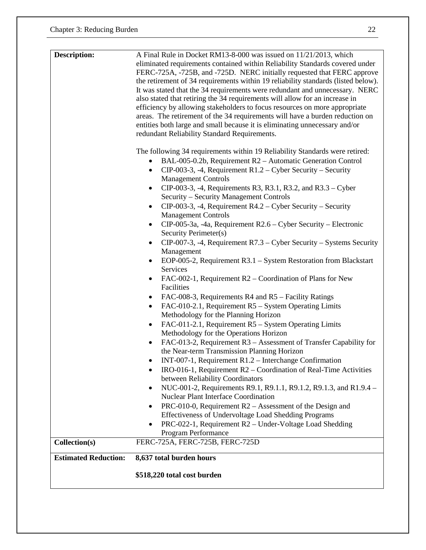| <b>Description:</b>         | A Final Rule in Docket RM13-8-000 was issued on 11/21/2013, which                 |
|-----------------------------|-----------------------------------------------------------------------------------|
|                             | eliminated requirements contained within Reliability Standards covered under      |
|                             | FERC-725A, -725B, and -725D. NERC initially requested that FERC approve           |
|                             | the retirement of 34 requirements within 19 reliability standards (listed below). |
|                             | It was stated that the 34 requirements were redundant and unnecessary. NERC       |
|                             | also stated that retiring the 34 requirements will allow for an increase in       |
|                             | efficiency by allowing stakeholders to focus resources on more appropriate        |
|                             | areas. The retirement of the 34 requirements will have a burden reduction on      |
|                             | entities both large and small because it is eliminating unnecessary and/or        |
|                             | redundant Reliability Standard Requirements.                                      |
|                             | The following 34 requirements within 19 Reliability Standards were retired:       |
|                             | BAL-005-0.2b, Requirement R2 - Automatic Generation Control                       |
|                             | CIP-003-3, -4, Requirement $R1.2 - Cyber$ Security – Security                     |
|                             | <b>Management Controls</b>                                                        |
|                             | CIP-003-3, -4, Requirements R3, R3.1, R3.2, and R3.3 – Cyber<br>$\bullet$         |
|                             | Security - Security Management Controls                                           |
|                             | $CIP-003-3$ , -4, Requirement R4.2 – Cyber Security – Security                    |
|                             | <b>Management Controls</b>                                                        |
|                             | $CIP-005-3a$ , -4a, Requirement R2.6 – Cyber Security – Electronic<br>٠           |
|                             | Security Perimeter(s)                                                             |
|                             | $CP-007-3$ , -4, Requirement R7.3 – Cyber Security – Systems Security             |
|                             | Management                                                                        |
|                             | EOP-005-2, Requirement R3.1 – System Restoration from Blackstart                  |
|                             | Services                                                                          |
|                             | FAC-002-1, Requirement R2 – Coordination of Plans for New<br>٠                    |
|                             | Facilities                                                                        |
|                             | FAC-008-3, Requirements R4 and R5 – Facility Ratings                              |
|                             | FAC-010-2.1, Requirement R5 – System Operating Limits<br>$\bullet$                |
|                             | Methodology for the Planning Horizon                                              |
|                             | FAC-011-2.1, Requirement R5 – System Operating Limits<br>٠                        |
|                             | Methodology for the Operations Horizon                                            |
|                             | FAC-013-2, Requirement R3 - Assessment of Transfer Capability for                 |
|                             | the Near-term Transmission Planning Horizon                                       |
|                             | INT-007-1, Requirement $R1.2$ – Interchange Confirmation                          |
|                             | IRO-016-1, Requirement R2 – Coordination of Real-Time Activities                  |
|                             | between Reliability Coordinators                                                  |
|                             | NUC-001-2, Requirements R9.1, R9.1.1, R9.1.2, R9.1.3, and R1.9.4 -<br>$\bullet$   |
|                             | <b>Nuclear Plant Interface Coordination</b>                                       |
|                             | PRC-010-0, Requirement R2 – Assessment of the Design and                          |
|                             | Effectiveness of Undervoltage Load Shedding Programs                              |
|                             | PRC-022-1, Requirement R2 – Under-Voltage Load Shedding                           |
|                             | Program Performance                                                               |
| Collection(s)               | FERC-725A, FERC-725B, FERC-725D                                                   |
| <b>Estimated Reduction:</b> | 8,637 total burden hours                                                          |
|                             | \$518,220 total cost burden                                                       |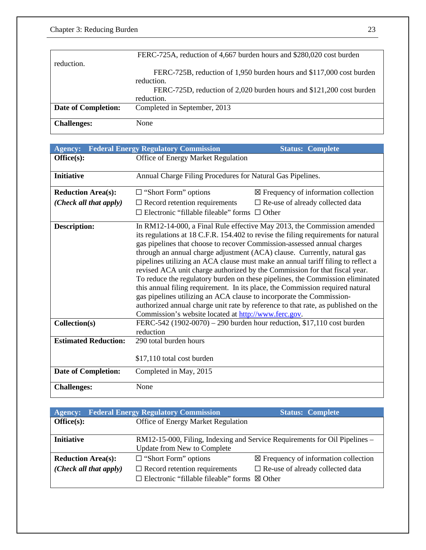|                            | FERC-725A, reduction of 4,667 burden hours and \$280,020 cost burden |
|----------------------------|----------------------------------------------------------------------|
| reduction.                 |                                                                      |
|                            | FERC-725B, reduction of 1,950 burden hours and \$117,000 cost burden |
|                            | reduction.                                                           |
|                            | FERC-725D, reduction of 2,020 burden hours and \$121,200 cost burden |
|                            | reduction.                                                           |
| <b>Date of Completion:</b> | Completed in September, 2013                                         |
|                            |                                                                      |
| <b>Challenges:</b>         | None                                                                 |

| <b>Agency:</b>              | <b>Federal Energy Regulatory Commission</b>                                                                                                                                                                                                                                                                                                                                                                                                                                                                                                                                                                                                                                                                                                                                                                                                                                   | <b>Status: Complete</b>                                                |
|-----------------------------|-------------------------------------------------------------------------------------------------------------------------------------------------------------------------------------------------------------------------------------------------------------------------------------------------------------------------------------------------------------------------------------------------------------------------------------------------------------------------------------------------------------------------------------------------------------------------------------------------------------------------------------------------------------------------------------------------------------------------------------------------------------------------------------------------------------------------------------------------------------------------------|------------------------------------------------------------------------|
| Office(s):                  | Office of Energy Market Regulation                                                                                                                                                                                                                                                                                                                                                                                                                                                                                                                                                                                                                                                                                                                                                                                                                                            |                                                                        |
| <b>Initiative</b>           | Annual Charge Filing Procedures for Natural Gas Pipelines.                                                                                                                                                                                                                                                                                                                                                                                                                                                                                                                                                                                                                                                                                                                                                                                                                    |                                                                        |
| <b>Reduction Area(s):</b>   | $\Box$ "Short Form" options                                                                                                                                                                                                                                                                                                                                                                                                                                                                                                                                                                                                                                                                                                                                                                                                                                                   | $\boxtimes$ Frequency of information collection                        |
| (Check all that apply)      | $\Box$ Record retention requirements                                                                                                                                                                                                                                                                                                                                                                                                                                                                                                                                                                                                                                                                                                                                                                                                                                          | $\square$ Re-use of already collected data                             |
|                             | Electronic "fillable fileable" forms $\Box$ Other                                                                                                                                                                                                                                                                                                                                                                                                                                                                                                                                                                                                                                                                                                                                                                                                                             |                                                                        |
| <b>Description:</b>         | In RM12-14-000, a Final Rule effective May 2013, the Commission amended<br>its regulations at 18 C.F.R. 154.402 to revise the filing requirements for natural<br>gas pipelines that choose to recover Commission-assessed annual charges<br>through an annual charge adjustment (ACA) clause. Currently, natural gas<br>pipelines utilizing an ACA clause must make an annual tariff filing to reflect a<br>revised ACA unit charge authorized by the Commission for that fiscal year.<br>To reduce the regulatory burden on these pipelines, the Commission eliminated<br>this annual filing requirement. In its place, the Commission required natural<br>gas pipelines utilizing an ACA clause to incorporate the Commission-<br>authorized annual charge unit rate by reference to that rate, as published on the<br>Commission's website located at http://www.ferc.gov. |                                                                        |
| Collection(s)               | reduction                                                                                                                                                                                                                                                                                                                                                                                                                                                                                                                                                                                                                                                                                                                                                                                                                                                                     | FERC-542 (1902-0070) – 290 burden hour reduction, \$17,110 cost burden |
| <b>Estimated Reduction:</b> | 290 total burden hours                                                                                                                                                                                                                                                                                                                                                                                                                                                                                                                                                                                                                                                                                                                                                                                                                                                        |                                                                        |
|                             | \$17,110 total cost burden                                                                                                                                                                                                                                                                                                                                                                                                                                                                                                                                                                                                                                                                                                                                                                                                                                                    |                                                                        |
| <b>Date of Completion:</b>  | Completed in May, 2015                                                                                                                                                                                                                                                                                                                                                                                                                                                                                                                                                                                                                                                                                                                                                                                                                                                        |                                                                        |
| <b>Challenges:</b>          | None                                                                                                                                                                                                                                                                                                                                                                                                                                                                                                                                                                                                                                                                                                                                                                                                                                                                          |                                                                        |

| <b>Agency:</b>            | <b>Federal Energy Regulatory Commission</b>                   | <b>Status: Complete</b>                                                    |
|---------------------------|---------------------------------------------------------------|----------------------------------------------------------------------------|
| Office(s):                | Office of Energy Market Regulation                            |                                                                            |
|                           |                                                               |                                                                            |
| <b>Initiative</b>         |                                                               | RM12-15-000, Filing, Indexing and Service Requirements for Oil Pipelines – |
|                           | <b>Update from New to Complete</b>                            |                                                                            |
| <b>Reduction Area(s):</b> | $\Box$ "Short Form" options                                   | $\boxtimes$ Frequency of information collection                            |
| (Check all that apply)    | $\Box$ Record retention requirements                          | $\Box$ Re-use of already collected data                                    |
|                           | $\Box$ Electronic "fillable fileable" forms $\boxtimes$ Other |                                                                            |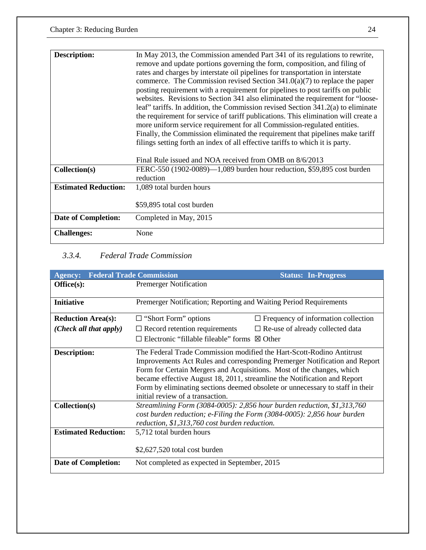| Description:                | In May 2013, the Commission amended Part 341 of its regulations to rewrite,        |
|-----------------------------|------------------------------------------------------------------------------------|
|                             | remove and update portions governing the form, composition, and filing of          |
|                             | rates and charges by interstate oil pipelines for transportation in interstate     |
|                             | commerce. The Commission revised Section $341.0(a)(7)$ to replace the paper        |
|                             | posting requirement with a requirement for pipelines to post tariffs on public     |
|                             | websites. Revisions to Section 341 also eliminated the requirement for "loose-     |
|                             | leaf" tariffs. In addition, the Commission revised Section 341.2(a) to eliminate   |
|                             | the requirement for service of tariff publications. This elimination will create a |
|                             | more uniform service requirement for all Commission-regulated entities.            |
|                             | Finally, the Commission eliminated the requirement that pipelines make tariff      |
|                             | filings setting forth an index of all effective tariffs to which it is party.      |
|                             |                                                                                    |
|                             | Final Rule issued and NOA received from OMB on 8/6/2013                            |
| Collection(s)               | FERC-550 (1902-0089)—1,089 burden hour reduction, \$59,895 cost burden             |
|                             | reduction                                                                          |
| <b>Estimated Reduction:</b> | 1,089 total burden hours                                                           |
|                             |                                                                                    |
|                             | \$59,895 total cost burden                                                         |
|                             |                                                                                    |
| <b>Date of Completion:</b>  | Completed in May, 2015                                                             |
| <b>Challenges:</b>          | None                                                                               |
|                             |                                                                                    |

## *3.3.4. Federal Trade Commission*

| <b>Agency:</b>              | <b>Federal Trade Commission</b>                                                                                                                                                                                                                                                                                                                                                                                               | <b>Status: In-Progress</b>                                                                                                                            |
|-----------------------------|-------------------------------------------------------------------------------------------------------------------------------------------------------------------------------------------------------------------------------------------------------------------------------------------------------------------------------------------------------------------------------------------------------------------------------|-------------------------------------------------------------------------------------------------------------------------------------------------------|
| Office(s):                  | <b>Premerger Notification</b>                                                                                                                                                                                                                                                                                                                                                                                                 |                                                                                                                                                       |
| <b>Initiative</b>           | Premerger Notification; Reporting and Waiting Period Requirements                                                                                                                                                                                                                                                                                                                                                             |                                                                                                                                                       |
| <b>Reduction Area(s):</b>   | $\Box$ "Short Form" options                                                                                                                                                                                                                                                                                                                                                                                                   | $\Box$ Frequency of information collection                                                                                                            |
| (Check all that apply)      | $\Box$ Record retention requirements                                                                                                                                                                                                                                                                                                                                                                                          | $\Box$ Re-use of already collected data                                                                                                               |
|                             | Electronic "fillable fileable" forms                                                                                                                                                                                                                                                                                                                                                                                          | $\boxtimes$ Other                                                                                                                                     |
| Description:                | The Federal Trade Commission modified the Hart-Scott-Rodino Antitrust<br>Improvements Act Rules and corresponding Premerger Notification and Report<br>Form for Certain Mergers and Acquisitions. Most of the changes, which<br>became effective August 18, 2011, streamline the Notification and Report<br>Form by eliminating sections deemed obsolete or unnecessary to staff in their<br>initial review of a transaction. |                                                                                                                                                       |
| Collection(s)               | reduction, \$1,313,760 cost burden reduction.                                                                                                                                                                                                                                                                                                                                                                                 | Streamlining Form (3084-0005): 2,856 hour burden reduction, \$1,313,760<br>cost burden reduction; e-Filing the Form $(3084-0005)$ : 2,856 hour burden |
| <b>Estimated Reduction:</b> | 5,712 total burden hours                                                                                                                                                                                                                                                                                                                                                                                                      |                                                                                                                                                       |
|                             | \$2,627,520 total cost burden                                                                                                                                                                                                                                                                                                                                                                                                 |                                                                                                                                                       |
| <b>Date of Completion:</b>  | Not completed as expected in September, 2015                                                                                                                                                                                                                                                                                                                                                                                  |                                                                                                                                                       |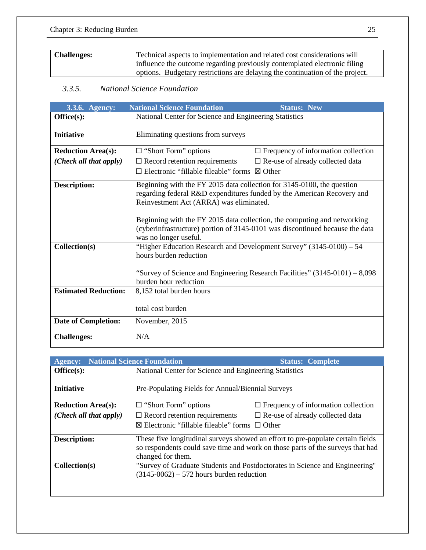| <b>Challenges:</b> | Technical aspects to implementation and related cost considerations will      |
|--------------------|-------------------------------------------------------------------------------|
|                    | influence the outcome regarding previously contemplated electronic filing     |
|                    | options. Budgetary restrictions are delaying the continuation of the project. |

## *3.3.5. National Science Foundation*

| 3.3.6. Agency:              | <b>National Science Foundation</b><br><b>Status: New</b>                                                                                                                                    |
|-----------------------------|---------------------------------------------------------------------------------------------------------------------------------------------------------------------------------------------|
| Office(s):                  | National Center for Science and Engineering Statistics                                                                                                                                      |
| <b>Initiative</b>           | Eliminating questions from surveys                                                                                                                                                          |
|                             |                                                                                                                                                                                             |
| <b>Reduction Area(s):</b>   | $\Box$ Frequency of information collection<br>$\Box$ "Short Form" options                                                                                                                   |
| (Check all that apply)      | $\Box$ Record retention requirements<br>$\square$ Re-use of already collected data                                                                                                          |
|                             | $\Box$ Electronic "fillable fileable" forms $\boxtimes$ Other                                                                                                                               |
| <b>Description:</b>         | Beginning with the FY 2015 data collection for 3145-0100, the question<br>regarding federal R&D expenditures funded by the American Recovery and<br>Reinvestment Act (ARRA) was eliminated. |
|                             | Beginning with the FY 2015 data collection, the computing and networking<br>(cyberinfrastructure) portion of 3145-0101 was discontinued because the data<br>was no longer useful.           |
| Collection(s)               | "Higher Education Research and Development Survey" (3145-0100) - 54<br>hours burden reduction                                                                                               |
|                             | "Survey of Science and Engineering Research Facilities" $(3145-0101) - 8,098$<br>burden hour reduction                                                                                      |
| <b>Estimated Reduction:</b> | 8,152 total burden hours                                                                                                                                                                    |
|                             | total cost burden                                                                                                                                                                           |
| <b>Date of Completion:</b>  | November, 2015                                                                                                                                                                              |
| <b>Challenges:</b>          | N/A                                                                                                                                                                                         |

| <b>Agency:</b>            | <b>National Science Foundation</b>                     | <b>Status: Complete</b>                                                                                                                                           |
|---------------------------|--------------------------------------------------------|-------------------------------------------------------------------------------------------------------------------------------------------------------------------|
| Office(s):                | National Center for Science and Engineering Statistics |                                                                                                                                                                   |
|                           |                                                        |                                                                                                                                                                   |
| <b>Initiative</b>         | Pre-Populating Fields for Annual/Biennial Surveys      |                                                                                                                                                                   |
| <b>Reduction Area(s):</b> | $\Box$ "Short Form" options                            | $\Box$ Frequency of information collection                                                                                                                        |
| (Check all that apply)    | $\Box$ Record retention requirements                   | $\Box$ Re-use of already collected data                                                                                                                           |
|                           | ⊠ Electronic "fillable fileable" forms $□$ Other       |                                                                                                                                                                   |
| <b>Description:</b>       | changed for them.                                      | These five longitudinal surveys showed an effort to pre-populate certain fields<br>so respondents could save time and work on those parts of the surveys that had |
| Collection(s)             | $(3145-0062) - 572$ hours burden reduction             | "Survey of Graduate Students and Postdoctorates in Science and Engineering"                                                                                       |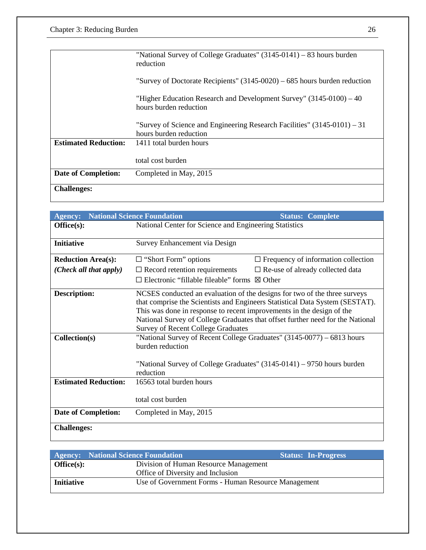|                             | "National Survey of College Graduates" (3145-0141) – 83 hours burden<br>reduction                    |
|-----------------------------|------------------------------------------------------------------------------------------------------|
|                             | "Survey of Doctorate Recipients" $(3145-0020) - 685$ hours burden reduction                          |
|                             | "Higher Education Research and Development Survey" (3145-0100) – 40<br>hours burden reduction        |
|                             | "Survey of Science and Engineering Research Facilities" $(3145-0101) - 31$<br>hours burden reduction |
| <b>Estimated Reduction:</b> | 1411 total burden hours                                                                              |
|                             | total cost burden                                                                                    |
| <b>Date of Completion:</b>  | Completed in May, 2015                                                                               |
| <b>Challenges:</b>          |                                                                                                      |

| Agency:                         | <b>National Science Foundation</b>                                                                                 | <b>Status: Complete</b>                                                                                                                                                                                                                     |
|---------------------------------|--------------------------------------------------------------------------------------------------------------------|---------------------------------------------------------------------------------------------------------------------------------------------------------------------------------------------------------------------------------------------|
| Office(s):                      | National Center for Science and Engineering Statistics                                                             |                                                                                                                                                                                                                                             |
|                                 |                                                                                                                    |                                                                                                                                                                                                                                             |
| <b>Initiative</b>               | Survey Enhancement via Design                                                                                      |                                                                                                                                                                                                                                             |
| <b>Reduction Area(s):</b>       | $\Box$ "Short Form" options                                                                                        | $\Box$ Frequency of information collection                                                                                                                                                                                                  |
| ( <i>Check all that apply</i> ) | $\Box$ Record retention requirements                                                                               | $\Box$ Re-use of already collected data                                                                                                                                                                                                     |
|                                 | $\Box$ Electronic "fillable fileable" forms $\boxtimes$ Other                                                      |                                                                                                                                                                                                                                             |
| <b>Description:</b>             | This was done in response to recent improvements in the design of the<br><b>Survey of Recent College Graduates</b> | NCSES conducted an evaluation of the designs for two of the three surveys<br>that comprise the Scientists and Engineers Statistical Data System (SESTAT).<br>National Survey of College Graduates that offset further need for the National |
| Collection(s)                   | burden reduction                                                                                                   | "National Survey of Recent College Graduates" (3145-0077) – 6813 hours                                                                                                                                                                      |
|                                 |                                                                                                                    | "National Survey of College Graduates" $(3145-0141) - 9750$ hours burden                                                                                                                                                                    |
| <b>Estimated Reduction:</b>     | reduction<br>16563 total burden hours                                                                              |                                                                                                                                                                                                                                             |
|                                 |                                                                                                                    |                                                                                                                                                                                                                                             |
|                                 | total cost burden                                                                                                  |                                                                                                                                                                                                                                             |
| <b>Date of Completion:</b>      | Completed in May, 2015                                                                                             |                                                                                                                                                                                                                                             |
| <b>Challenges:</b>              |                                                                                                                    |                                                                                                                                                                                                                                             |

|                   | <b>Agency:</b> National Science Foundation<br>Status: In-Progress |  |
|-------------------|-------------------------------------------------------------------|--|
| Office(s):        | Division of Human Resource Management                             |  |
|                   | Office of Diversity and Inclusion                                 |  |
| <b>Initiative</b> | Use of Government Forms - Human Resource Management               |  |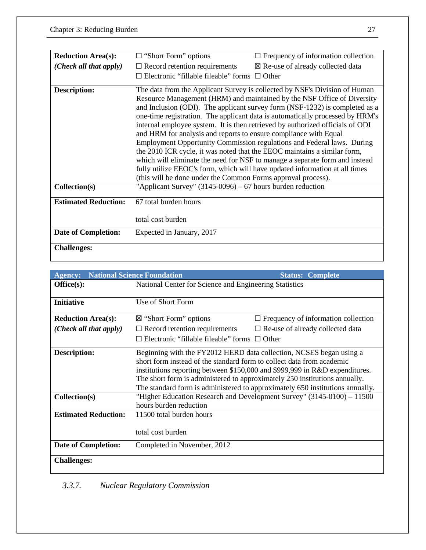| <b>Reduction Area(s):</b>   | $\Box$ "Short Form" options                                                                                                                                                                                                                                                                                                                                                                                                                                                                                                                                                                                                                                                                                                                                                                                                                                    | $\Box$ Frequency of information collection   |
|-----------------------------|----------------------------------------------------------------------------------------------------------------------------------------------------------------------------------------------------------------------------------------------------------------------------------------------------------------------------------------------------------------------------------------------------------------------------------------------------------------------------------------------------------------------------------------------------------------------------------------------------------------------------------------------------------------------------------------------------------------------------------------------------------------------------------------------------------------------------------------------------------------|----------------------------------------------|
| (Check all that apply)      | $\Box$ Record retention requirements                                                                                                                                                                                                                                                                                                                                                                                                                                                                                                                                                                                                                                                                                                                                                                                                                           | $\boxtimes$ Re-use of already collected data |
|                             | $\Box$ Electronic "fillable fileable" forms $\Box$ Other                                                                                                                                                                                                                                                                                                                                                                                                                                                                                                                                                                                                                                                                                                                                                                                                       |                                              |
| Description:                | The data from the Applicant Survey is collected by NSF's Division of Human<br>Resource Management (HRM) and maintained by the NSF Office of Diversity<br>and Inclusion (ODI). The applicant survey form (NSF-1232) is completed as a<br>one-time registration. The applicant data is automatically processed by HRM's<br>internal employee system. It is then retrieved by authorized officials of ODI<br>and HRM for analysis and reports to ensure compliance with Equal<br>Employment Opportunity Commission regulations and Federal laws. During<br>the 2010 ICR cycle, it was noted that the EEOC maintains a similar form,<br>which will eliminate the need for NSF to manage a separate form and instead<br>fully utilize EEOC's form, which will have updated information at all times<br>(this will be done under the Common Forms approval process). |                                              |
| Collection(s)               | "Applicant Survey" $(3145-0096) - 67$ hours burden reduction                                                                                                                                                                                                                                                                                                                                                                                                                                                                                                                                                                                                                                                                                                                                                                                                   |                                              |
| <b>Estimated Reduction:</b> | 67 total burden hours                                                                                                                                                                                                                                                                                                                                                                                                                                                                                                                                                                                                                                                                                                                                                                                                                                          |                                              |
|                             | total cost burden                                                                                                                                                                                                                                                                                                                                                                                                                                                                                                                                                                                                                                                                                                                                                                                                                                              |                                              |
| <b>Date of Completion:</b>  | Expected in January, 2017                                                                                                                                                                                                                                                                                                                                                                                                                                                                                                                                                                                                                                                                                                                                                                                                                                      |                                              |
| <b>Challenges:</b>          |                                                                                                                                                                                                                                                                                                                                                                                                                                                                                                                                                                                                                                                                                                                                                                                                                                                                |                                              |

| <b>Agency:</b>                                                      | <b>National Science Foundation</b>                                                                                          | <b>Status: Complete</b>                                                                                                                                                                                                                                                                                                                                                                     |
|---------------------------------------------------------------------|-----------------------------------------------------------------------------------------------------------------------------|---------------------------------------------------------------------------------------------------------------------------------------------------------------------------------------------------------------------------------------------------------------------------------------------------------------------------------------------------------------------------------------------|
| Office(s):                                                          | National Center for Science and Engineering Statistics                                                                      |                                                                                                                                                                                                                                                                                                                                                                                             |
|                                                                     |                                                                                                                             |                                                                                                                                                                                                                                                                                                                                                                                             |
| <b>Initiative</b>                                                   | Use of Short Form                                                                                                           |                                                                                                                                                                                                                                                                                                                                                                                             |
| <b>Reduction Area(s):</b>                                           | $\boxtimes$ "Short Form" options                                                                                            | $\Box$ Frequency of information collection                                                                                                                                                                                                                                                                                                                                                  |
| (Check all that apply)                                              | $\Box$ Record retention requirements                                                                                        | $\Box$ Re-use of already collected data                                                                                                                                                                                                                                                                                                                                                     |
|                                                                     | $\Box$ Electronic "fillable fileable" forms $\Box$ Other                                                                    |                                                                                                                                                                                                                                                                                                                                                                                             |
| <b>Description:</b><br>Collection(s)<br><b>Estimated Reduction:</b> | short form instead of the standard form to collect data from academic<br>hours burden reduction<br>11500 total burden hours | Beginning with the FY2012 HERD data collection, NCSES began using a<br>institutions reporting between \$150,000 and \$999,999 in R&D expenditures.<br>The short form is administered to approximately 250 institutions annually.<br>The standard form is administered to approximately 650 institutions annually.<br>"Higher Education Research and Development Survey" (3145-0100) - 11500 |
|                                                                     | total cost burden                                                                                                           |                                                                                                                                                                                                                                                                                                                                                                                             |
| <b>Date of Completion:</b>                                          | Completed in November, 2012                                                                                                 |                                                                                                                                                                                                                                                                                                                                                                                             |
| <b>Challenges:</b>                                                  |                                                                                                                             |                                                                                                                                                                                                                                                                                                                                                                                             |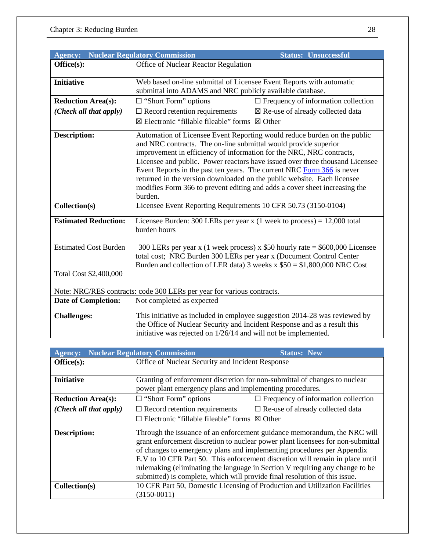| <b>Agency:</b>               | <b>Nuclear Regulatory Commission</b><br><b>Status: Unsuccessful</b>                                                                                                                                                                                                                                                                                                                                                                                                                                                                               |  |
|------------------------------|---------------------------------------------------------------------------------------------------------------------------------------------------------------------------------------------------------------------------------------------------------------------------------------------------------------------------------------------------------------------------------------------------------------------------------------------------------------------------------------------------------------------------------------------------|--|
| Office(s):                   | Office of Nuclear Reactor Regulation                                                                                                                                                                                                                                                                                                                                                                                                                                                                                                              |  |
|                              |                                                                                                                                                                                                                                                                                                                                                                                                                                                                                                                                                   |  |
| <b>Initiative</b>            | Web based on-line submittal of Licensee Event Reports with automatic                                                                                                                                                                                                                                                                                                                                                                                                                                                                              |  |
|                              | submittal into ADAMS and NRC publicly available database.                                                                                                                                                                                                                                                                                                                                                                                                                                                                                         |  |
| <b>Reduction Area(s):</b>    | $\Box$ "Short Form" options<br>$\Box$ Frequency of information collection                                                                                                                                                                                                                                                                                                                                                                                                                                                                         |  |
| (Check all that apply)       | $\Box$ Record retention requirements<br>$\boxtimes$ Re-use of already collected data                                                                                                                                                                                                                                                                                                                                                                                                                                                              |  |
|                              | $\boxtimes$ Electronic "fillable fileable" forms $\boxtimes$ Other                                                                                                                                                                                                                                                                                                                                                                                                                                                                                |  |
| <b>Description:</b>          | Automation of Licensee Event Reporting would reduce burden on the public<br>and NRC contracts. The on-line submittal would provide superior<br>improvement in efficiency of information for the NRC, NRC contracts,<br>Licensee and public. Power reactors have issued over three thousand Licensee<br>Event Reports in the past ten years. The current NRC Form 366 is never<br>returned in the version downloaded on the public website. Each licensee<br>modifies Form 366 to prevent editing and adds a cover sheet increasing the<br>burden. |  |
| Collection(s)                | Licensee Event Reporting Requirements 10 CFR 50.73 (3150-0104)                                                                                                                                                                                                                                                                                                                                                                                                                                                                                    |  |
| <b>Estimated Reduction:</b>  | Licensee Burden: 300 LERs per year $x$ (1 week to process) = 12,000 total<br>burden hours                                                                                                                                                                                                                                                                                                                                                                                                                                                         |  |
| <b>Estimated Cost Burden</b> | 300 LERs per year x (1 week process) x $$50$ hourly rate = $$600,000$ Licensee<br>total cost; NRC Burden 300 LERs per year x (Document Control Center<br>Burden and collection of LER data) 3 weeks $x $50 = $1,800,000$ NRC Cost                                                                                                                                                                                                                                                                                                                 |  |
| Total Cost \$2,400,000       |                                                                                                                                                                                                                                                                                                                                                                                                                                                                                                                                                   |  |
|                              | Note: NRC/RES contracts: code 300 LERs per year for various contracts.                                                                                                                                                                                                                                                                                                                                                                                                                                                                            |  |
| <b>Date of Completion:</b>   | Not completed as expected                                                                                                                                                                                                                                                                                                                                                                                                                                                                                                                         |  |
| <b>Challenges:</b>           | This initiative as included in employee suggestion 2014-28 was reviewed by<br>the Office of Nuclear Security and Incident Response and as a result this<br>initiative was rejected on $1/26/14$ and will not be implemented.                                                                                                                                                                                                                                                                                                                      |  |

| <b>Agency:</b>            | <b>Nuclear Regulatory Commission</b>                                       | <b>Status: New</b>                                                                                                                                                                                                                                                                                                                                                                                     |
|---------------------------|----------------------------------------------------------------------------|--------------------------------------------------------------------------------------------------------------------------------------------------------------------------------------------------------------------------------------------------------------------------------------------------------------------------------------------------------------------------------------------------------|
| Office(s):                | Office of Nuclear Security and Incident Response                           |                                                                                                                                                                                                                                                                                                                                                                                                        |
|                           |                                                                            |                                                                                                                                                                                                                                                                                                                                                                                                        |
| <b>Initiative</b>         |                                                                            | Granting of enforcement discretion for non-submittal of changes to nuclear                                                                                                                                                                                                                                                                                                                             |
|                           | power plant emergency plans and implementing procedures.                   |                                                                                                                                                                                                                                                                                                                                                                                                        |
| <b>Reduction Area(s):</b> | $\Box$ "Short Form" options                                                | $\Box$ Frequency of information collection                                                                                                                                                                                                                                                                                                                                                             |
| (Check all that apply)    | $\Box$ Record retention requirements                                       | $\Box$ Re-use of already collected data                                                                                                                                                                                                                                                                                                                                                                |
|                           | $\Box$ Electronic "fillable fileable" forms $\boxtimes$ Other              |                                                                                                                                                                                                                                                                                                                                                                                                        |
| <b>Description:</b>       | submitted) is complete, which will provide final resolution of this issue. | Through the issuance of an enforcement guidance memorandum, the NRC will<br>grant enforcement discretion to nuclear power plant licensees for non-submittal<br>of changes to emergency plans and implementing procedures per Appendix<br>E.V to 10 CFR Part 50. This enforcement discretion will remain in place until<br>rulemaking (eliminating the language in Section V requiring any change to be |
| Collection(s)             | $(3150-0011)$                                                              | 10 CFR Part 50, Domestic Licensing of Production and Utilization Facilities                                                                                                                                                                                                                                                                                                                            |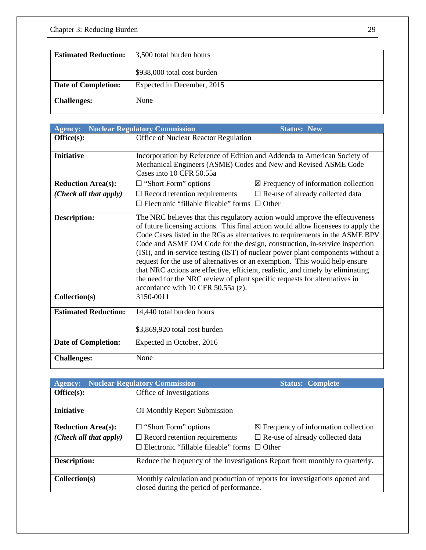| <b>Estimated Reduction:</b> | 3,500 total burden hours    |
|-----------------------------|-----------------------------|
|                             | \$938,000 total cost burden |
| Date of Completion:         | Expected in December, 2015  |
| <b>Challenges:</b>          | None                        |

| <b>Agency:</b>              | <b>Nuclear Regulatory Commission</b><br><b>Status: New</b>                                                                                                                                                                                                                                                                                                                                                                                                                                                                                                                                                                                                                                                |
|-----------------------------|-----------------------------------------------------------------------------------------------------------------------------------------------------------------------------------------------------------------------------------------------------------------------------------------------------------------------------------------------------------------------------------------------------------------------------------------------------------------------------------------------------------------------------------------------------------------------------------------------------------------------------------------------------------------------------------------------------------|
| Office(s):                  | Office of Nuclear Reactor Regulation                                                                                                                                                                                                                                                                                                                                                                                                                                                                                                                                                                                                                                                                      |
|                             |                                                                                                                                                                                                                                                                                                                                                                                                                                                                                                                                                                                                                                                                                                           |
| <b>Initiative</b>           | Incorporation by Reference of Edition and Addenda to American Society of                                                                                                                                                                                                                                                                                                                                                                                                                                                                                                                                                                                                                                  |
|                             | Mechanical Engineers (ASME) Codes and New and Revised ASME Code                                                                                                                                                                                                                                                                                                                                                                                                                                                                                                                                                                                                                                           |
|                             | Cases into 10 CFR 50.55a                                                                                                                                                                                                                                                                                                                                                                                                                                                                                                                                                                                                                                                                                  |
| <b>Reduction Area(s):</b>   | $\boxtimes$ Frequency of information collection<br>$\Box$ "Short Form" options                                                                                                                                                                                                                                                                                                                                                                                                                                                                                                                                                                                                                            |
| (Check all that apply)      | $\Box$ Record retention requirements<br>$\square$ Re-use of already collected data                                                                                                                                                                                                                                                                                                                                                                                                                                                                                                                                                                                                                        |
|                             | $\Box$ Electronic "fillable fileable" forms $\Box$ Other                                                                                                                                                                                                                                                                                                                                                                                                                                                                                                                                                                                                                                                  |
| <b>Description:</b>         | The NRC believes that this regulatory action would improve the effectiveness<br>of future licensing actions. This final action would allow licensees to apply the<br>Code Cases listed in the RGs as alternatives to requirements in the ASME BPV<br>Code and ASME OM Code for the design, construction, in-service inspection<br>(ISI), and in-service testing (IST) of nuclear power plant components without a<br>request for the use of alternatives or an exemption. This would help ensure<br>that NRC actions are effective, efficient, realistic, and timely by eliminating<br>the need for the NRC review of plant specific requests for alternatives in<br>accordance with $10$ CFR 50.55a (z). |
| Collection(s)               | 3150-0011                                                                                                                                                                                                                                                                                                                                                                                                                                                                                                                                                                                                                                                                                                 |
| <b>Estimated Reduction:</b> | 14,440 total burden hours                                                                                                                                                                                                                                                                                                                                                                                                                                                                                                                                                                                                                                                                                 |
|                             | \$3,869,920 total cost burden                                                                                                                                                                                                                                                                                                                                                                                                                                                                                                                                                                                                                                                                             |
| <b>Date of Completion:</b>  | Expected in October, 2016                                                                                                                                                                                                                                                                                                                                                                                                                                                                                                                                                                                                                                                                                 |
| <b>Challenges:</b>          | None                                                                                                                                                                                                                                                                                                                                                                                                                                                                                                                                                                                                                                                                                                      |

| <b>Agency:</b>            | <b>Nuclear Regulatory Commission</b>                                         | <b>Status: Complete</b>                                                     |
|---------------------------|------------------------------------------------------------------------------|-----------------------------------------------------------------------------|
| Office(s):                | Office of Investigations                                                     |                                                                             |
|                           |                                                                              |                                                                             |
| <b>Initiative</b>         | <b>OI</b> Monthly Report Submission                                          |                                                                             |
|                           |                                                                              |                                                                             |
| <b>Reduction Area(s):</b> | $\Box$ "Short Form" options                                                  | $\boxtimes$ Frequency of information collection                             |
| (Check all that apply)    | $\Box$ Record retention requirements                                         | $\Box$ Re-use of already collected data                                     |
|                           | $\Box$ Electronic "fillable fileable" forms $\Box$ Other                     |                                                                             |
| <b>Description:</b>       | Reduce the frequency of the Investigations Report from monthly to quarterly. |                                                                             |
|                           |                                                                              |                                                                             |
| Collection(s)             |                                                                              | Monthly calculation and production of reports for investigations opened and |
|                           | closed during the period of performance.                                     |                                                                             |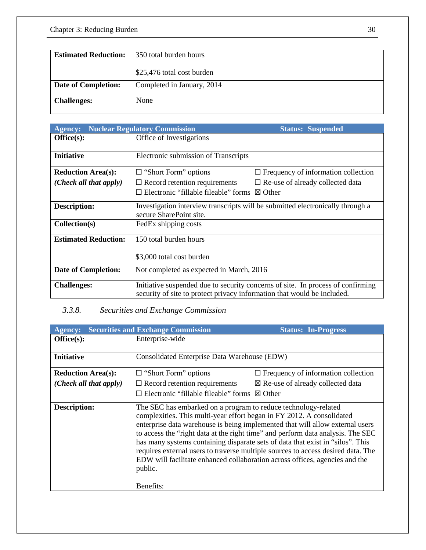| <b>Estimated Reduction:</b> | 350 total burden hours     |
|-----------------------------|----------------------------|
|                             | \$25,476 total cost burden |
| Date of Completion:         | Completed in January, 2014 |
| <b>Challenges:</b>          | None                       |

| <b>Agency:</b>              | <b>Nuclear Regulatory Commission</b>                                    | <b>Status: Suspended</b>                                                        |
|-----------------------------|-------------------------------------------------------------------------|---------------------------------------------------------------------------------|
| Office(s):                  | Office of Investigations                                                |                                                                                 |
|                             |                                                                         |                                                                                 |
| <b>Initiative</b>           | Electronic submission of Transcripts                                    |                                                                                 |
| <b>Reduction Area(s):</b>   | $\Box$ "Short Form" options                                             | $\Box$ Frequency of information collection                                      |
| (Check all that apply)      | $\Box$ Record retention requirements                                    | $\Box$ Re-use of already collected data                                         |
|                             | Electronic "fillable fileable" forms                                    | $\boxtimes$ Other                                                               |
| <b>Description:</b>         | secure SharePoint site.                                                 | Investigation interview transcripts will be submitted electronically through a  |
| Collection(s)               | FedEx shipping costs                                                    |                                                                                 |
| <b>Estimated Reduction:</b> | 150 total burden hours                                                  |                                                                                 |
|                             | \$3,000 total cost burden                                               |                                                                                 |
| <b>Date of Completion:</b>  | Not completed as expected in March, 2016                                |                                                                                 |
| <b>Challenges:</b>          | security of site to protect privacy information that would be included. | Initiative suspended due to security concerns of site. In process of confirming |

## *3.3.8. Securities and Exchange Commission*

| <b>Agency:</b>            | <b>Securities and Exchange Commission</b>                                                                                                                                                                                                                                                                                                                                                                                                                                                                                                                                                | <b>Status: In-Progress</b>                   |
|---------------------------|------------------------------------------------------------------------------------------------------------------------------------------------------------------------------------------------------------------------------------------------------------------------------------------------------------------------------------------------------------------------------------------------------------------------------------------------------------------------------------------------------------------------------------------------------------------------------------------|----------------------------------------------|
| Office(s):                | Enterprise-wide                                                                                                                                                                                                                                                                                                                                                                                                                                                                                                                                                                          |                                              |
| <b>Initiative</b>         | Consolidated Enterprise Data Warehouse (EDW)                                                                                                                                                                                                                                                                                                                                                                                                                                                                                                                                             |                                              |
| <b>Reduction Area(s):</b> | $\Box$ "Short Form" options                                                                                                                                                                                                                                                                                                                                                                                                                                                                                                                                                              | $\Box$ Frequency of information collection   |
| (Check all that apply)    | $\Box$ Record retention requirements                                                                                                                                                                                                                                                                                                                                                                                                                                                                                                                                                     | $\boxtimes$ Re-use of already collected data |
|                           | $\Box$ Electronic "fillable fileable" forms $\boxtimes$ Other                                                                                                                                                                                                                                                                                                                                                                                                                                                                                                                            |                                              |
| <b>Description:</b>       | The SEC has embarked on a program to reduce technology-related<br>complexities. This multi-year effort began in FY 2012. A consolidated<br>enterprise data warehouse is being implemented that will allow external users<br>to access the "right data at the right time" and perform data analysis. The SEC<br>has many systems containing disparate sets of data that exist in "silos". This<br>requires external users to traverse multiple sources to access desired data. The<br>EDW will facilitate enhanced collaboration across offices, agencies and the<br>public.<br>Benefits: |                                              |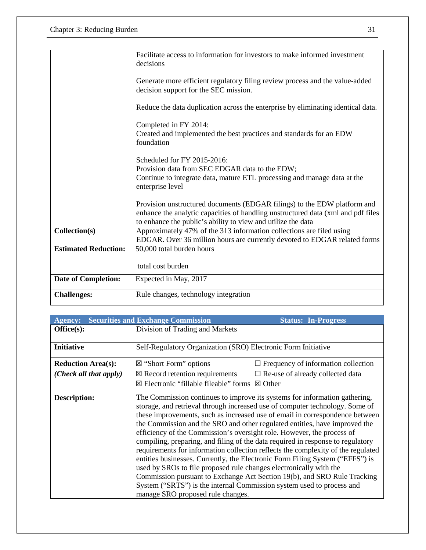| <b>Challenges:</b>          | Rule changes, technology integration                                                                                                                                                                                         |
|-----------------------------|------------------------------------------------------------------------------------------------------------------------------------------------------------------------------------------------------------------------------|
| <b>Date of Completion:</b>  | total cost burden<br>Expected in May, 2017                                                                                                                                                                                   |
| <b>Estimated Reduction:</b> | 50,000 total burden hours                                                                                                                                                                                                    |
| Collection(s)               | Approximately 47% of the 313 information collections are filed using<br>EDGAR. Over 36 million hours are currently devoted to EDGAR related forms                                                                            |
|                             | Provision unstructured documents (EDGAR filings) to the EDW platform and<br>enhance the analytic capacities of handling unstructured data (xml and pdf files<br>to enhance the public's ability to view and utilize the data |
|                             | Scheduled for FY 2015-2016:<br>Provision data from SEC EDGAR data to the EDW;<br>Continue to integrate data, mature ETL processing and manage data at the<br>enterprise level                                                |
|                             | Completed in FY 2014:<br>Created and implemented the best practices and standards for an EDW<br>foundation                                                                                                                   |
|                             | Reduce the data duplication across the enterprise by eliminating identical data.                                                                                                                                             |
|                             | Generate more efficient regulatory filing review process and the value-added<br>decision support for the SEC mission.                                                                                                        |
|                             | Facilitate access to information for investors to make informed investment<br>decisions                                                                                                                                      |

| <b>Agency:</b>            | <b>Securities and Exchange Commission</b>                                                                                                                                                                                                                                                                                                                                                                                                                                                                                                                                                                                                                                                                                                                                                                                                                                                                                  | <b>Status: In-Progress</b>                 |
|---------------------------|----------------------------------------------------------------------------------------------------------------------------------------------------------------------------------------------------------------------------------------------------------------------------------------------------------------------------------------------------------------------------------------------------------------------------------------------------------------------------------------------------------------------------------------------------------------------------------------------------------------------------------------------------------------------------------------------------------------------------------------------------------------------------------------------------------------------------------------------------------------------------------------------------------------------------|--------------------------------------------|
| Office(s):                | Division of Trading and Markets                                                                                                                                                                                                                                                                                                                                                                                                                                                                                                                                                                                                                                                                                                                                                                                                                                                                                            |                                            |
| <b>Initiative</b>         | Self-Regulatory Organization (SRO) Electronic Form Initiative                                                                                                                                                                                                                                                                                                                                                                                                                                                                                                                                                                                                                                                                                                                                                                                                                                                              |                                            |
| <b>Reduction Area(s):</b> | $\boxtimes$ "Short Form" options                                                                                                                                                                                                                                                                                                                                                                                                                                                                                                                                                                                                                                                                                                                                                                                                                                                                                           | $\Box$ Frequency of information collection |
| (Check all that apply)    | $\boxtimes$ Record retention requirements                                                                                                                                                                                                                                                                                                                                                                                                                                                                                                                                                                                                                                                                                                                                                                                                                                                                                  | $\Box$ Re-use of already collected data    |
|                           | ⊠ Electronic "fillable fileable" forms $\boxtimes$ Other                                                                                                                                                                                                                                                                                                                                                                                                                                                                                                                                                                                                                                                                                                                                                                                                                                                                   |                                            |
| Description:              | The Commission continues to improve its systems for information gathering,<br>storage, and retrieval through increased use of computer technology. Some of<br>these improvements, such as increased use of email in correspondence between<br>the Commission and the SRO and other regulated entities, have improved the<br>efficiency of the Commission's oversight role. However, the process of<br>compiling, preparing, and filing of the data required in response to regulatory<br>requirements for information collection reflects the complexity of the regulated<br>entities businesses. Currently, the Electronic Form Filing System ("EFFS") is<br>used by SROs to file proposed rule changes electronically with the<br>Commission pursuant to Exchange Act Section 19(b), and SRO Rule Tracking<br>System ("SRTS") is the internal Commission system used to process and<br>manage SRO proposed rule changes. |                                            |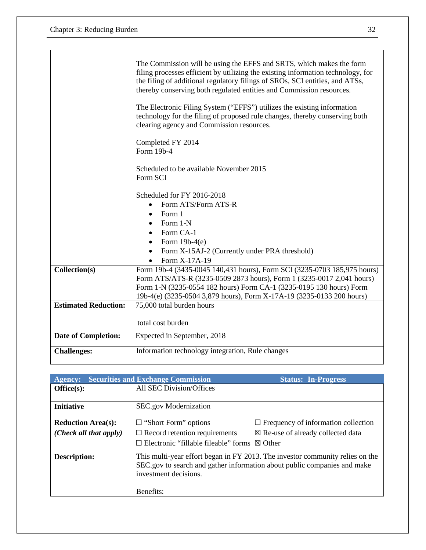|                             | The Commission will be using the EFFS and SRTS, which makes the form<br>filing processes efficient by utilizing the existing information technology, for<br>the filing of additional regulatory filings of SROs, SCI entities, and ATSs,<br>thereby conserving both regulated entities and Commission resources. |  |
|-----------------------------|------------------------------------------------------------------------------------------------------------------------------------------------------------------------------------------------------------------------------------------------------------------------------------------------------------------|--|
|                             | The Electronic Filing System ("EFFS") utilizes the existing information<br>technology for the filing of proposed rule changes, thereby conserving both<br>clearing agency and Commission resources.                                                                                                              |  |
|                             | Completed FY 2014<br>Form 19b-4                                                                                                                                                                                                                                                                                  |  |
|                             | Scheduled to be available November 2015<br>Form SCI                                                                                                                                                                                                                                                              |  |
|                             | Scheduled for FY 2016-2018                                                                                                                                                                                                                                                                                       |  |
|                             | Form ATS/Form ATS-R<br>$\bullet$                                                                                                                                                                                                                                                                                 |  |
|                             | Form 1<br>$\bullet$                                                                                                                                                                                                                                                                                              |  |
|                             | Form 1-N<br>$\bullet$                                                                                                                                                                                                                                                                                            |  |
|                             | Form CA-1<br>$\bullet$                                                                                                                                                                                                                                                                                           |  |
|                             | Form $19b-4(e)$<br>٠                                                                                                                                                                                                                                                                                             |  |
|                             | Form X-15AJ-2 (Currently under PRA threshold)<br>$\bullet$                                                                                                                                                                                                                                                       |  |
|                             | Form X-17A-19<br>$\bullet$                                                                                                                                                                                                                                                                                       |  |
| Collection(s)               | Form 19b-4 (3435-0045 140,431 hours), Form SCI (3235-0703 185,975 hours)                                                                                                                                                                                                                                         |  |
|                             | Form ATS/ATS-R (3235-0509 2873 hours), Form 1 (3235-0017 2,041 hours)                                                                                                                                                                                                                                            |  |
|                             | Form 1-N (3235-0554 182 hours) Form CA-1 (3235-0195 130 hours) Form                                                                                                                                                                                                                                              |  |
|                             | 19b-4(e) (3235-0504 3,879 hours), Form X-17A-19 (3235-0133 200 hours)                                                                                                                                                                                                                                            |  |
| <b>Estimated Reduction:</b> | 75,000 total burden hours                                                                                                                                                                                                                                                                                        |  |
|                             |                                                                                                                                                                                                                                                                                                                  |  |
|                             | total cost burden                                                                                                                                                                                                                                                                                                |  |
| <b>Date of Completion:</b>  | Expected in September, 2018                                                                                                                                                                                                                                                                                      |  |
| <b>Challenges:</b>          | Information technology integration, Rule changes                                                                                                                                                                                                                                                                 |  |
|                             |                                                                                                                                                                                                                                                                                                                  |  |

| <b>Agency:</b>            | <b>Securities and Exchange Commission</b>   | <b>Status: In-Progress</b>                                                                                                                                |
|---------------------------|---------------------------------------------|-----------------------------------------------------------------------------------------------------------------------------------------------------------|
| Office(s):                | All SEC Division/Offices                    |                                                                                                                                                           |
| <b>Initiative</b>         | SEC.gov Modernization                       |                                                                                                                                                           |
| <b>Reduction Area(s):</b> | $\Box$ "Short Form" options                 | $\Box$ Frequency of information collection                                                                                                                |
| (Check all that apply)    | $\Box$ Record retention requirements        | $\boxtimes$ Re-use of already collected data                                                                                                              |
|                           | $\Box$ Electronic "fillable fileable" forms | $\boxtimes$ Other                                                                                                                                         |
| <b>Description:</b>       | investment decisions.                       | This multi-year effort began in FY 2013. The investor community relies on the<br>SEC.gov to search and gather information about public companies and make |
|                           | Benefits:                                   |                                                                                                                                                           |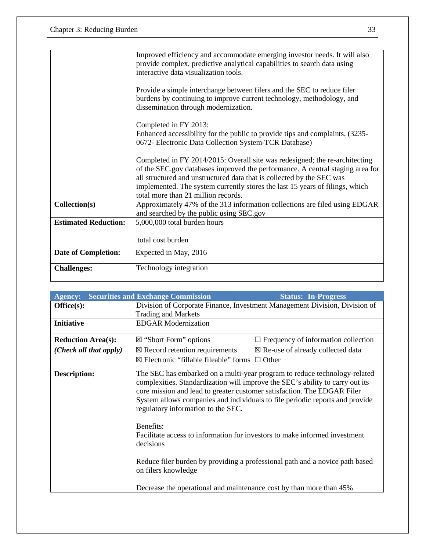|                             | Improved efficiency and accommodate emerging investor needs. It will also<br>provide complex, predictive analytical capabilities to search data using<br>interactive data visualization tools.                                                                                                                                                               |
|-----------------------------|--------------------------------------------------------------------------------------------------------------------------------------------------------------------------------------------------------------------------------------------------------------------------------------------------------------------------------------------------------------|
|                             | Provide a simple interchange between filers and the SEC to reduce filer<br>burdens by continuing to improve current technology, methodology, and<br>dissemination through modernization.                                                                                                                                                                     |
|                             | Completed in FY 2013:<br>Enhanced accessibility for the public to provide tips and complaints. (3235-<br>0672- Electronic Data Collection System-TCR Database)                                                                                                                                                                                               |
|                             | Completed in FY 2014/2015: Overall site was redesigned; the re-architecting<br>of the SEC.gov databases improved the performance. A central staging area for<br>all structured and unstructured data that is collected by the SEC was<br>implemented. The system currently stores the last 15 years of filings, which<br>total more than 21 million records. |
| Collection(s)               | Approximately 47% of the 313 information collections are filed using EDGAR<br>and searched by the public using SEC.gov                                                                                                                                                                                                                                       |
| <b>Estimated Reduction:</b> | 5,000,000 total burden hours                                                                                                                                                                                                                                                                                                                                 |
|                             | total cost burden                                                                                                                                                                                                                                                                                                                                            |
| <b>Date of Completion:</b>  | Expected in May, 2016                                                                                                                                                                                                                                                                                                                                        |
| <b>Challenges:</b>          | Technology integration                                                                                                                                                                                                                                                                                                                                       |

| <b>Agency:</b>            | <b>Securities and Exchange Commission</b>                                                                                                                                                                                                                                                                                                                   | <b>Status: In-Progress</b>                                                   |
|---------------------------|-------------------------------------------------------------------------------------------------------------------------------------------------------------------------------------------------------------------------------------------------------------------------------------------------------------------------------------------------------------|------------------------------------------------------------------------------|
| Office(s):                | Division of Corporate Finance, Investment Management Division, Division of                                                                                                                                                                                                                                                                                  |                                                                              |
|                           | <b>Trading and Markets</b>                                                                                                                                                                                                                                                                                                                                  |                                                                              |
| <b>Initiative</b>         | <b>EDGAR Modernization</b>                                                                                                                                                                                                                                                                                                                                  |                                                                              |
| <b>Reduction Area(s):</b> | $\boxtimes$ "Short Form" options                                                                                                                                                                                                                                                                                                                            | $\Box$ Frequency of information collection                                   |
| (Check all that apply)    | $\boxtimes$ Record retention requirements                                                                                                                                                                                                                                                                                                                   | $\boxtimes$ Re-use of already collected data                                 |
|                           | $\boxtimes$ Electronic "fillable fileable" forms $\Box$ Other                                                                                                                                                                                                                                                                                               |                                                                              |
| <b>Description:</b>       | The SEC has embarked on a multi-year program to reduce technology-related<br>complexities. Standardization will improve the SEC's ability to carry out its<br>core mission and lead to greater customer satisfaction. The EDGAR Filer<br>System allows companies and individuals to file periodic reports and provide<br>regulatory information to the SEC. |                                                                              |
|                           | Benefits:<br>Facilitate access to information for investors to make informed investment<br>decisions                                                                                                                                                                                                                                                        |                                                                              |
|                           | on filers knowledge                                                                                                                                                                                                                                                                                                                                         | Reduce filer burden by providing a professional path and a novice path based |
|                           | Decrease the operational and maintenance cost by than more than 45%                                                                                                                                                                                                                                                                                         |                                                                              |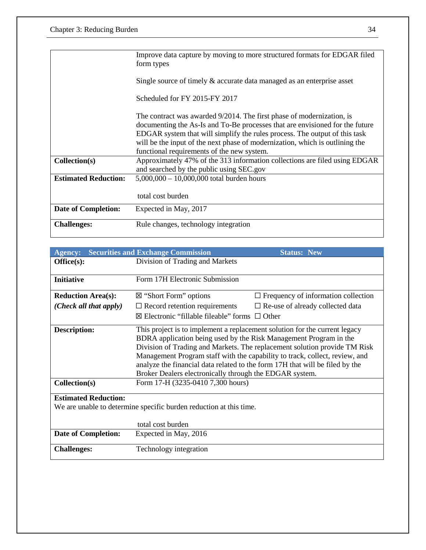|                             | Improve data capture by moving to more structured formats for EDGAR filed<br>form types                                                                                                                                                                                                                                                                           |
|-----------------------------|-------------------------------------------------------------------------------------------------------------------------------------------------------------------------------------------------------------------------------------------------------------------------------------------------------------------------------------------------------------------|
|                             | Single source of timely $\&$ accurate data managed as an enterprise asset                                                                                                                                                                                                                                                                                         |
|                             | Scheduled for FY 2015-FY 2017                                                                                                                                                                                                                                                                                                                                     |
|                             | The contract was awarded 9/2014. The first phase of modernization, is<br>documenting the As-Is and To-Be processes that are envisioned for the future<br>EDGAR system that will simplify the rules process. The output of this task<br>will be the input of the next phase of modernization, which is outlining the<br>functional requirements of the new system. |
| Collection(s)               | Approximately 47% of the 313 information collections are filed using EDGAR<br>and searched by the public using SEC.gov                                                                                                                                                                                                                                            |
| <b>Estimated Reduction:</b> | $5,000,000 - 10,000,000$ total burden hours                                                                                                                                                                                                                                                                                                                       |
|                             | total cost burden                                                                                                                                                                                                                                                                                                                                                 |
| <b>Date of Completion:</b>  | Expected in May, 2017                                                                                                                                                                                                                                                                                                                                             |
| <b>Challenges:</b>          | Rule changes, technology integration                                                                                                                                                                                                                                                                                                                              |

| <b>Agency:</b>                                                                                    | <b>Securities and Exchange Commission</b>                                                                                                                                                                                                                                                                                                                                                                                                                                                   | <b>Status: New</b>                         |  |
|---------------------------------------------------------------------------------------------------|---------------------------------------------------------------------------------------------------------------------------------------------------------------------------------------------------------------------------------------------------------------------------------------------------------------------------------------------------------------------------------------------------------------------------------------------------------------------------------------------|--------------------------------------------|--|
| Office(s):                                                                                        | Division of Trading and Markets                                                                                                                                                                                                                                                                                                                                                                                                                                                             |                                            |  |
| <b>Initiative</b>                                                                                 | Form 17H Electronic Submission                                                                                                                                                                                                                                                                                                                                                                                                                                                              |                                            |  |
| <b>Reduction Area(s):</b>                                                                         | $\boxtimes$ "Short Form" options                                                                                                                                                                                                                                                                                                                                                                                                                                                            | $\Box$ Frequency of information collection |  |
| (Check all that apply)                                                                            | $\Box$ Record retention requirements                                                                                                                                                                                                                                                                                                                                                                                                                                                        | $\square$ Re-use of already collected data |  |
|                                                                                                   | $\boxtimes$ Electronic "fillable fileable" forms $\Box$ Other                                                                                                                                                                                                                                                                                                                                                                                                                               |                                            |  |
| <b>Description:</b><br>Collection(s)                                                              | This project is to implement a replacement solution for the current legacy<br>BDRA application being used by the Risk Management Program in the<br>Division of Trading and Markets. The replacement solution provide TM Risk<br>Management Program staff with the capability to track, collect, review, and<br>analyze the financial data related to the form 17H that will be filed by the<br>Broker Dealers electronically through the EDGAR system.<br>Form 17-H (3235-0410 7,300 hours) |                                            |  |
| <b>Estimated Reduction:</b><br>We are unable to determine specific burden reduction at this time. |                                                                                                                                                                                                                                                                                                                                                                                                                                                                                             |                                            |  |
|                                                                                                   | total cost burden                                                                                                                                                                                                                                                                                                                                                                                                                                                                           |                                            |  |
| <b>Date of Completion:</b>                                                                        | Expected in May, 2016                                                                                                                                                                                                                                                                                                                                                                                                                                                                       |                                            |  |
| <b>Challenges:</b>                                                                                | Technology integration                                                                                                                                                                                                                                                                                                                                                                                                                                                                      |                                            |  |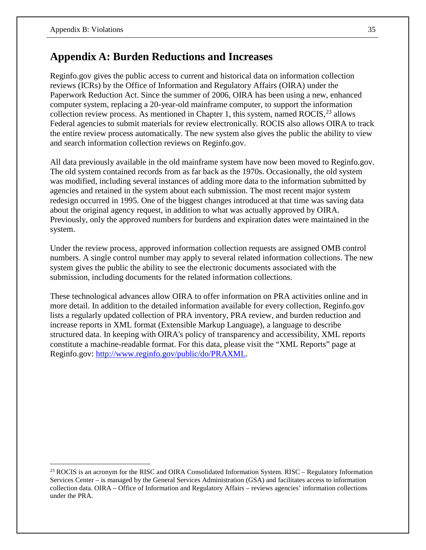# **Appendix A: Burden Reductions and Increases**

Reginfo.gov gives the public access to current and historical data on information collection reviews (ICRs) by the Office of Information and Regulatory Affairs (OIRA) under the Paperwork Reduction Act. Since the summer of 2006, OIRA has been using a new, enhanced computer system, replacing a 20-year-old mainframe computer, to support the information collection review process. As mentioned in Chapter 1, this system, named ROCIS,  $^{23}$  $^{23}$  $^{23}$  allows Federal agencies to submit materials for review electronically. ROCIS also allows OIRA to track the entire review process automatically. The new system also gives the public the ability to view and search information collection reviews on Reginfo.gov.

All data previously available in the old mainframe system have now been moved to Reginfo.gov. The old system contained records from as far back as the 1970s. Occasionally, the old system was modified, including several instances of adding more data to the information submitted by agencies and retained in the system about each submission. The most recent major system redesign occurred in 1995. One of the biggest changes introduced at that time was saving data about the original agency request, in addition to what was actually approved by OIRA. Previously, only the approved numbers for burdens and expiration dates were maintained in the system.

Under the review process, approved information collection requests are assigned OMB control numbers. A single control number may apply to several related information collections. The new system gives the public the ability to see the electronic documents associated with the submission, including documents for the related information collections.

These technological advances allow OIRA to offer information on PRA activities online and in more detail. In addition to the detailed information available for every collection, Reginfo.gov lists a regularly updated collection of PRA inventory, PRA review, and burden reduction and increase reports in XML format (Extensible Markup Language), a language to describe structured data. In keeping with OIRA's policy of transparency and accessibility, XML reports constitute a machine-readable format. For this data, please visit the "XML Reports" page at Reginfo.gov: [http://www.reginfo.gov/public/do/PRAXML.](http://www.reginfo.gov/public/do/PRAXML)

<span id="page-39-0"></span> $\overline{a}$ <sup>23</sup> ROCIS is an acronym for the RISC and OIRA Consolidated Information System. RISC – Regulatory Information Services Center – is managed by the General Services Administration (GSA) and facilitates access to information collection data. OIRA – Office of Information and Regulatory Affairs – reviews agencies' information collections under the PRA.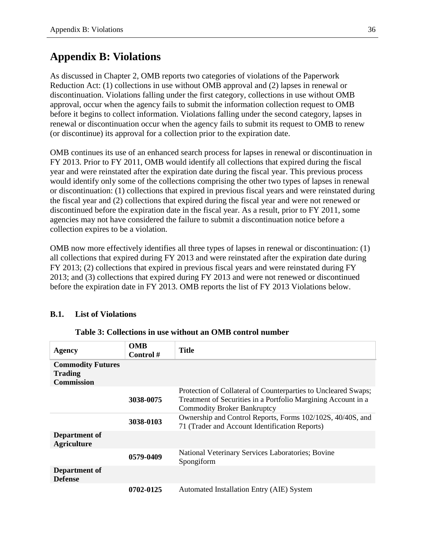# **Appendix B: Violations**

As discussed in Chapter 2, OMB reports two categories of violations of the Paperwork Reduction Act: (1) collections in use without OMB approval and (2) lapses in renewal or discontinuation. Violations falling under the first category, collections in use without OMB approval, occur when the agency fails to submit the information collection request to OMB before it begins to collect information. Violations falling under the second category, lapses in renewal or discontinuation occur when the agency fails to submit its request to OMB to renew (or discontinue) its approval for a collection prior to the expiration date.

OMB continues its use of an enhanced search process for lapses in renewal or discontinuation in FY 2013. Prior to FY 2011, OMB would identify all collections that expired during the fiscal year and were reinstated after the expiration date during the fiscal year. This previous process would identify only some of the collections comprising the other two types of lapses in renewal or discontinuation: (1) collections that expired in previous fiscal years and were reinstated during the fiscal year and (2) collections that expired during the fiscal year and were not renewed or discontinued before the expiration date in the fiscal year. As a result, prior to FY 2011, some agencies may not have considered the failure to submit a discontinuation notice before a collection expires to be a violation.

OMB now more effectively identifies all three types of lapses in renewal or discontinuation: (1) all collections that expired during FY 2013 and were reinstated after the expiration date during FY 2013; (2) collections that expired in previous fiscal years and were reinstated during FY 2013; and (3) collections that expired during FY 2013 and were not renewed or discontinued before the expiration date in FY 2013. OMB reports the list of FY 2013 Violations below.

## **B.1. List of Violations**

| <b>Agency</b>                                                   | <b>OMB</b><br>Control $#$ | Title                                                                                                                                                                 |
|-----------------------------------------------------------------|---------------------------|-----------------------------------------------------------------------------------------------------------------------------------------------------------------------|
| <b>Commodity Futures</b><br><b>Trading</b><br><b>Commission</b> |                           |                                                                                                                                                                       |
|                                                                 | 3038-0075                 | Protection of Collateral of Counterparties to Uncleared Swaps;<br>Treatment of Securities in a Portfolio Margining Account in a<br><b>Commodity Broker Bankruptcy</b> |
|                                                                 | 3038-0103                 | Ownership and Control Reports, Forms 102/102S, 40/40S, and<br>71 (Trader and Account Identification Reports)                                                          |
| Department of<br><b>Agriculture</b>                             |                           |                                                                                                                                                                       |
|                                                                 | 0579-0409                 | National Veterinary Services Laboratories; Bovine<br>Spongiform                                                                                                       |
| Department of<br><b>Defense</b>                                 |                           |                                                                                                                                                                       |
|                                                                 | 0702-0125                 | Automated Installation Entry (AIE) System                                                                                                                             |

#### **Table 3: Collections in use without an OMB control number**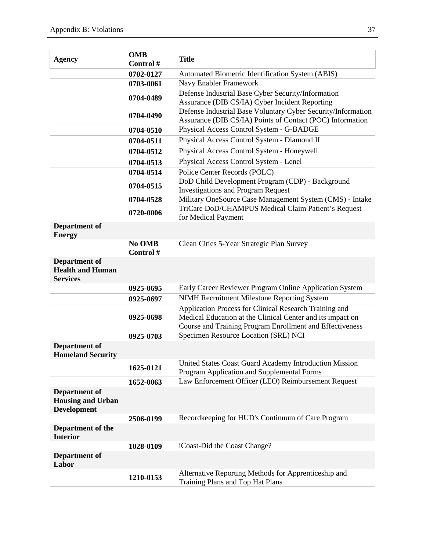| <b>Agency</b>                                                   | <b>OMB</b><br>Control# | <b>Title</b>                                                                                                                                                                     |
|-----------------------------------------------------------------|------------------------|----------------------------------------------------------------------------------------------------------------------------------------------------------------------------------|
|                                                                 | 0702-0127              | Automated Biometric Identification System (ABIS)                                                                                                                                 |
|                                                                 | 0703-0061              | Navy Enabler Framework                                                                                                                                                           |
|                                                                 | 0704-0489              | Defense Industrial Base Cyber Security/Information                                                                                                                               |
|                                                                 |                        | Assurance (DIB CS/IA) Cyber Incident Reporting                                                                                                                                   |
|                                                                 | 0704-0490              | Defense Industrial Base Voluntary Cyber Security/Information<br>Assurance (DIB CS/IA) Points of Contact (POC) Information                                                        |
|                                                                 | 0704-0510              | Physical Access Control System - G-BADGE                                                                                                                                         |
|                                                                 | 0704-0511              | Physical Access Control System - Diamond II                                                                                                                                      |
|                                                                 | 0704-0512              | Physical Access Control System - Honeywell                                                                                                                                       |
|                                                                 | 0704-0513              | Physical Access Control System - Lenel                                                                                                                                           |
|                                                                 | 0704-0514              | Police Center Records (POLC)                                                                                                                                                     |
|                                                                 | 0704-0515              | DoD Child Development Program (CDP) - Background<br><b>Investigations and Program Request</b>                                                                                    |
|                                                                 | 0704-0528              | Military OneSource Case Management System (CMS) - Intake                                                                                                                         |
|                                                                 | 0720-0006              | TriCare DoD/CHAMPUS Medical Claim Patient's Request<br>for Medical Payment                                                                                                       |
| Department of<br><b>Energy</b>                                  |                        |                                                                                                                                                                                  |
|                                                                 | No OMB                 | Clean Cities 5-Year Strategic Plan Survey                                                                                                                                        |
|                                                                 | Control#               |                                                                                                                                                                                  |
| Department of<br><b>Health and Human</b><br><b>Services</b>     |                        |                                                                                                                                                                                  |
|                                                                 | 0925-0695              | Early Career Reviewer Program Online Application System                                                                                                                          |
|                                                                 | 0925-0697              | <b>NIMH Recruitment Milestone Reporting System</b>                                                                                                                               |
|                                                                 | 0925-0698              | Application Process for Clinical Research Training and<br>Medical Education at the Clinical Center and its impact on<br>Course and Training Program Enrollment and Effectiveness |
|                                                                 | 0925-0703              | Specimen Resource Location (SRL) NCI                                                                                                                                             |
| Department of<br><b>Homeland Security</b>                       |                        |                                                                                                                                                                                  |
|                                                                 | 1625-0121              | United States Coast Guard Academy Introduction Mission<br>Program Application and Supplemental Forms                                                                             |
|                                                                 | 1652-0063              | Law Enforcement Officer (LEO) Reimbursement Request                                                                                                                              |
| Department of<br><b>Housing and Urban</b><br><b>Development</b> |                        |                                                                                                                                                                                  |
|                                                                 | 2506-0199              | Recordkeeping for HUD's Continuum of Care Program                                                                                                                                |
| Department of the<br><b>Interior</b>                            |                        |                                                                                                                                                                                  |
|                                                                 | 1028-0109              | iCoast-Did the Coast Change?                                                                                                                                                     |
| Department of<br>Labor                                          |                        |                                                                                                                                                                                  |
|                                                                 | 1210-0153              | Alternative Reporting Methods for Apprenticeship and<br>Training Plans and Top Hat Plans                                                                                         |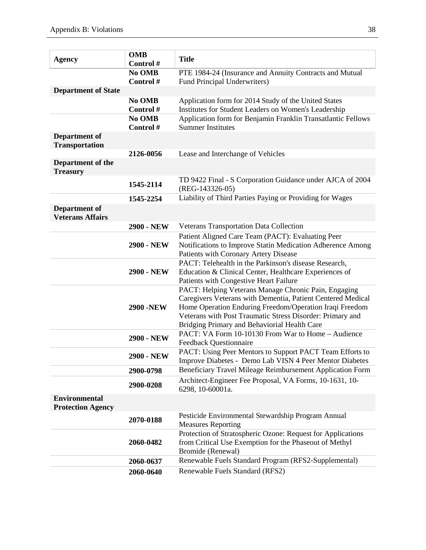| <b>Agency</b>                                    | <b>OMB</b><br>Control#       | <b>Title</b>                                                                                                                                                                                                                                                                                |
|--------------------------------------------------|------------------------------|---------------------------------------------------------------------------------------------------------------------------------------------------------------------------------------------------------------------------------------------------------------------------------------------|
|                                                  | No OMB<br>Control#           | PTE 1984-24 (Insurance and Annuity Contracts and Mutual<br>Fund Principal Underwriters)                                                                                                                                                                                                     |
| <b>Department of State</b>                       |                              |                                                                                                                                                                                                                                                                                             |
|                                                  | No OMB<br>Control#<br>No OMB | Application form for 2014 Study of the United States<br>Institutes for Student Leaders on Women's Leadership<br>Application form for Benjamin Franklin Transatlantic Fellows                                                                                                                |
|                                                  | Control#                     | <b>Summer Institutes</b>                                                                                                                                                                                                                                                                    |
| Department of<br><b>Transportation</b>           |                              |                                                                                                                                                                                                                                                                                             |
|                                                  | 2126-0056                    | Lease and Interchange of Vehicles                                                                                                                                                                                                                                                           |
| Department of the<br><b>Treasury</b>             |                              |                                                                                                                                                                                                                                                                                             |
|                                                  | 1545-2114                    | TD 9422 Final - S Corporation Guidance under AJCA of 2004<br>(REG-143326-05)                                                                                                                                                                                                                |
|                                                  | 1545-2254                    | Liability of Third Parties Paying or Providing for Wages                                                                                                                                                                                                                                    |
| Department of<br><b>Veterans Affairs</b>         |                              |                                                                                                                                                                                                                                                                                             |
|                                                  | <b>2900 - NEW</b>            | Veterans Transportation Data Collection                                                                                                                                                                                                                                                     |
|                                                  | 2900 - NEW                   | Patient Aligned Care Team (PACT): Evaluating Peer<br>Notifications to Improve Statin Medication Adherence Among<br>Patients with Coronary Artery Disease                                                                                                                                    |
|                                                  | 2900 - NEW                   | PACT: Telehealth in the Parkinson's disease Research,<br>Education & Clinical Center, Healthcare Experiences of<br>Patients with Congestive Heart Failure                                                                                                                                   |
|                                                  | <b>2900 -NEW</b>             | PACT: Helping Veterans Manage Chronic Pain, Engaging<br>Caregivers Veterans with Dementia, Patient Centered Medical<br>Home Operation Enduring Freedom/Operation Iraqi Freedom<br>Veterans with Post Traumatic Stress Disorder: Primary and<br>Bridging Primary and Behaviorial Health Care |
|                                                  | <b>2900 - NEW</b>            | PACT: VA Form 10-10130 From War to Home - Audience<br><b>Feedback Questionnaire</b>                                                                                                                                                                                                         |
|                                                  | 2900 - NEW                   | PACT: Using Peer Mentors to Support PACT Team Efforts to<br>Improve Diabetes - Demo Lab VISN 4 Peer Mentor Diabetes                                                                                                                                                                         |
|                                                  | 2900-0798                    | Beneficiary Travel Mileage Reimbursement Application Form                                                                                                                                                                                                                                   |
|                                                  | 2900-0208                    | Architect-Engineer Fee Proposal, VA Forms, 10-1631, 10-<br>6298, 10-60001a.                                                                                                                                                                                                                 |
| <b>Environmental</b><br><b>Protection Agency</b> |                              |                                                                                                                                                                                                                                                                                             |
|                                                  | 2070-0188                    | Pesticide Environmental Stewardship Program Annual<br><b>Measures Reporting</b>                                                                                                                                                                                                             |
|                                                  | 2060-0482                    | Protection of Stratospheric Ozone: Request for Applications<br>from Critical Use Exemption for the Phaseout of Methyl<br>Bromide (Renewal)                                                                                                                                                  |
|                                                  | 2060-0637                    | Renewable Fuels Standard Program (RFS2-Supplemental)                                                                                                                                                                                                                                        |
|                                                  | 2060-0640                    | Renewable Fuels Standard (RFS2)                                                                                                                                                                                                                                                             |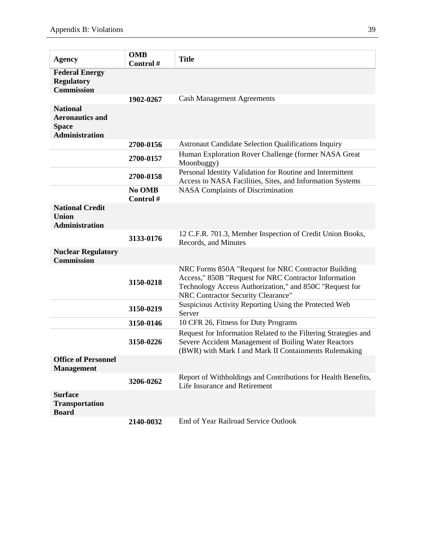| <b>Agency</b>                                                                      | <b>OMB</b><br>Control# | <b>Title</b>                                                                                                                                                                                                  |
|------------------------------------------------------------------------------------|------------------------|---------------------------------------------------------------------------------------------------------------------------------------------------------------------------------------------------------------|
| <b>Federal Energy</b><br><b>Regulatory</b><br><b>Commission</b>                    |                        |                                                                                                                                                                                                               |
|                                                                                    | 1902-0267              | <b>Cash Management Agreements</b>                                                                                                                                                                             |
| <b>National</b><br><b>Aeronautics and</b><br><b>Space</b><br><b>Administration</b> |                        |                                                                                                                                                                                                               |
|                                                                                    | 2700-0156              | <b>Astronaut Candidate Selection Qualifications Inquiry</b>                                                                                                                                                   |
|                                                                                    | 2700-0157              | Human Exploration Rover Challenge (former NASA Great<br>Moonbuggy)                                                                                                                                            |
|                                                                                    | 2700-0158              | Personal Identity Validation for Routine and Intermittent<br>Access to NASA Facilities, Sites, and Information Systems                                                                                        |
|                                                                                    | No OMB<br>Control#     | <b>NASA Complaints of Discrimination</b>                                                                                                                                                                      |
| <b>National Credit</b><br><b>Union</b><br><b>Administration</b>                    |                        |                                                                                                                                                                                                               |
|                                                                                    | 3133-0176              | 12 C.F.R. 701.3, Member Inspection of Credit Union Books,<br>Records, and Minutes                                                                                                                             |
| <b>Nuclear Regulatory</b><br><b>Commission</b>                                     |                        |                                                                                                                                                                                                               |
|                                                                                    | 3150-0218              | NRC Forms 850A "Request for NRC Contractor Building<br>Access," 850B "Request for NRC Contractor Information<br>Technology Access Authorization," and 850C "Request for<br>NRC Contractor Security Clearance" |
|                                                                                    | 3150-0219              | Suspicious Activity Reporting Using the Protected Web<br>Server                                                                                                                                               |
|                                                                                    | 3150-0146              | 10 CFR 26, Fitness for Duty Programs                                                                                                                                                                          |
|                                                                                    | 3150-0226              | Request for Information Related to the Filtering Strategies and<br>Severe Accident Management of Boiling Water Reactors<br>(BWR) with Mark I and Mark II Containments Rulemaking                              |
| <b>Office of Personnel</b><br><b>Management</b>                                    |                        |                                                                                                                                                                                                               |
|                                                                                    | 3206-0262              | Report of Withholdings and Contributions for Health Benefits,<br>Life Insurance and Retirement                                                                                                                |
| <b>Surface</b><br><b>Transportation</b><br><b>Board</b>                            |                        |                                                                                                                                                                                                               |
|                                                                                    | 2140-0032              | <b>End of Year Railroad Service Outlook</b>                                                                                                                                                                   |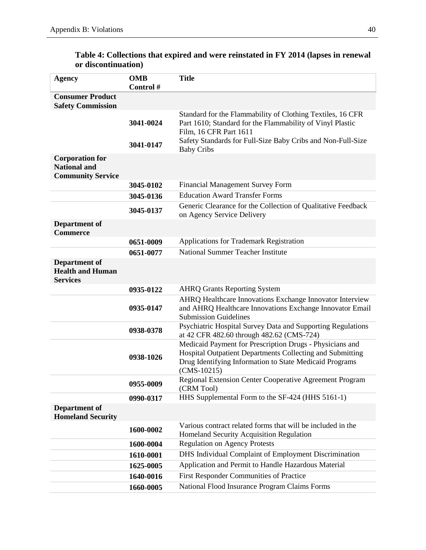| <b>Agency</b>                                                             | <b>OMB</b><br>Control# | <b>Title</b>                                                                                                                                                                                                     |
|---------------------------------------------------------------------------|------------------------|------------------------------------------------------------------------------------------------------------------------------------------------------------------------------------------------------------------|
| <b>Consumer Product</b><br><b>Safety Commission</b>                       |                        |                                                                                                                                                                                                                  |
|                                                                           | 3041-0024<br>3041-0147 | Standard for the Flammability of Clothing Textiles, 16 CFR<br>Part 1610; Standard for the Flammability of Vinyl Plastic<br>Film, 16 CFR Part 1611<br>Safety Standards for Full-Size Baby Cribs and Non-Full-Size |
| <b>Corporation for</b><br><b>National and</b><br><b>Community Service</b> |                        | <b>Baby Cribs</b>                                                                                                                                                                                                |
|                                                                           | 3045-0102              | <b>Financial Management Survey Form</b>                                                                                                                                                                          |
|                                                                           | 3045-0136              | <b>Education Award Transfer Forms</b>                                                                                                                                                                            |
|                                                                           | 3045-0137              | Generic Clearance for the Collection of Qualitative Feedback<br>on Agency Service Delivery                                                                                                                       |
| Department of<br><b>Commerce</b>                                          |                        |                                                                                                                                                                                                                  |
|                                                                           | 0651-0009              | Applications for Trademark Registration                                                                                                                                                                          |
|                                                                           | 0651-0077              | National Summer Teacher Institute                                                                                                                                                                                |
| Department of<br><b>Health and Human</b><br><b>Services</b>               |                        |                                                                                                                                                                                                                  |
|                                                                           | 0935-0122              | <b>AHRQ Grants Reporting System</b>                                                                                                                                                                              |
|                                                                           | 0935-0147              | AHRQ Healthcare Innovations Exchange Innovator Interview<br>and AHRQ Healthcare Innovations Exchange Innovator Email<br><b>Submission Guidelines</b>                                                             |
|                                                                           | 0938-0378              | Psychiatric Hospital Survey Data and Supporting Regulations<br>at 42 CFR 482.60 through 482.62 (CMS-724)                                                                                                         |
|                                                                           | 0938-1026              | Medicaid Payment for Prescription Drugs - Physicians and<br>Hospital Outpatient Departments Collecting and Submitting<br>Drug Identifying Information to State Medicaid Programs<br>$(CMS-10215)$                |
|                                                                           | 0955-0009              | Regional Extension Center Cooperative Agreement Program<br>(CRM Tool)                                                                                                                                            |
|                                                                           | 0990-0317              | HHS Supplemental Form to the SF-424 (HHS 5161-1)                                                                                                                                                                 |
| Department of<br><b>Homeland Security</b>                                 |                        |                                                                                                                                                                                                                  |
|                                                                           | 1600-0002              | Various contract related forms that will be included in the<br>Homeland Security Acquisition Regulation                                                                                                          |
|                                                                           | 1600-0004              | <b>Regulation on Agency Protests</b>                                                                                                                                                                             |
|                                                                           | 1610-0001              | DHS Individual Complaint of Employment Discrimination                                                                                                                                                            |
|                                                                           | 1625-0005              | Application and Permit to Handle Hazardous Material                                                                                                                                                              |
|                                                                           | 1640-0016              | First Responder Communities of Practice                                                                                                                                                                          |
|                                                                           | 1660-0005              | National Flood Insurance Program Claims Forms                                                                                                                                                                    |

## **Table 4: Collections that expired and were reinstated in FY 2014 (lapses in renewal or discontinuation)**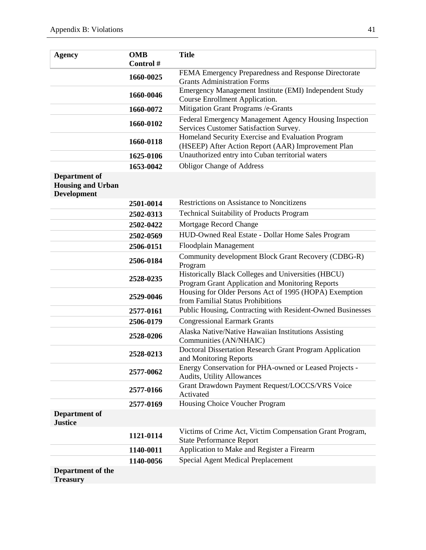| <b>Agency</b>                                                   | <b>OMB</b> | <b>Title</b>                                                                                            |
|-----------------------------------------------------------------|------------|---------------------------------------------------------------------------------------------------------|
|                                                                 | Control#   |                                                                                                         |
|                                                                 | 1660-0025  | FEMA Emergency Preparedness and Response Directorate<br><b>Grants Administration Forms</b>              |
|                                                                 | 1660-0046  | Emergency Management Institute (EMI) Independent Study<br>Course Enrollment Application.                |
|                                                                 | 1660-0072  | Mitigation Grant Programs /e-Grants                                                                     |
|                                                                 | 1660-0102  | Federal Emergency Management Agency Housing Inspection<br>Services Customer Satisfaction Survey.        |
|                                                                 | 1660-0118  | Homeland Security Exercise and Evaluation Program<br>(HSEEP) After Action Report (AAR) Improvement Plan |
|                                                                 | 1625-0106  | Unauthorized entry into Cuban territorial waters                                                        |
|                                                                 | 1653-0042  | <b>Obligor Change of Address</b>                                                                        |
| Department of<br><b>Housing and Urban</b><br><b>Development</b> |            |                                                                                                         |
|                                                                 | 2501-0014  | <b>Restrictions on Assistance to Noncitizens</b>                                                        |
|                                                                 | 2502-0313  | <b>Technical Suitability of Products Program</b>                                                        |
|                                                                 | 2502-0422  | Mortgage Record Change                                                                                  |
|                                                                 | 2502-0569  | HUD-Owned Real Estate - Dollar Home Sales Program                                                       |
|                                                                 | 2506-0151  | Floodplain Management                                                                                   |
|                                                                 | 2506-0184  | Community development Block Grant Recovery (CDBG-R)<br>Program                                          |
|                                                                 | 2528-0235  | Historically Black Colleges and Universities (HBCU)<br>Program Grant Application and Monitoring Reports |
|                                                                 | 2529-0046  | Housing for Older Persons Act of 1995 (HOPA) Exemption<br>from Familial Status Prohibitions             |
|                                                                 | 2577-0161  | Public Housing, Contracting with Resident-Owned Businesses                                              |
|                                                                 | 2506-0179  | <b>Congressional Earmark Grants</b>                                                                     |
|                                                                 | 2528-0206  | Alaska Native/Native Hawaiian Institutions Assisting<br>Communities (AN/NHAIC)                          |
|                                                                 | 2528-0213  | Doctoral Dissertation Research Grant Program Application<br>and Monitoring Reports                      |
|                                                                 | 2577-0062  | Energy Conservation for PHA-owned or Leased Projects -<br><b>Audits, Utility Allowances</b>             |
|                                                                 | 2577-0166  | Grant Drawdown Payment Request/LOCCS/VRS Voice<br>Activated                                             |
|                                                                 | 2577-0169  | Housing Choice Voucher Program                                                                          |
| Department of<br><b>Justice</b>                                 |            |                                                                                                         |
|                                                                 | 1121-0114  | Victims of Crime Act, Victim Compensation Grant Program,<br><b>State Performance Report</b>             |
|                                                                 | 1140-0011  | Application to Make and Register a Firearm                                                              |
|                                                                 | 1140-0056  | Special Agent Medical Preplacement                                                                      |
| Department of the<br><b>Treasury</b>                            |            |                                                                                                         |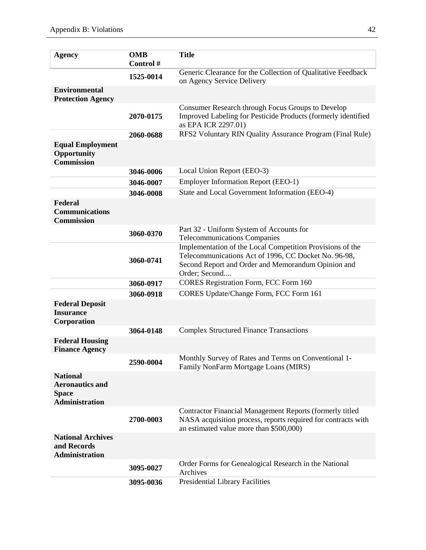| <b>Agency</b>                                                                      | <b>OMB</b><br>Control # | <b>Title</b>                                                                                                                                                                             |
|------------------------------------------------------------------------------------|-------------------------|------------------------------------------------------------------------------------------------------------------------------------------------------------------------------------------|
|                                                                                    | 1525-0014               | Generic Clearance for the Collection of Qualitative Feedback<br>on Agency Service Delivery                                                                                               |
| <b>Environmental</b><br><b>Protection Agency</b>                                   |                         |                                                                                                                                                                                          |
|                                                                                    | 2070-0175               | Consumer Research through Focus Groups to Develop<br>Improved Labeling for Pesticide Products (formerly identified<br>as EPA ICR 2297.01)                                                |
|                                                                                    | 2060-0688               | RFS2 Voluntary RIN Quality Assurance Program (Final Rule)                                                                                                                                |
| <b>Equal Employment</b><br>Opportunity<br><b>Commission</b>                        |                         |                                                                                                                                                                                          |
|                                                                                    | 3046-0006               | Local Union Report (EEO-3)                                                                                                                                                               |
|                                                                                    | 3046-0007               | <b>Employer Information Report (EEO-1)</b>                                                                                                                                               |
|                                                                                    | 3046-0008               | State and Local Government Information (EEO-4)                                                                                                                                           |
| Federal<br><b>Communications</b><br><b>Commission</b>                              |                         |                                                                                                                                                                                          |
|                                                                                    | 3060-0370               | Part 32 - Uniform System of Accounts for<br><b>Telecommunications Companies</b>                                                                                                          |
|                                                                                    | 3060-0741               | Implementation of the Local Competition Provisions of the<br>Telecommunications Act of 1996, CC Docket No. 96-98,<br>Second Report and Order and Memorandum Opinion and<br>Order; Second |
|                                                                                    | 3060-0917               | <b>CORES Registration Form, FCC Form 160</b>                                                                                                                                             |
|                                                                                    | 3060-0918               | CORES Update/Change Form, FCC Form 161                                                                                                                                                   |
| <b>Federal Deposit</b><br><b>Insurance</b><br>Corporation                          |                         |                                                                                                                                                                                          |
|                                                                                    | 3064-0148               | <b>Complex Structured Finance Transactions</b>                                                                                                                                           |
| <b>Federal Housing</b><br><b>Finance Agency</b>                                    |                         |                                                                                                                                                                                          |
|                                                                                    | 2590-0004               | Monthly Survey of Rates and Terms on Conventional 1-<br>Family NonFarm Mortgage Loans (MIRS)                                                                                             |
| <b>National</b><br><b>Aeronautics and</b><br><b>Space</b><br><b>Administration</b> |                         |                                                                                                                                                                                          |
|                                                                                    | 2700-0003               | Contractor Financial Management Reports (formerly titled<br>NASA acquisition process, reports required for contracts with<br>an estimated value more than \$500,000)                     |
| <b>National Archives</b><br>and Records<br><b>Administration</b>                   |                         |                                                                                                                                                                                          |
|                                                                                    | 3095-0027               | Order Forms for Genealogical Research in the National<br>Archives                                                                                                                        |
|                                                                                    | 3095-0036               | <b>Presidential Library Facilities</b>                                                                                                                                                   |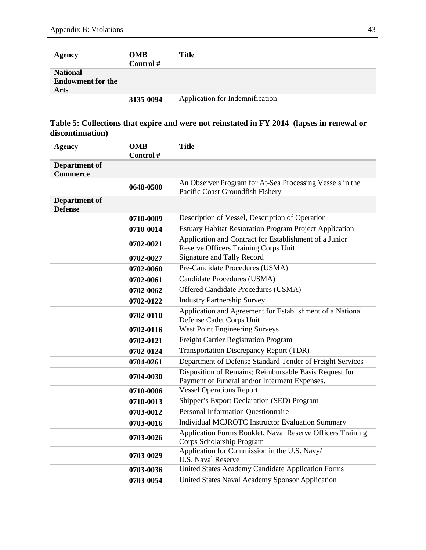| <b>Agency</b>                                              | <b>OMB</b><br>Control # | <b>Title</b>                    |
|------------------------------------------------------------|-------------------------|---------------------------------|
| <b>National</b><br><b>Endowment for the</b><br><b>Arts</b> |                         |                                 |
|                                                            | 3135-0094               | Application for Indemnification |

## **Table 5: Collections that expire and were not reinstated in FY 2014 (lapses in renewal or discontinuation)**

| <b>Agency</b>                           | <b>OMB</b><br>Control# | <b>Title</b>                                                                                            |
|-----------------------------------------|------------------------|---------------------------------------------------------------------------------------------------------|
| <b>Department of</b><br><b>Commerce</b> |                        |                                                                                                         |
|                                         | 0648-0500              | An Observer Program for At-Sea Processing Vessels in the<br>Pacific Coast Groundfish Fishery            |
| Department of<br><b>Defense</b>         |                        |                                                                                                         |
|                                         | 0710-0009              | Description of Vessel, Description of Operation                                                         |
|                                         | 0710-0014              | <b>Estuary Habitat Restoration Program Project Application</b>                                          |
|                                         | 0702-0021              | Application and Contract for Establishment of a Junior<br>Reserve Officers Training Corps Unit          |
|                                         | 0702-0027              | <b>Signature and Tally Record</b>                                                                       |
|                                         | 0702-0060              | Pre-Candidate Procedures (USMA)                                                                         |
|                                         | 0702-0061              | Candidate Procedures (USMA)                                                                             |
|                                         | 0702-0062              | Offered Candidate Procedures (USMA)                                                                     |
|                                         | 0702-0122              | <b>Industry Partnership Survey</b>                                                                      |
|                                         | 0702-0110              | Application and Agreement for Establishment of a National<br>Defense Cadet Corps Unit                   |
|                                         | 0702-0116              | West Point Engineering Surveys                                                                          |
|                                         | 0702-0121              | Freight Carrier Registration Program                                                                    |
|                                         | 0702-0124              | <b>Transportation Discrepancy Report (TDR)</b>                                                          |
|                                         | 0704-0261              | Department of Defense Standard Tender of Freight Services                                               |
|                                         | 0704-0030              | Disposition of Remains; Reimbursable Basis Request for<br>Payment of Funeral and/or Interment Expenses. |
|                                         | 0710-0006              | <b>Vessel Operations Report</b>                                                                         |
|                                         | 0710-0013              | Shipper's Export Declaration (SED) Program                                                              |
|                                         | 0703-0012              | <b>Personal Information Questionnaire</b>                                                               |
|                                         | 0703-0016              | Individual MCJROTC Instructor Evaluation Summary                                                        |
|                                         | 0703-0026              | Application Forms Booklet, Naval Reserve Officers Training<br>Corps Scholarship Program                 |
|                                         | 0703-0029              | Application for Commission in the U.S. Navy/<br><b>U.S. Naval Reserve</b>                               |
|                                         | 0703-0036              | United States Academy Candidate Application Forms                                                       |
|                                         | 0703-0054              | United States Naval Academy Sponsor Application                                                         |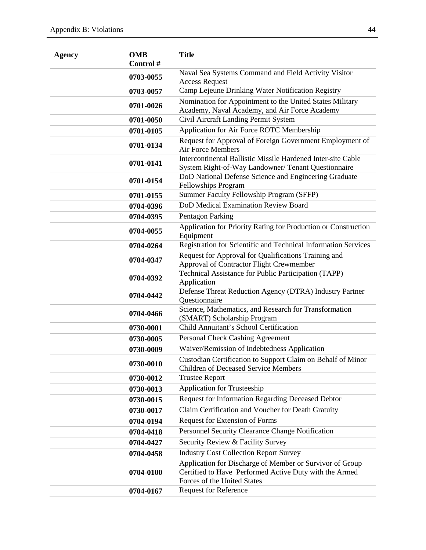| <b>Agency</b> | <b>OMB</b><br>Control# | <b>Title</b>                                                                                                                                      |
|---------------|------------------------|---------------------------------------------------------------------------------------------------------------------------------------------------|
|               | 0703-0055              | Naval Sea Systems Command and Field Activity Visitor<br><b>Access Request</b>                                                                     |
|               | 0703-0057              | Camp Lejeune Drinking Water Notification Registry                                                                                                 |
|               | 0701-0026              | Nomination for Appointment to the United States Military                                                                                          |
|               |                        | Academy, Naval Academy, and Air Force Academy                                                                                                     |
|               | 0701-0050              | Civil Aircraft Landing Permit System                                                                                                              |
|               | 0701-0105              | Application for Air Force ROTC Membership                                                                                                         |
|               | 0701-0134              | Request for Approval of Foreign Government Employment of<br><b>Air Force Members</b>                                                              |
|               | 0701-0141              | Intercontinental Ballistic Missile Hardened Inter-site Cable<br>System Right-of-Way Landowner/ Tenant Questionnaire                               |
|               | 0701-0154              | DoD National Defense Science and Engineering Graduate<br>Fellowships Program                                                                      |
|               | 0701-0155              | Summer Faculty Fellowship Program (SFFP)                                                                                                          |
|               | 0704-0396              | DoD Medical Examination Review Board                                                                                                              |
|               | 0704-0395              | Pentagon Parking                                                                                                                                  |
|               | 0704-0055              | Application for Priority Rating for Production or Construction<br>Equipment                                                                       |
|               | 0704-0264              | Registration for Scientific and Technical Information Services                                                                                    |
|               | 0704-0347              | Request for Approval for Qualifications Training and<br>Approval of Contractor Flight Crewmember                                                  |
|               | 0704-0392              | Technical Assistance for Public Participation (TAPP)<br>Application                                                                               |
|               | 0704-0442              | Defense Threat Reduction Agency (DTRA) Industry Partner<br>Questionnaire                                                                          |
|               | 0704-0466              | Science, Mathematics, and Research for Transformation<br>(SMART) Scholarship Program                                                              |
|               | 0730-0001              | Child Annuitant's School Certification                                                                                                            |
|               | 0730-0005              | Personal Check Cashing Agreement                                                                                                                  |
|               | 0730-0009              | Waiver/Remission of Indebtedness Application                                                                                                      |
|               | 0730-0010              | Custodian Certification to Support Claim on Behalf of Minor<br><b>Children of Deceased Service Members</b>                                        |
|               | 0730-0012              | <b>Trustee Report</b>                                                                                                                             |
|               | 0730-0013              | <b>Application for Trusteeship</b>                                                                                                                |
|               | 0730-0015              | <b>Request for Information Regarding Deceased Debtor</b>                                                                                          |
|               | 0730-0017              | Claim Certification and Voucher for Death Gratuity                                                                                                |
|               | 0704-0194              | Request for Extension of Forms                                                                                                                    |
|               | 0704-0418              | Personnel Security Clearance Change Notification                                                                                                  |
|               | 0704-0427              | Security Review & Facility Survey                                                                                                                 |
|               | 0704-0458              | <b>Industry Cost Collection Report Survey</b>                                                                                                     |
|               | 0704-0100              | Application for Discharge of Member or Survivor of Group<br>Certified to Have Performed Active Duty with the Armed<br>Forces of the United States |
|               | 0704-0167              | <b>Request for Reference</b>                                                                                                                      |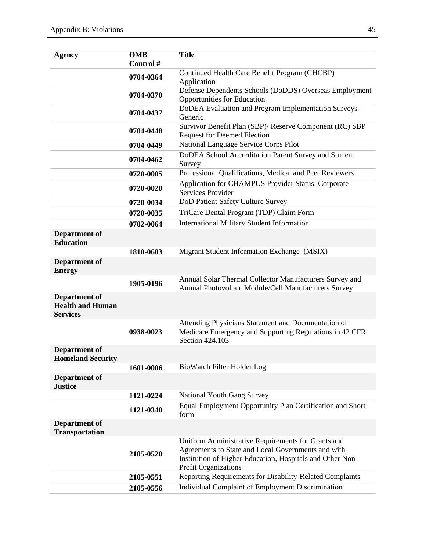| <b>Agency</b>                                                      | <b>OMB</b><br>Control # | <b>Title</b>                                                                                                                                                                                  |
|--------------------------------------------------------------------|-------------------------|-----------------------------------------------------------------------------------------------------------------------------------------------------------------------------------------------|
|                                                                    |                         | Continued Health Care Benefit Program (CHCBP)                                                                                                                                                 |
|                                                                    | 0704-0364               | Application                                                                                                                                                                                   |
|                                                                    | 0704-0370               | Defense Dependents Schools (DoDDS) Overseas Employment<br><b>Opportunities for Education</b>                                                                                                  |
|                                                                    | 0704-0437               | DoDEA Evaluation and Program Implementation Surveys -<br>Generic                                                                                                                              |
|                                                                    | 0704-0448               | Survivor Benefit Plan (SBP)/ Reserve Component (RC) SBP<br><b>Request for Deemed Election</b>                                                                                                 |
|                                                                    | 0704-0449               | National Language Service Corps Pilot                                                                                                                                                         |
|                                                                    | 0704-0462               | DoDEA School Accreditation Parent Survey and Student<br>Survey                                                                                                                                |
|                                                                    | 0720-0005               | Professional Qualifications, Medical and Peer Reviewers                                                                                                                                       |
|                                                                    | 0720-0020               | Application for CHAMPUS Provider Status: Corporate<br>Services Provider                                                                                                                       |
|                                                                    | 0720-0034               | DoD Patient Safety Culture Survey                                                                                                                                                             |
|                                                                    | 0720-0035               | TriCare Dental Program (TDP) Claim Form                                                                                                                                                       |
|                                                                    | 0702-0064               | <b>International Military Student Information</b>                                                                                                                                             |
| <b>Department of</b><br><b>Education</b>                           |                         |                                                                                                                                                                                               |
|                                                                    | 1810-0683               | Migrant Student Information Exchange (MSIX)                                                                                                                                                   |
| Department of<br><b>Energy</b>                                     |                         |                                                                                                                                                                                               |
|                                                                    | 1905-0196               | Annual Solar Thermal Collector Manufacturers Survey and<br>Annual Photovoltaic Module/Cell Manufacturers Survey                                                                               |
| <b>Department of</b><br><b>Health and Human</b><br><b>Services</b> |                         |                                                                                                                                                                                               |
|                                                                    | 0938-0023               | Attending Physicians Statement and Documentation of<br>Medicare Emergency and Supporting Regulations in 42 CFR<br>Section 424.103                                                             |
| <b>Department of</b><br><b>Homeland Security</b>                   |                         |                                                                                                                                                                                               |
|                                                                    | 1601-0006               | BioWatch Filter Holder Log                                                                                                                                                                    |
| Department of<br><b>Justice</b>                                    |                         |                                                                                                                                                                                               |
|                                                                    | 1121-0224               | National Youth Gang Survey                                                                                                                                                                    |
|                                                                    | 1121-0340               | Equal Employment Opportunity Plan Certification and Short<br>form                                                                                                                             |
| Department of<br><b>Transportation</b>                             |                         |                                                                                                                                                                                               |
|                                                                    | 2105-0520               | Uniform Administrative Requirements for Grants and<br>Agreements to State and Local Governments and with<br>Institution of Higher Education, Hospitals and Other Non-<br>Profit Organizations |
|                                                                    | 2105-0551               | Reporting Requirements for Disability-Related Complaints                                                                                                                                      |
|                                                                    | 2105-0556               | Individual Complaint of Employment Discrimination                                                                                                                                             |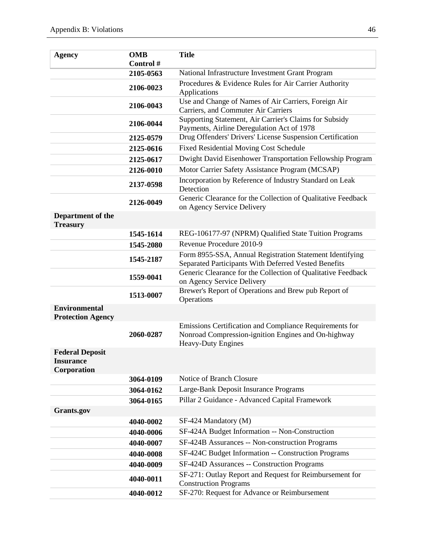| <b>Agency</b>                                             | <b>OMB</b><br>Control# | <b>Title</b>                                                                                                                                          |  |  |
|-----------------------------------------------------------|------------------------|-------------------------------------------------------------------------------------------------------------------------------------------------------|--|--|
|                                                           | 2105-0563              | National Infrastructure Investment Grant Program                                                                                                      |  |  |
|                                                           | 2106-0023              | Procedures & Evidence Rules for Air Carrier Authority<br>Applications                                                                                 |  |  |
|                                                           | 2106-0043              | Use and Change of Names of Air Carriers, Foreign Air<br>Carriers, and Commuter Air Carriers<br>Supporting Statement, Air Carrier's Claims for Subsidy |  |  |
|                                                           | 2106-0044              |                                                                                                                                                       |  |  |
|                                                           | 2125-0579              | Payments, Airline Deregulation Act of 1978<br>Drug Offenders' Drivers' License Suspension Certification                                               |  |  |
|                                                           | 2125-0616              | <b>Fixed Residential Moving Cost Schedule</b>                                                                                                         |  |  |
|                                                           | 2125-0617              | Dwight David Eisenhower Transportation Fellowship Program                                                                                             |  |  |
|                                                           | 2126-0010              | Motor Carrier Safety Assistance Program (MCSAP)                                                                                                       |  |  |
|                                                           | 2137-0598              | Incorporation by Reference of Industry Standard on Leak<br>Detection                                                                                  |  |  |
|                                                           | 2126-0049              | Generic Clearance for the Collection of Qualitative Feedback<br>on Agency Service Delivery                                                            |  |  |
| Department of the<br><b>Treasury</b>                      |                        |                                                                                                                                                       |  |  |
|                                                           | 1545-1614              | REG-106177-97 (NPRM) Qualified State Tuition Programs                                                                                                 |  |  |
|                                                           | 1545-2080              | Revenue Procedure 2010-9                                                                                                                              |  |  |
|                                                           | 1545-2187              | Form 8955-SSA, Annual Registration Statement Identifying<br>Separated Participants With Deferred Vested Benefits                                      |  |  |
|                                                           | 1559-0041              | Generic Clearance for the Collection of Qualitative Feedback<br>on Agency Service Delivery                                                            |  |  |
|                                                           | 1513-0007              | Brewer's Report of Operations and Brew pub Report of<br>Operations                                                                                    |  |  |
| <b>Environmental</b><br><b>Protection Agency</b>          |                        |                                                                                                                                                       |  |  |
|                                                           | 2060-0287              | Emissions Certification and Compliance Requirements for<br>Nonroad Compression-ignition Engines and On-highway<br><b>Heavy-Duty Engines</b>           |  |  |
| <b>Federal Deposit</b><br><b>Insurance</b><br>Corporation |                        |                                                                                                                                                       |  |  |
|                                                           | 3064-0109              | Notice of Branch Closure                                                                                                                              |  |  |
|                                                           | 3064-0162              | Large-Bank Deposit Insurance Programs                                                                                                                 |  |  |
|                                                           | 3064-0165              | Pillar 2 Guidance - Advanced Capital Framework                                                                                                        |  |  |
| Grants.gov                                                |                        |                                                                                                                                                       |  |  |
|                                                           | 4040-0002              | SF-424 Mandatory (M)                                                                                                                                  |  |  |
|                                                           | 4040-0006              | SF-424A Budget Information -- Non-Construction                                                                                                        |  |  |
|                                                           | 4040-0007              | SF-424B Assurances -- Non-construction Programs                                                                                                       |  |  |
|                                                           | 4040-0008              | SF-424C Budget Information -- Construction Programs                                                                                                   |  |  |
|                                                           | 4040-0009              | SF-424D Assurances -- Construction Programs                                                                                                           |  |  |
|                                                           | 4040-0011              | SF-271: Outlay Report and Request for Reimbursement for<br><b>Construction Programs</b>                                                               |  |  |
|                                                           | 4040-0012              | SF-270: Request for Advance or Reimbursement                                                                                                          |  |  |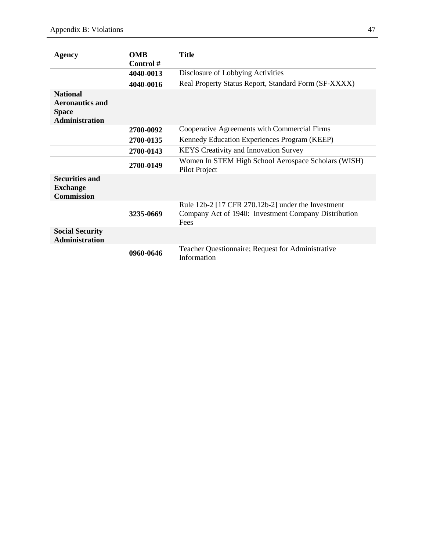| <b>Agency</b>                                                                      | <b>OMB</b> | <b>Title</b>                                                                                                       |  |  |
|------------------------------------------------------------------------------------|------------|--------------------------------------------------------------------------------------------------------------------|--|--|
|                                                                                    | Control#   |                                                                                                                    |  |  |
|                                                                                    | 4040-0013  | Disclosure of Lobbying Activities                                                                                  |  |  |
|                                                                                    | 4040-0016  | Real Property Status Report, Standard Form (SF-XXXX)                                                               |  |  |
| <b>National</b><br><b>Aeronautics and</b><br><b>Space</b><br><b>Administration</b> |            |                                                                                                                    |  |  |
|                                                                                    | 2700-0092  | Cooperative Agreements with Commercial Firms                                                                       |  |  |
|                                                                                    | 2700-0135  | Kennedy Education Experiences Program (KEEP)                                                                       |  |  |
|                                                                                    | 2700-0143  | <b>KEYS</b> Creativity and Innovation Survey                                                                       |  |  |
|                                                                                    | 2700-0149  | Women In STEM High School Aerospace Scholars (WISH)<br>Pilot Project                                               |  |  |
| <b>Securities and</b><br><b>Exchange</b><br><b>Commission</b>                      |            |                                                                                                                    |  |  |
| <b>Social Security</b>                                                             | 3235-0669  | Rule 12b-2 [17 CFR 270.12b-2] under the Investment<br>Company Act of 1940: Investment Company Distribution<br>Fees |  |  |
| <b>Administration</b>                                                              | 0960-0646  | Teacher Questionnaire; Request for Administrative<br>Information                                                   |  |  |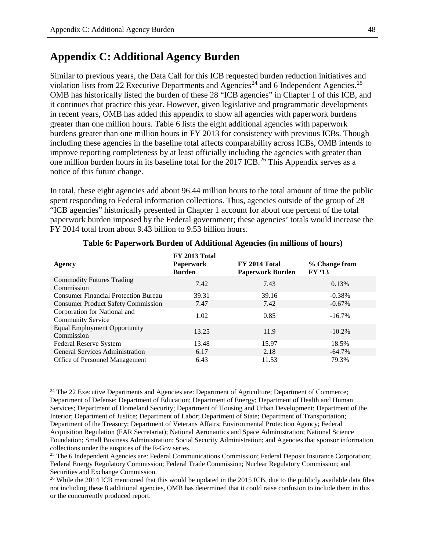## **Appendix C: Additional Agency Burden**

Similar to previous years, the Data Call for this ICB requested burden reduction initiatives and violation lists from 22 Executive Departments and Agencies<sup>[24](#page-52-0)</sup> and 6 Independent Agencies.<sup>[25](#page-52-1)</sup> OMB has historically listed the burden of these 28 "ICB agencies" in Chapter 1 of this ICB, and it continues that practice this year. However, given legislative and programmatic developments in recent years, OMB has added this appendix to show all agencies with paperwork burdens greater than one million hours. Table 6 lists the eight additional agencies with paperwork burdens greater than one million hours in FY 2013 for consistency with previous ICBs. Though including these agencies in the baseline total affects comparability across ICBs, OMB intends to improve reporting completeness by at least officially including the agencies with greater than one million burden hours in its baseline total for the 2017 ICB.<sup>26</sup> This Appendix serves as a notice of this future change.

In total, these eight agencies add about 96.44 million hours to the total amount of time the public spent responding to Federal information collections. Thus, agencies outside of the group of 28 "ICB agencies" historically presented in Chapter 1 account for about one percent of the total paperwork burden imposed by the Federal government; these agencies' totals would increase the FY 2014 total from about 9.43 billion to 9.53 billion hours.

| Agency                                                   | FY 2013 Total<br><b>Paperwork</b><br><b>Burden</b> | FY 2014 Total<br><b>Paperwork Burden</b> | % Change from<br><b>FY '13</b> |  |
|----------------------------------------------------------|----------------------------------------------------|------------------------------------------|--------------------------------|--|
| <b>Commodity Futures Trading</b><br>Commission           | 7.42                                               | 7.43                                     | 0.13%                          |  |
| <b>Consumer Financial Protection Bureau</b>              | 39.31                                              | 39.16                                    | $-0.38%$                       |  |
| <b>Consumer Product Safety Commission</b>                | 7.47                                               | 7.42                                     | $-0.67\%$                      |  |
| Corporation for National and<br><b>Community Service</b> | 1.02                                               | 0.85                                     | $-16.7\%$                      |  |
| <b>Equal Employment Opportunity</b><br>Commission        | 13.25                                              | 11.9                                     | $-10.2\%$                      |  |
| Federal Reserve System                                   | 13.48                                              | 15.97                                    | 18.5%                          |  |
| <b>General Services Administration</b>                   | 6.17                                               | 2.18                                     | $-64.7\%$                      |  |
| <b>Office of Personnel Management</b>                    | 6.43                                               | 11.53                                    | 79.3%                          |  |
|                                                          |                                                    |                                          |                                |  |

#### **Table 6: Paperwork Burden of Additional Agencies (in millions of hours)**

<span id="page-52-0"></span><sup>&</sup>lt;sup>24</sup> The 22 Executive Departments and Agencies are: Department of Agriculture; Department of Commerce; Department of Defense; Department of Education; Department of Energy; Department of Health and Human Services; Department of Homeland Security; Department of Housing and Urban Development; Department of the Interior; Department of Justice; Department of Labor; Department of State; Department of Transportation; Department of the Treasury; Department of Veterans Affairs; Environmental Protection Agency; Federal Acquisition Regulation (FAR Secretariat); National Aeronautics and Space Administration; National Science Foundation; Small Business Administration; Social Security Administration; and Agencies that sponsor information collections under the auspices of the E-Gov series.

<span id="page-52-1"></span><sup>&</sup>lt;sup>25</sup> The 6 Independent Agencies are: Federal Communications Commission; Federal Deposit Insurance Corporation; Federal Energy Regulatory Commission; Federal Trade Commission; Nuclear Regulatory Commission; and Securities and Exchange Commission.

<span id="page-52-2"></span><sup>&</sup>lt;sup>26</sup> While the 2014 ICB mentioned that this would be updated in the 2015 ICB, due to the publicly available data files not including these 8 additional agencies, OMB has determined that it could raise confusion to include them in this or the concurrently produced report.